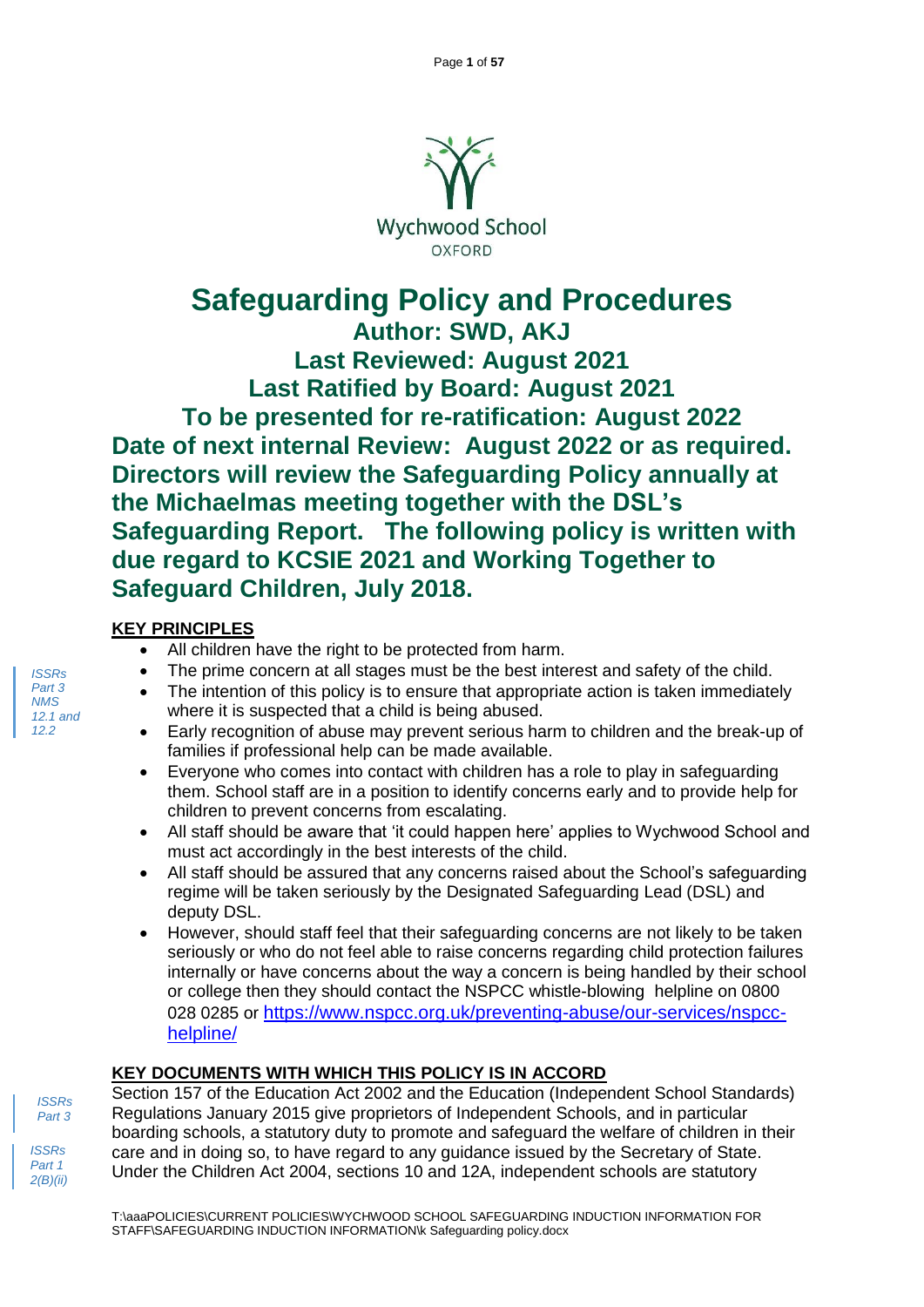

## **Safeguarding Policy and Procedures Author: SWD, AKJ Last Reviewed: August 2021 Last Ratified by Board: August 2021 To be presented for re-ratification: August 2022 Date of next internal Review: August 2022 or as required. Directors will review the Safeguarding Policy annually at the Michaelmas meeting together with the DSL's Safeguarding Report. The following policy is written with due regard to KCSIE 2021 and Working Together to Safeguard Children, July 2018.**

## **KEY PRINCIPLES**

- All children have the right to be protected from harm.
- The prime concern at all stages must be the best interest and safety of the child.
- The intention of this policy is to ensure that appropriate action is taken immediately where it is suspected that a child is being abused.
- Early recognition of abuse may prevent serious harm to children and the break-up of families if professional help can be made available.
- Everyone who comes into contact with children has a role to play in safeguarding them. School staff are in a position to identify concerns early and to provide help for children to prevent concerns from escalating.
- All staff should be aware that 'it could happen here' applies to Wychwood School and must act accordingly in the best interests of the child.
- All staff should be assured that any concerns raised about the School's safeguarding regime will be taken seriously by the Designated Safeguarding Lead (DSL) and deputy DSL.
- However, should staff feel that their safeguarding concerns are not likely to be taken seriously or who do not feel able to raise concerns regarding child protection failures internally or have concerns about the way a concern is being handled by their school or college then they should contact the NSPCC whistle-blowing helpline on 0800 028 0285 or [https://www.nspcc.org.uk/preventing-abuse/our-services/nspcc](https://www.nspcc.org.uk/preventing-abuse/our-services/nspcc-helpline/)[helpline/](https://www.nspcc.org.uk/preventing-abuse/our-services/nspcc-helpline/)

## **KEY DOCUMENTS WITH WHICH THIS POLICY IS IN ACCORD**

Section 157 of the Education Act 2002 and the Education (Independent School Standards) Regulations January 2015 give proprietors of Independent Schools, and in particular boarding schools, a statutory duty to promote and safeguard the welfare of children in their care and in doing so, to have regard to any guidance issued by the Secretary of State. Under the Children Act 2004, sections 10 and 12A, independent schools are statutory

T:\aaaPOLICIES\CURRENT POLICIES\WYCHWOOD SCHOOL SAFEGUARDING INDUCTION INFORMATION FOR STAFF\SAFEGUARDING INDUCTION INFORMATION\k Safeguarding policy.docx

*ISSRs Part 3 NMS 12.1 and 12.2*

*ISSRs Part 3*

*ISSRs Part 1 2(B)(ii)*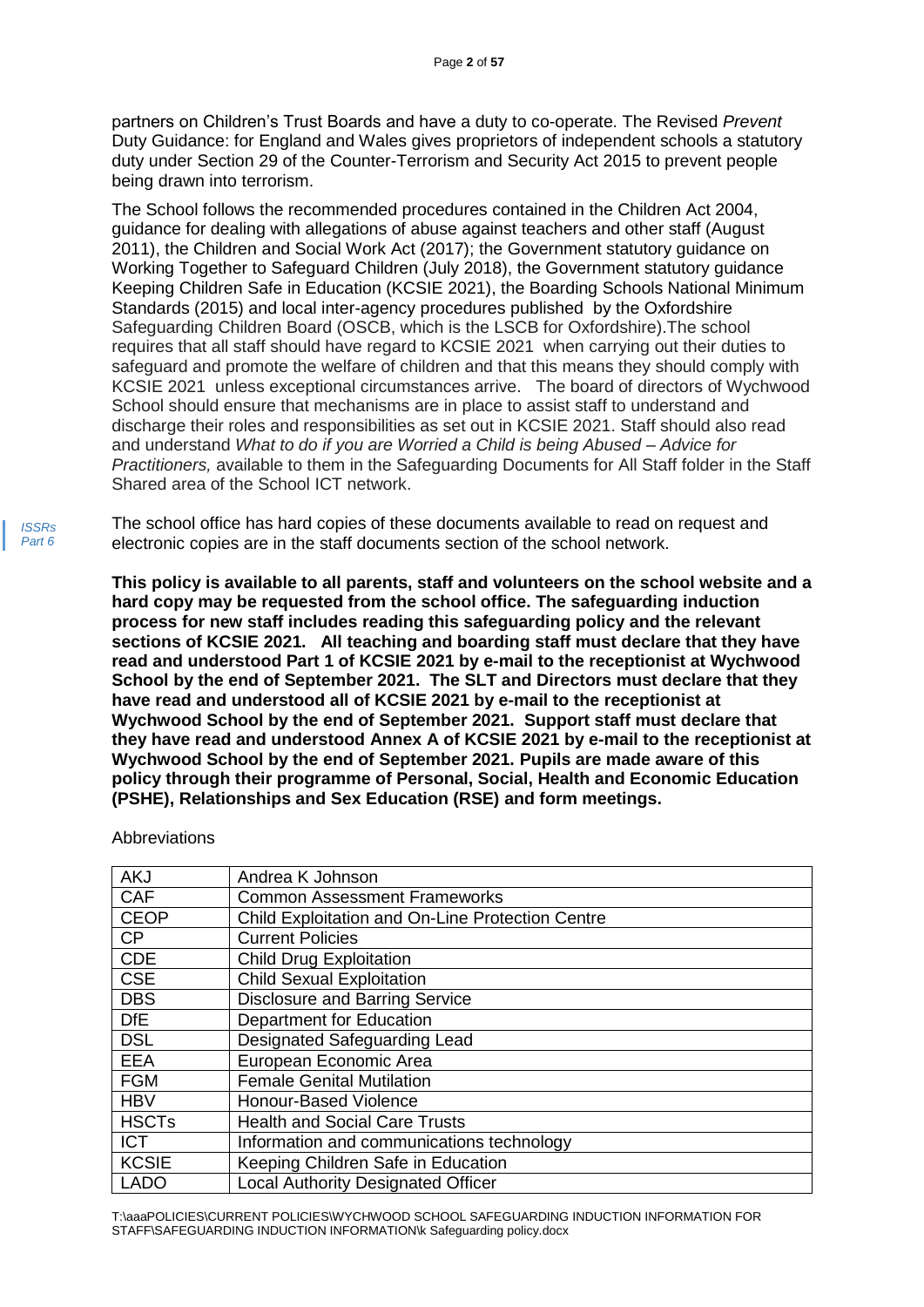partners on Children's Trust Boards and have a duty to co-operate. The Revised *Prevent* Duty Guidance: for England and Wales gives proprietors of independent schools a statutory duty under Section 29 of the Counter-Terrorism and Security Act 2015 to prevent people being drawn into terrorism.

The School follows the recommended procedures contained in the Children Act 2004, guidance for dealing with allegations of abuse against teachers and other staff (August 2011), the Children and Social Work Act (2017); the Government statutory guidance on Working Together to Safeguard Children (July 2018), the Government statutory guidance Keeping Children Safe in Education (KCSIE 2021), the Boarding Schools National Minimum Standards (2015) and local inter-agency procedures published by the Oxfordshire Safeguarding Children Board (OSCB, which is the LSCB for Oxfordshire).The school requires that all staff should have regard to KCSIE 2021 when carrying out their duties to safeguard and promote the welfare of children and that this means they should comply with KCSIE 2021 unless exceptional circumstances arrive. The board of directors of Wychwood School should ensure that mechanisms are in place to assist staff to understand and discharge their roles and responsibilities as set out in KCSIE 2021. Staff should also read and understand *What to do if you are Worried a Child is being Abused – Advice for Practitioners,* available to them in the Safeguarding Documents for All Staff folder in the Staff Shared area of the School ICT network.

The school office has hard copies of these documents available to read on request and electronic copies are in the staff documents section of the school network.

**This policy is available to all parents, staff and volunteers on the school website and a hard copy may be requested from the school office. The safeguarding induction process for new staff includes reading this safeguarding policy and the relevant sections of KCSIE 2021. All teaching and boarding staff must declare that they have read and understood Part 1 of KCSIE 2021 by e-mail to the receptionist at Wychwood School by the end of September 2021. The SLT and Directors must declare that they have read and understood all of KCSIE 2021 by e-mail to the receptionist at Wychwood School by the end of September 2021. Support staff must declare that they have read and understood Annex A of KCSIE 2021 by e-mail to the receptionist at Wychwood School by the end of September 2021. Pupils are made aware of this policy through their programme of Personal, Social, Health and Economic Education (PSHE), Relationships and Sex Education (RSE) and form meetings.**

| <b>AKJ</b>   | Andrea K Johnson                                 |
|--------------|--------------------------------------------------|
| <b>CAF</b>   | <b>Common Assessment Frameworks</b>              |
| <b>CEOP</b>  | Child Exploitation and On-Line Protection Centre |
| CP           | <b>Current Policies</b>                          |
| <b>CDE</b>   | <b>Child Drug Exploitation</b>                   |
| <b>CSE</b>   | <b>Child Sexual Exploitation</b>                 |
| <b>DBS</b>   | <b>Disclosure and Barring Service</b>            |
| <b>DfE</b>   | Department for Education                         |
| <b>DSL</b>   | Designated Safeguarding Lead                     |
| <b>EEA</b>   | European Economic Area                           |
| <b>FGM</b>   | <b>Female Genital Mutilation</b>                 |
| <b>HBV</b>   | Honour-Based Violence                            |
| <b>HSCTs</b> | <b>Health and Social Care Trusts</b>             |
| <b>ICT</b>   | Information and communications technology        |
| <b>KCSIE</b> | Keeping Children Safe in Education               |
| <b>LADO</b>  | <b>Local Authority Designated Officer</b>        |

#### **Abbreviations**

T:\aaaPOLICIES\CURRENT POLICIES\WYCHWOOD SCHOOL SAFEGUARDING INDUCTION INFORMATION FOR STAFF\SAFEGUARDING INDUCTION INFORMATION\k Safeguarding policy.docx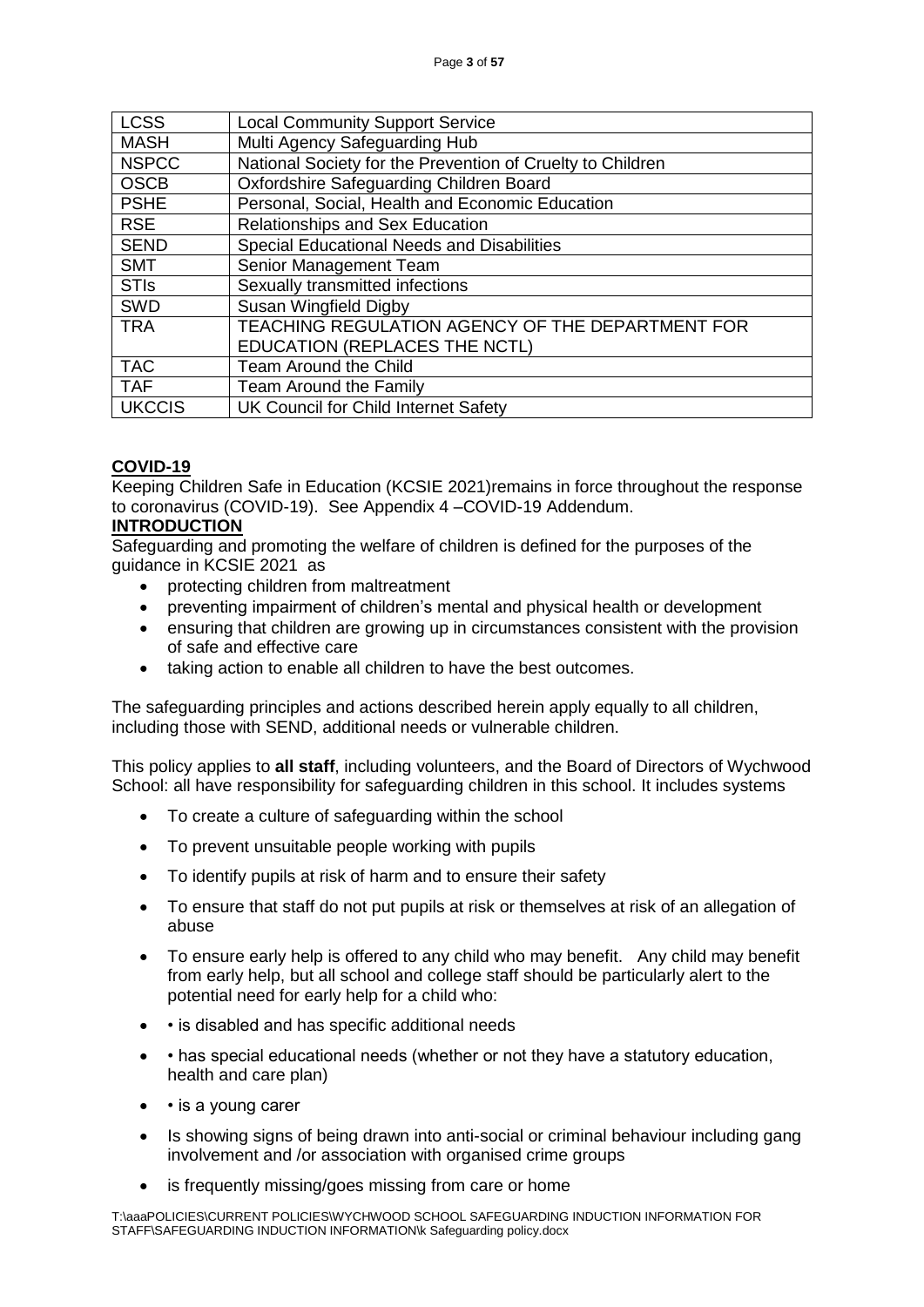| <b>LCSS</b>   | <b>Local Community Support Service</b>                     |
|---------------|------------------------------------------------------------|
| <b>MASH</b>   | Multi Agency Safeguarding Hub                              |
| <b>NSPCC</b>  | National Society for the Prevention of Cruelty to Children |
| <b>OSCB</b>   | Oxfordshire Safeguarding Children Board                    |
| <b>PSHE</b>   | Personal, Social, Health and Economic Education            |
| <b>RSE</b>    | Relationships and Sex Education                            |
| <b>SEND</b>   | Special Educational Needs and Disabilities                 |
| <b>SMT</b>    | Senior Management Team                                     |
| <b>STIs</b>   | Sexually transmitted infections                            |
| <b>SWD</b>    | Susan Wingfield Digby                                      |
| <b>TRA</b>    | TEACHING REGULATION AGENCY OF THE DEPARTMENT FOR           |
|               | <b>EDUCATION (REPLACES THE NCTL)</b>                       |
| <b>TAC</b>    | <b>Team Around the Child</b>                               |
| <b>TAF</b>    | <b>Team Around the Family</b>                              |
| <b>UKCCIS</b> | UK Council for Child Internet Safety                       |

#### **COVID-19**

Keeping Children Safe in Education (KCSIE 2021)remains in force throughout the response to coronavirus (COVID-19). See Appendix 4 –COVID-19 Addendum.

#### **INTRODUCTION**

Safeguarding and promoting the welfare of children is defined for the purposes of the guidance in KCSIE 2021 as

- protecting children from maltreatment
- preventing impairment of children's mental and physical health or development
- ensuring that children are growing up in circumstances consistent with the provision of safe and effective care
- taking action to enable all children to have the best outcomes.

The safeguarding principles and actions described herein apply equally to all children, including those with SEND, additional needs or vulnerable children.

This policy applies to **all staff**, including volunteers, and the Board of Directors of Wychwood School: all have responsibility for safeguarding children in this school. It includes systems

- To create a culture of safeguarding within the school
- To prevent unsuitable people working with pupils
- To identify pupils at risk of harm and to ensure their safety
- To ensure that staff do not put pupils at risk or themselves at risk of an allegation of abuse
- To ensure early help is offered to any child who may benefit. Any child may benefit from early help, but all school and college staff should be particularly alert to the potential need for early help for a child who:
- is disabled and has specific additional needs
- has special educational needs (whether or not they have a statutory education, health and care plan)
- • is a young carer
- Is showing signs of being drawn into anti-social or criminal behaviour including gang involvement and /or association with organised crime groups
- is frequently missing/goes missing from care or home

T:\aaaPOLICIES\CURRENT POLICIES\WYCHWOOD SCHOOL SAFEGUARDING INDUCTION INFORMATION FOR STAFF\SAFEGUARDING INDUCTION INFORMATION\k Safeguarding policy.docx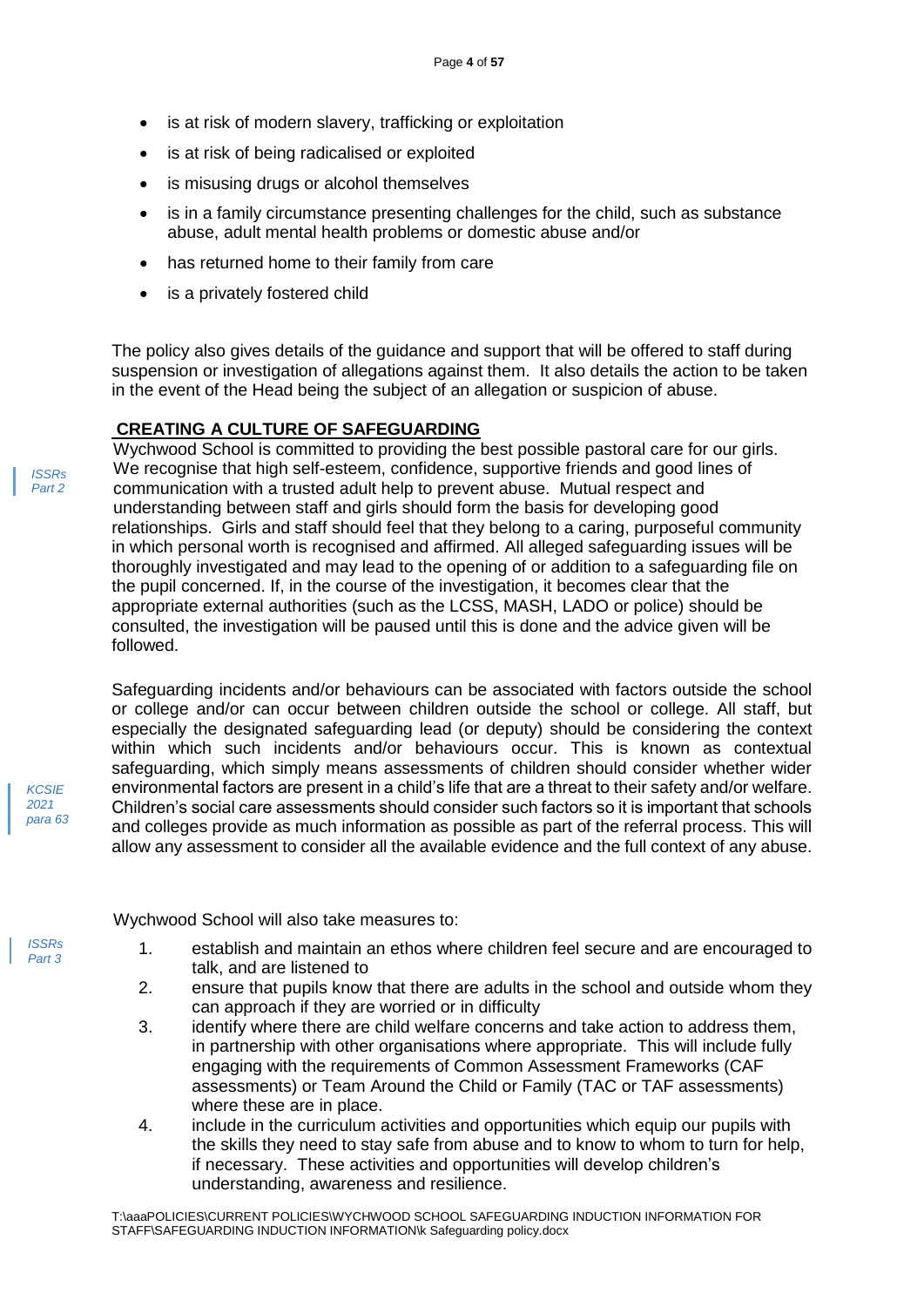- is at risk of modern slavery, trafficking or exploitation
- is at risk of being radicalised or exploited
- is misusing drugs or alcohol themselves
- is in a family circumstance presenting challenges for the child, such as substance abuse, adult mental health problems or domestic abuse and/or
- has returned home to their family from care
- is a privately fostered child

The policy also gives details of the guidance and support that will be offered to staff during suspension or investigation of allegations against them. It also details the action to be taken in the event of the Head being the subject of an allegation or suspicion of abuse.

#### **CREATING A CULTURE OF SAFEGUARDING**

Wychwood School is committed to providing the best possible pastoral care for our girls. We recognise that high self-esteem, confidence, supportive friends and good lines of communication with a trusted adult help to prevent abuse. Mutual respect and understanding between staff and girls should form the basis for developing good relationships. Girls and staff should feel that they belong to a caring, purposeful community in which personal worth is recognised and affirmed. All alleged safeguarding issues will be thoroughly investigated and may lead to the opening of or addition to a safeguarding file on the pupil concerned. If, in the course of the investigation, it becomes clear that the appropriate external authorities (such as the LCSS, MASH, LADO or police) should be consulted, the investigation will be paused until this is done and the advice given will be followed.

Safeguarding incidents and/or behaviours can be associated with factors outside the school or college and/or can occur between children outside the school or college. All staff, but especially the designated safeguarding lead (or deputy) should be considering the context within which such incidents and/or behaviours occur. This is known as contextual safeguarding, which simply means assessments of children should consider whether wider environmental factors are present in a child's life that are a threat to their safety and/or welfare. Children's social care assessments should consider such factors so it is important that schools and colleges provide as much information as possible as part of the referral process. This will allow any assessment to consider all the available evidence and the full context of any abuse.

Wychwood School will also take measures to:

- 1. establish and maintain an ethos where children feel secure and are encouraged to talk, and are listened to
- 2. ensure that pupils know that there are adults in the school and outside whom they can approach if they are worried or in difficulty
- 3. identify where there are child welfare concerns and take action to address them, in partnership with other organisations where appropriate. This will include fully engaging with the requirements of Common Assessment Frameworks (CAF assessments) or Team Around the Child or Family (TAC or TAF assessments) where these are in place.
- 4. include in the curriculum activities and opportunities which equip our pupils with the skills they need to stay safe from abuse and to know to whom to turn for help, if necessary. These activities and opportunities will develop children's understanding, awareness and resilience.

*2021 para 63*

*KCSIE* 

*ISSRs Part 2*

*ISSRs Part 3*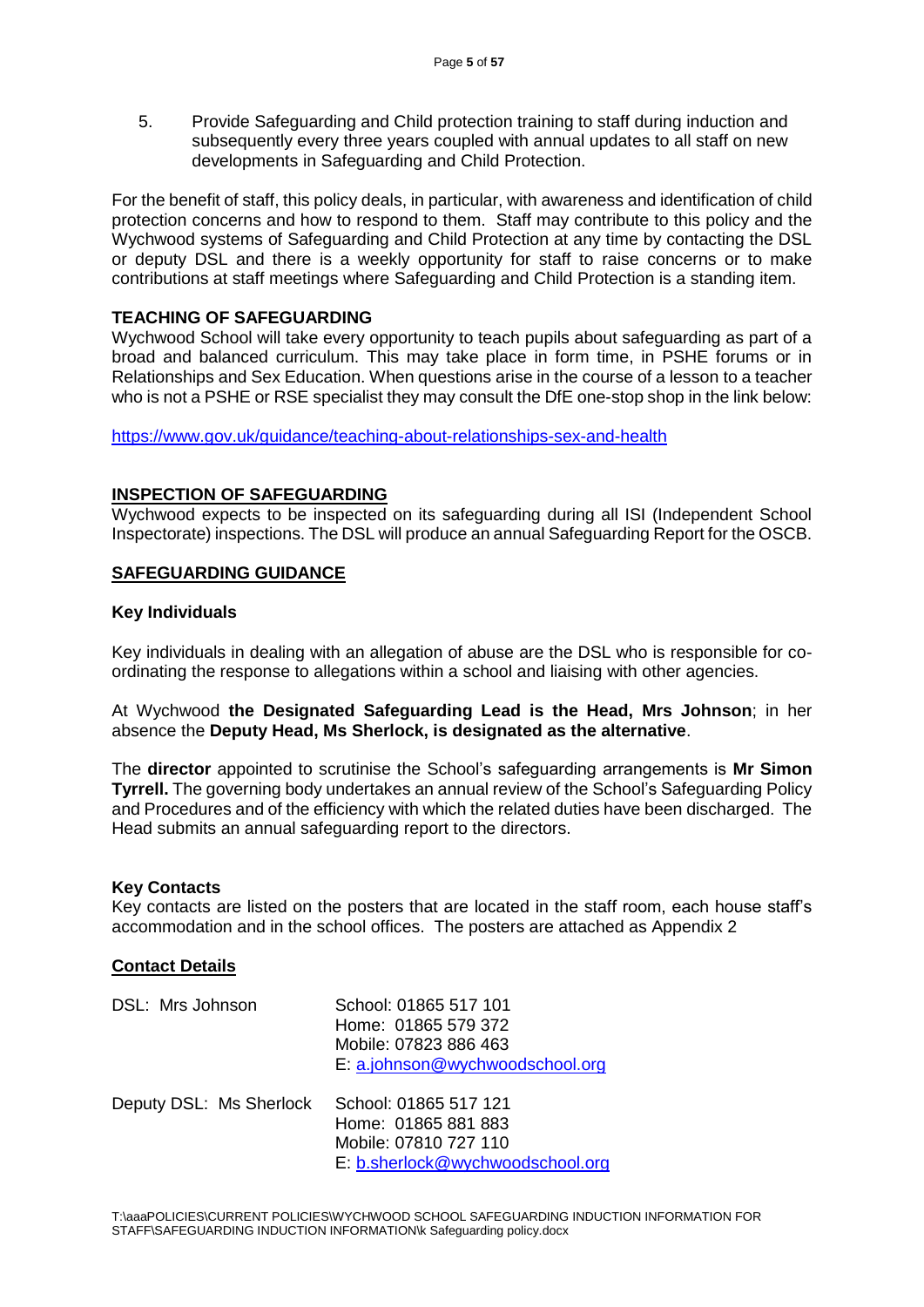5. Provide Safeguarding and Child protection training to staff during induction and subsequently every three years coupled with annual updates to all staff on new developments in Safeguarding and Child Protection.

For the benefit of staff, this policy deals, in particular, with awareness and identification of child protection concerns and how to respond to them. Staff may contribute to this policy and the Wychwood systems of Safeguarding and Child Protection at any time by contacting the DSL or deputy DSL and there is a weekly opportunity for staff to raise concerns or to make contributions at staff meetings where Safeguarding and Child Protection is a standing item.

#### **TEACHING OF SAFEGUARDING**

Wychwood School will take every opportunity to teach pupils about safeguarding as part of a broad and balanced curriculum. This may take place in form time, in PSHE forums or in Relationships and Sex Education. When questions arise in the course of a lesson to a teacher who is not a PSHE or RSE specialist they may consult the DfE one-stop shop in the link below:

<https://www.gov.uk/guidance/teaching-about-relationships-sex-and-health>

#### **INSPECTION OF SAFEGUARDING**

Wychwood expects to be inspected on its safeguarding during all ISI (Independent School Inspectorate) inspections. The DSL will produce an annual Safeguarding Report for the OSCB.

#### **SAFEGUARDING GUIDANCE**

#### **Key Individuals**

Key individuals in dealing with an allegation of abuse are the DSL who is responsible for coordinating the response to allegations within a school and liaising with other agencies.

#### At Wychwood **the Designated Safeguarding Lead is the Head, Mrs Johnson**; in her absence the **Deputy Head, Ms Sherlock, is designated as the alternative**.

The **director** appointed to scrutinise the School's safeguarding arrangements is **Mr Simon Tyrrell.** The governing body undertakes an annual review of the School's Safeguarding Policy and Procedures and of the efficiency with which the related duties have been discharged. The Head submits an annual safeguarding report to the directors.

#### **Key Contacts**

Key contacts are listed on the posters that are located in the staff room, each house staff's accommodation and in the school offices. The posters are attached as Appendix 2

#### **Contact Details**

| DSL: Mrs Johnson        | School: 01865 517 101<br>Home: 01865 579 372<br>Mobile: 07823 886 463<br>E: a.johnson@wychwoodschool.org  |
|-------------------------|-----------------------------------------------------------------------------------------------------------|
| Deputy DSL: Ms Sherlock | School: 01865 517 121<br>Home: 01865 881 883<br>Mobile: 07810 727 110<br>E: b.sherlock@wychwoodschool.org |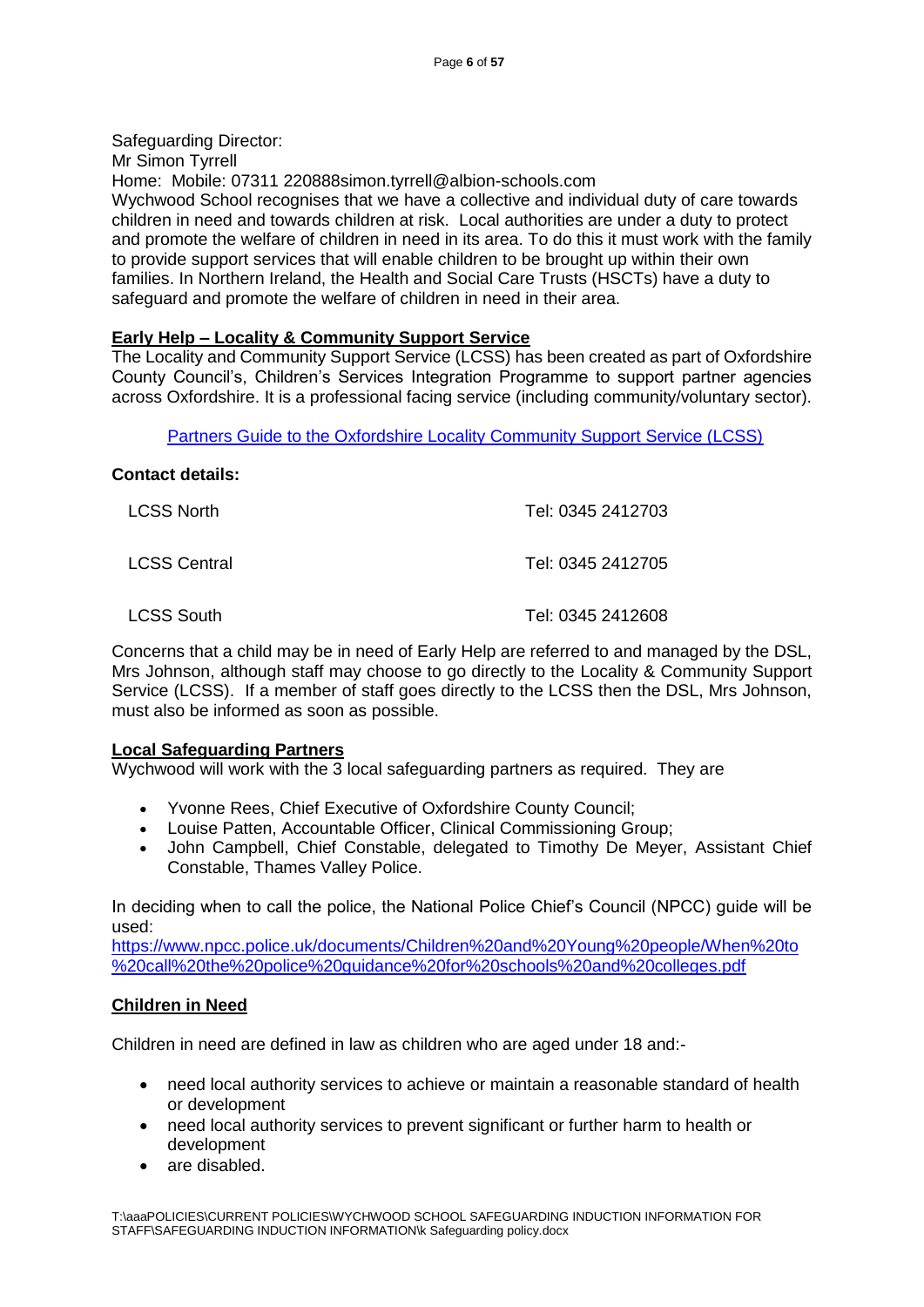Safeguarding Director: Mr Simon Tyrrell Home: Mobile: 07311 220888simon.tyrrell@albion-schools.com Wychwood School recognises that we have a collective and individual duty of care towards children in need and towards children at risk. Local authorities are under a duty to protect and promote the welfare of children in need in its area. To do this it must work with the family to provide support services that will enable children to be brought up within their own families. In Northern Ireland, the Health and Social Care Trusts (HSCTs) have a duty to safeguard and promote the welfare of children in need in their area.

## **Early Help – Locality & Community Support Service**

The Locality and Community Support Service (LCSS) has been created as part of Oxfordshire County Council's, Children's Services Integration Programme to support partner agencies across Oxfordshire. It is a professional facing service (including community/voluntary sector).

[Partners Guide to the Oxfordshire Locality Community Support Service \(LCSS\)](http://www.oscb.org.uk/wp-content/uploads/Guide_to_Oxfordshire_Locality_Community_Support_Service_LCSS.pdf)

#### **Contact details:**

| <b>LCSS North</b>   | Tel: 0345 2412703 |
|---------------------|-------------------|
| <b>LCSS Central</b> | Tel: 0345 2412705 |
| <b>LCSS South</b>   | Tel: 0345 2412608 |

Concerns that a child may be in need of Early Help are referred to and managed by the DSL, Mrs Johnson, although staff may choose to go directly to the Locality & Community Support Service (LCSS). If a member of staff goes directly to the LCSS then the DSL, Mrs Johnson, must also be informed as soon as possible.

#### **Local Safeguarding Partners**

Wychwood will work with the 3 local safeguarding partners as required. They are

- Yvonne Rees, Chief Executive of Oxfordshire County Council;
- Louise Patten, Accountable Officer, Clinical Commissioning Group;
- John Campbell, Chief Constable, delegated to Timothy De Meyer, Assistant Chief Constable, Thames Valley Police.

In deciding when to call the police, the National Police Chief's Council (NPCC) guide will be used:

[https://www.npcc.police.uk/documents/Children%20and%20Young%20people/When%20to](https://www.npcc.police.uk/documents/Children%20and%20Young%20people/When%20to%20call%20the%20police%20guidance%20for%20schools%20and%20colleges.pdf) [%20call%20the%20police%20guidance%20for%20schools%20and%20colleges.pdf](https://www.npcc.police.uk/documents/Children%20and%20Young%20people/When%20to%20call%20the%20police%20guidance%20for%20schools%20and%20colleges.pdf)

#### **Children in Need**

Children in need are defined in law as children who are aged under 18 and:-

- need local authority services to achieve or maintain a reasonable standard of health or development
- need local authority services to prevent significant or further harm to health or development
- are disabled.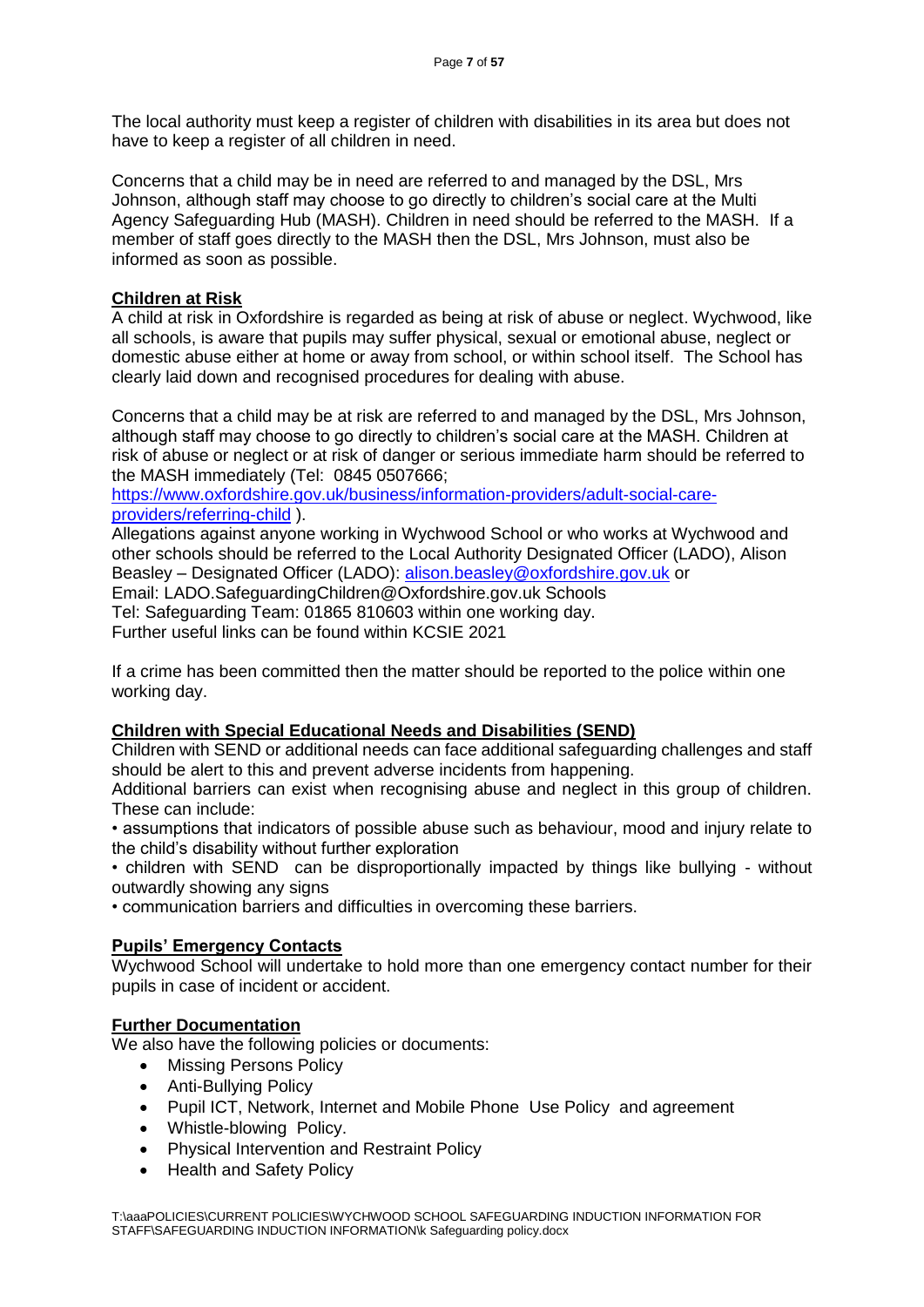The local authority must keep a register of children with disabilities in its area but does not have to keep a register of all children in need.

Concerns that a child may be in need are referred to and managed by the DSL, Mrs Johnson, although staff may choose to go directly to children's social care at the Multi Agency Safeguarding Hub (MASH). Children in need should be referred to the MASH. If a member of staff goes directly to the MASH then the DSL, Mrs Johnson, must also be informed as soon as possible.

## **Children at Risk**

A child at risk in Oxfordshire is regarded as being at risk of abuse or neglect. Wychwood, like all schools, is aware that pupils may suffer physical, sexual or emotional abuse, neglect or domestic abuse either at home or away from school, or within school itself. The School has clearly laid down and recognised procedures for dealing with abuse.

Concerns that a child may be at risk are referred to and managed by the DSL, Mrs Johnson, although staff may choose to go directly to children's social care at the MASH. Children at risk of abuse or neglect or at risk of danger or serious immediate harm should be referred to the MASH immediately (Tel: 0845 0507666;

[https://www.oxfordshire.gov.uk/business/information-providers/adult-social-care](https://www.oxfordshire.gov.uk/business/information-providers/adult-social-care-providers/referring-child)[providers/referring-child](https://www.oxfordshire.gov.uk/business/information-providers/adult-social-care-providers/referring-child) ).

Allegations against anyone working in Wychwood School or who works at Wychwood and other schools should be referred to the Local Authority Designated Officer (LADO), Alison Beasley – Designated Officer (LADO): [alison.beasley@oxfordshire.gov.uk](mailto:alison.beasley@oxfordshire.gov.uk) or Email: LADO.SafeguardingChildren@Oxfordshire.gov.uk Schools

Tel: Safeguarding Team: 01865 810603 within one working day.

Further useful links can be found within KCSIE 2021

If a crime has been committed then the matter should be reported to the police within one working day.

#### **Children with Special Educational Needs and Disabilities (SEND)**

Children with SEND or additional needs can face additional safeguarding challenges and staff should be alert to this and prevent adverse incidents from happening.

Additional barriers can exist when recognising abuse and neglect in this group of children. These can include:

• assumptions that indicators of possible abuse such as behaviour, mood and injury relate to the child's disability without further exploration

• children with SEND can be disproportionally impacted by things like bullying - without outwardly showing any signs

• communication barriers and difficulties in overcoming these barriers.

## **Pupils' Emergency Contacts**

Wychwood School will undertake to hold more than one emergency contact number for their pupils in case of incident or accident.

#### **Further Documentation**

We also have the following policies or documents:

- Missing Persons Policy
- Anti-Bullying Policy
- Pupil ICT, Network, Internet and Mobile Phone Use Policy and agreement
- Whistle-blowing Policy.
- Physical Intervention and Restraint Policy
- Health and Safety Policy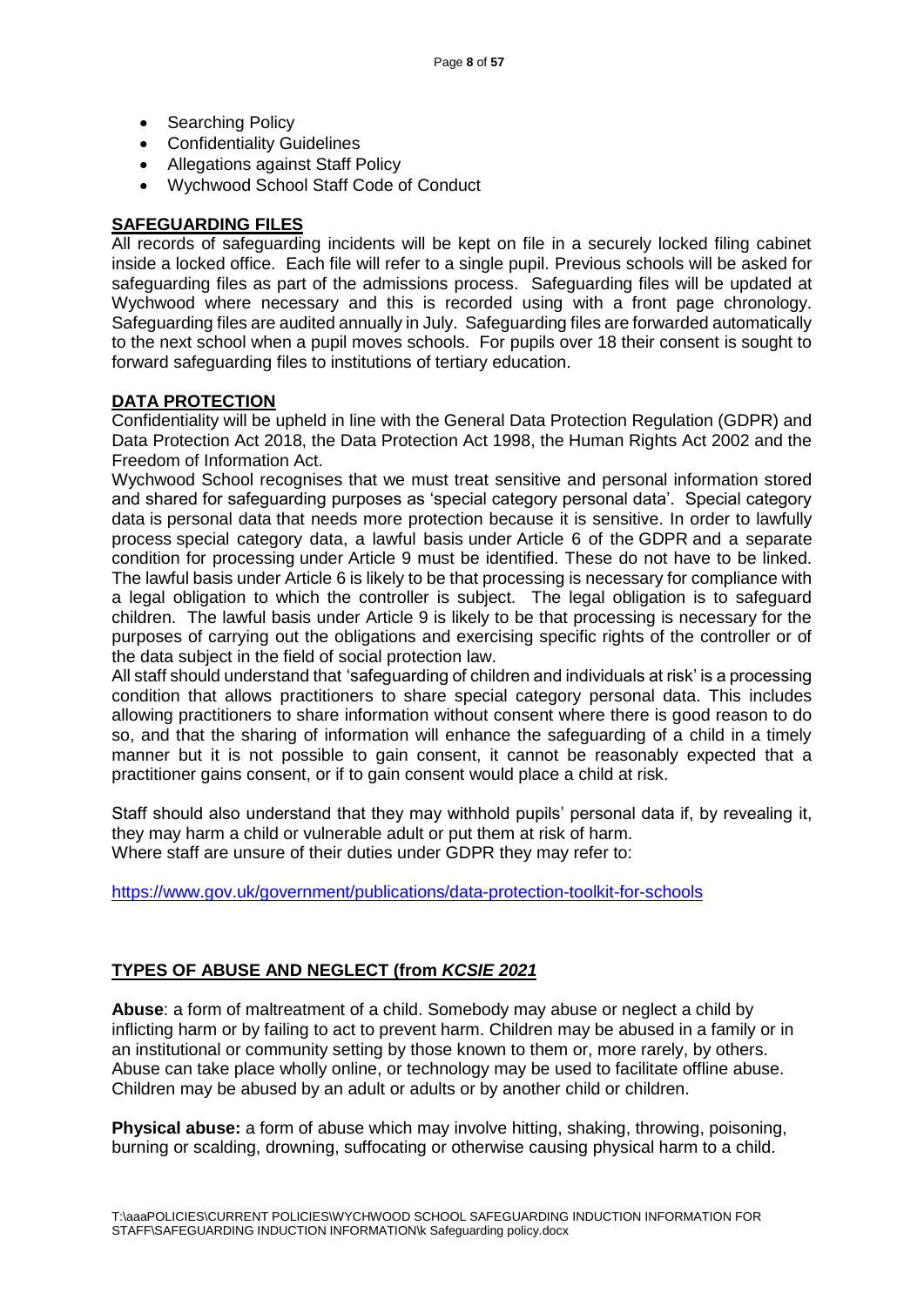- Searching Policy
- Confidentiality Guidelines
- Allegations against Staff Policy
- Wychwood School Staff Code of Conduct

## **SAFEGUARDING FILES**

All records of safeguarding incidents will be kept on file in a securely locked filing cabinet inside a locked office. Each file will refer to a single pupil. Previous schools will be asked for safeguarding files as part of the admissions process. Safeguarding files will be updated at Wychwood where necessary and this is recorded using with a front page chronology. Safeguarding files are audited annually in July. Safeguarding files are forwarded automatically to the next school when a pupil moves schools. For pupils over 18 their consent is sought to forward safeguarding files to institutions of tertiary education.

#### **DATA PROTECTION**

Confidentiality will be upheld in line with the General Data Protection Regulation (GDPR) and Data Protection Act 2018, the Data Protection Act 1998, the Human Rights Act 2002 and the Freedom of Information Act.

Wychwood School recognises that we must treat sensitive and personal information stored and shared for safeguarding purposes as 'special category personal data'. Special category data is personal data that needs more protection because it is sensitive. In order to lawfully process special category data, a lawful basis under Article 6 of the GDPR and a separate condition for processing under Article 9 must be identified. These do not have to be linked. The lawful basis under Article 6 is likely to be that processing is necessary for compliance with a legal obligation to which the controller is subject. The legal obligation is to safeguard children. The lawful basis under Article 9 is likely to be that processing is necessary for the purposes of carrying out the obligations and exercising specific rights of the controller or of the data subject in the field of social protection law.

All staff should understand that 'safeguarding of children and individuals at risk' is a processing condition that allows practitioners to share special category personal data. This includes allowing practitioners to share information without consent where there is good reason to do so, and that the sharing of information will enhance the safeguarding of a child in a timely manner but it is not possible to gain consent, it cannot be reasonably expected that a practitioner gains consent, or if to gain consent would place a child at risk.

Staff should also understand that they may withhold pupils' personal data if, by revealing it, they may harm a child or vulnerable adult or put them at risk of harm. Where staff are unsure of their duties under GDPR they may refer to:

<https://www.gov.uk/government/publications/data-protection-toolkit-for-schools>

## **TYPES OF ABUSE AND NEGLECT (from** *KCSIE 2021*

**Abuse**: a form of maltreatment of a child. Somebody may abuse or neglect a child by inflicting harm or by failing to act to prevent harm. Children may be abused in a family or in an institutional or community setting by those known to them or, more rarely, by others. Abuse can take place wholly online, or technology may be used to facilitate offline abuse. Children may be abused by an adult or adults or by another child or children.

**Physical abuse:** a form of abuse which may involve hitting, shaking, throwing, poisoning, burning or scalding, drowning, suffocating or otherwise causing physical harm to a child.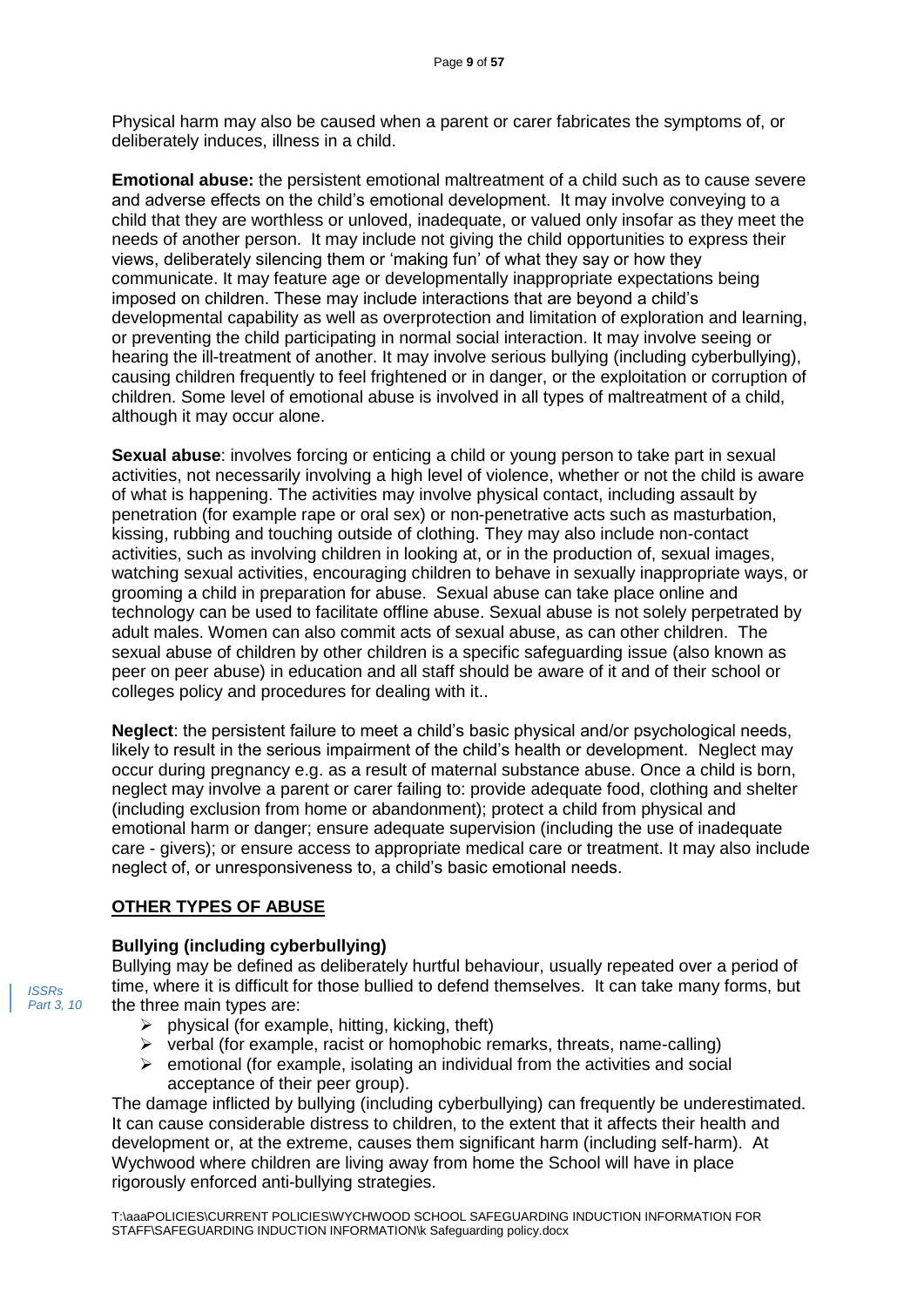Physical harm may also be caused when a parent or carer fabricates the symptoms of, or deliberately induces, illness in a child.

**Emotional abuse:** the persistent emotional maltreatment of a child such as to cause severe and adverse effects on the child's emotional development. It may involve conveying to a child that they are worthless or unloved, inadequate, or valued only insofar as they meet the needs of another person. It may include not giving the child opportunities to express their views, deliberately silencing them or 'making fun' of what they say or how they communicate. It may feature age or developmentally inappropriate expectations being imposed on children. These may include interactions that are beyond a child's developmental capability as well as overprotection and limitation of exploration and learning, or preventing the child participating in normal social interaction. It may involve seeing or hearing the ill-treatment of another. It may involve serious bullying (including cyberbullying), causing children frequently to feel frightened or in danger, or the exploitation or corruption of children. Some level of emotional abuse is involved in all types of maltreatment of a child, although it may occur alone.

**Sexual abuse**: involves forcing or enticing a child or young person to take part in sexual activities, not necessarily involving a high level of violence, whether or not the child is aware of what is happening. The activities may involve physical contact, including assault by penetration (for example rape or oral sex) or non-penetrative acts such as masturbation, kissing, rubbing and touching outside of clothing. They may also include non-contact activities, such as involving children in looking at, or in the production of, sexual images, watching sexual activities, encouraging children to behave in sexually inappropriate ways, or grooming a child in preparation for abuse. Sexual abuse can take place online and technology can be used to facilitate offline abuse. Sexual abuse is not solely perpetrated by adult males. Women can also commit acts of sexual abuse, as can other children. The sexual abuse of children by other children is a specific safeguarding issue (also known as peer on peer abuse) in education and all staff should be aware of it and of their school or colleges policy and procedures for dealing with it..

**Neglect**: the persistent failure to meet a child's basic physical and/or psychological needs, likely to result in the serious impairment of the child's health or development. Neglect may occur during pregnancy e.g. as a result of maternal substance abuse. Once a child is born, neglect may involve a parent or carer failing to: provide adequate food, clothing and shelter (including exclusion from home or abandonment); protect a child from physical and emotional harm or danger; ensure adequate supervision (including the use of inadequate care - givers); or ensure access to appropriate medical care or treatment. It may also include neglect of, or unresponsiveness to, a child's basic emotional needs.

## **OTHER TYPES OF ABUSE**

#### **Bullying (including cyberbullying)**

Bullying may be defined as deliberately hurtful behaviour, usually repeated over a period of time, where it is difficult for those bullied to defend themselves. It can take many forms, but the three main types are:

- $\triangleright$  physical (for example, hitting, kicking, theft)
- $\triangleright$  verbal (for example, racist or homophobic remarks, threats, name-calling)
- $\triangleright$  emotional (for example, isolating an individual from the activities and social acceptance of their peer group).

The damage inflicted by bullying (including cyberbullying) can frequently be underestimated. It can cause considerable distress to children, to the extent that it affects their health and development or, at the extreme, causes them significant harm (including self-harm). At Wychwood where children are living away from home the School will have in place rigorously enforced anti-bullying strategies.

*ISSRs Part 3, 10*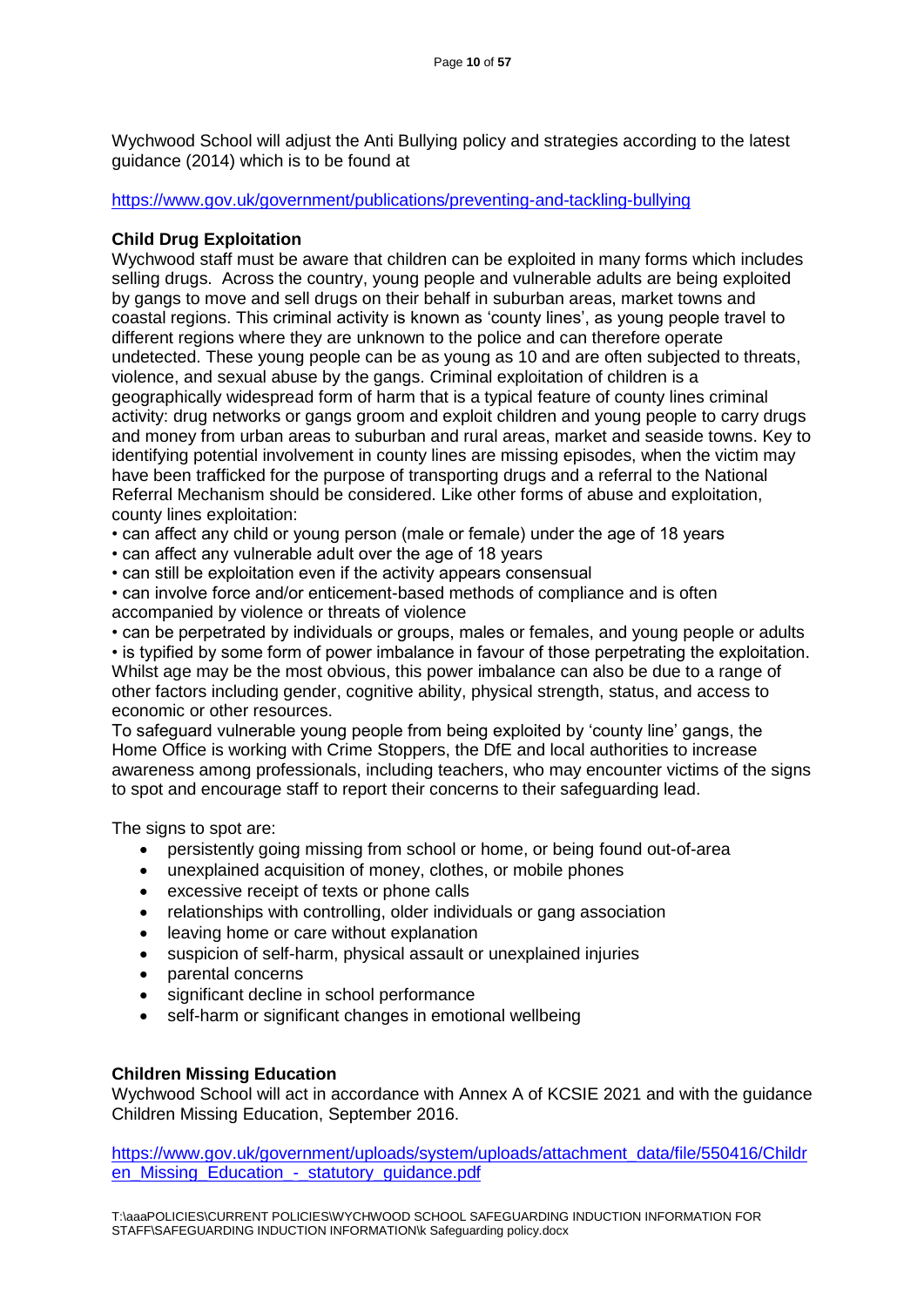Wychwood School will adjust the Anti Bullying policy and strategies according to the latest guidance (2014) which is to be found at

#### <https://www.gov.uk/government/publications/preventing-and-tackling-bullying>

#### **Child Drug Exploitation**

Wychwood staff must be aware that children can be exploited in many forms which includes selling drugs. Across the country, young people and vulnerable adults are being exploited by gangs to move and sell drugs on their behalf in suburban areas, market towns and coastal regions. This criminal activity is known as 'county lines', as young people travel to different regions where they are unknown to the police and can therefore operate undetected. These young people can be as young as 10 and are often subjected to threats, violence, and sexual abuse by the gangs. Criminal exploitation of children is a geographically widespread form of harm that is a typical feature of county lines criminal activity: drug networks or gangs groom and exploit children and young people to carry drugs and money from urban areas to suburban and rural areas, market and seaside towns. Key to identifying potential involvement in county lines are missing episodes, when the victim may have been trafficked for the purpose of transporting drugs and a referral to the National Referral Mechanism should be considered. Like other forms of abuse and exploitation, county lines exploitation:

• can affect any child or young person (male or female) under the age of 18 years

- can affect any vulnerable adult over the age of 18 years
- can still be exploitation even if the activity appears consensual

• can involve force and/or enticement-based methods of compliance and is often accompanied by violence or threats of violence

• can be perpetrated by individuals or groups, males or females, and young people or adults • is typified by some form of power imbalance in favour of those perpetrating the exploitation. Whilst age may be the most obvious, this power imbalance can also be due to a range of other factors including gender, cognitive ability, physical strength, status, and access to economic or other resources.

To safeguard vulnerable young people from being exploited by 'county line' gangs, the Home Office is working with Crime Stoppers, the DfE and local authorities to increase awareness among professionals, including teachers, who may encounter victims of the signs to spot and encourage staff to report their concerns to their safeguarding lead.

The signs to spot are:

- persistently going missing from school or home, or being found out-of-area
- unexplained acquisition of money, clothes, or mobile phones
- excessive receipt of texts or phone calls
- relationships with controlling, older individuals or gang association
- leaving home or care without explanation
- suspicion of self-harm, physical assault or unexplained injuries
- parental concerns
- significant decline in school performance
- self-harm or significant changes in emotional wellbeing

#### **Children Missing Education**

Wychwood School will act in accordance with Annex A of KCSIE 2021 and with the guidance Children Missing Education, September 2016.

[https://www.gov.uk/government/uploads/system/uploads/attachment\\_data/file/550416/Childr](https://www.gov.uk/government/uploads/system/uploads/attachment_data/file/550416/Children_Missing_Education_-_statutory_guidance.pdf) [en\\_Missing\\_Education\\_-\\_statutory\\_guidance.pdf](https://www.gov.uk/government/uploads/system/uploads/attachment_data/file/550416/Children_Missing_Education_-_statutory_guidance.pdf)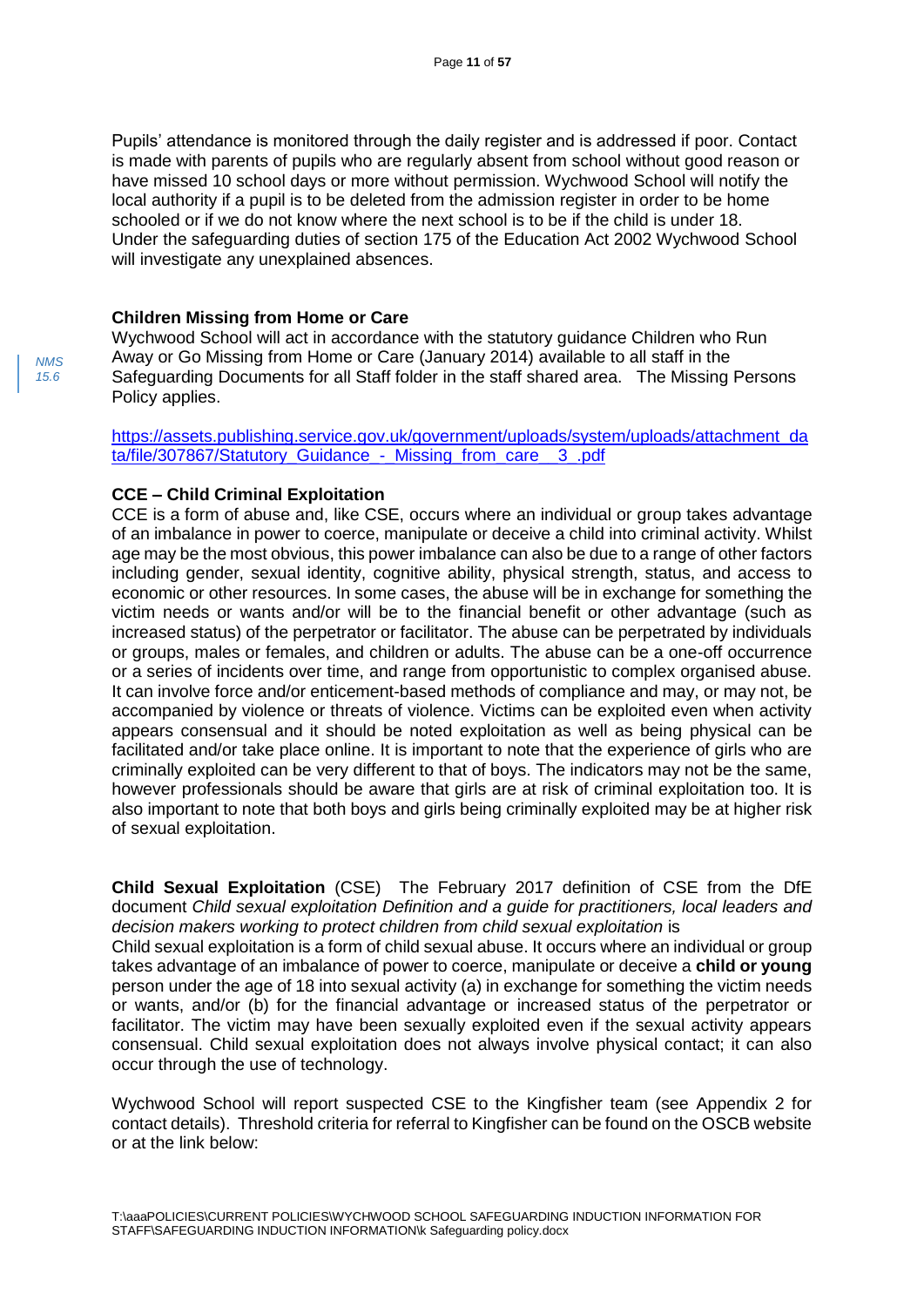Pupils' attendance is monitored through the daily register and is addressed if poor. Contact is made with parents of pupils who are regularly absent from school without good reason or have missed 10 school days or more without permission. Wychwood School will notify the local authority if a pupil is to be deleted from the admission register in order to be home schooled or if we do not know where the next school is to be if the child is under 18. Under the safeguarding duties of section 175 of the Education Act 2002 Wychwood School will investigate any unexplained absences.

#### **Children Missing from Home or Care**

Wychwood School will act in accordance with the statutory guidance Children who Run Away or Go Missing from Home or Care (January 2014) available to all staff in the Safeguarding Documents for all Staff folder in the staff shared area. The Missing Persons Policy applies.

[https://assets.publishing.service.gov.uk/government/uploads/system/uploads/attachment\\_da](https://assets.publishing.service.gov.uk/government/uploads/system/uploads/attachment_data/file/307867/Statutory_Guidance_-_Missing_from_care__3_.pdf) [ta/file/307867/Statutory\\_Guidance\\_-\\_Missing\\_from\\_care\\_\\_3\\_.pdf](https://assets.publishing.service.gov.uk/government/uploads/system/uploads/attachment_data/file/307867/Statutory_Guidance_-_Missing_from_care__3_.pdf)

#### **CCE – Child Criminal Exploitation**

CCE is a form of abuse and, like CSE, occurs where an individual or group takes advantage of an imbalance in power to coerce, manipulate or deceive a child into criminal activity. Whilst age may be the most obvious, this power imbalance can also be due to a range of other factors including gender, sexual identity, cognitive ability, physical strength, status, and access to economic or other resources. In some cases, the abuse will be in exchange for something the victim needs or wants and/or will be to the financial benefit or other advantage (such as increased status) of the perpetrator or facilitator. The abuse can be perpetrated by individuals or groups, males or females, and children or adults. The abuse can be a one-off occurrence or a series of incidents over time, and range from opportunistic to complex organised abuse. It can involve force and/or enticement-based methods of compliance and may, or may not, be accompanied by violence or threats of violence. Victims can be exploited even when activity appears consensual and it should be noted exploitation as well as being physical can be facilitated and/or take place online. It is important to note that the experience of girls who are criminally exploited can be very different to that of boys. The indicators may not be the same, however professionals should be aware that girls are at risk of criminal exploitation too. It is also important to note that both boys and girls being criminally exploited may be at higher risk of sexual exploitation.

**Child Sexual Exploitation** (CSE) The February 2017 definition of CSE from the DfE document *Child sexual exploitation Definition and a guide for practitioners, local leaders and decision makers working to protect children from child sexual exploitation* is Child sexual exploitation is a form of child sexual abuse. It occurs where an individual or group takes advantage of an imbalance of power to coerce, manipulate or deceive a **child or young**  person under the age of 18 into sexual activity (a) in exchange for something the victim needs or wants, and/or (b) for the financial advantage or increased status of the perpetrator or facilitator. The victim may have been sexually exploited even if the sexual activity appears consensual. Child sexual exploitation does not always involve physical contact; it can also occur through the use of technology.

Wychwood School will report suspected CSE to the Kingfisher team (see Appendix 2 for contact details). Threshold criteria for referral to Kingfisher can be found on the OSCB website or at the link below: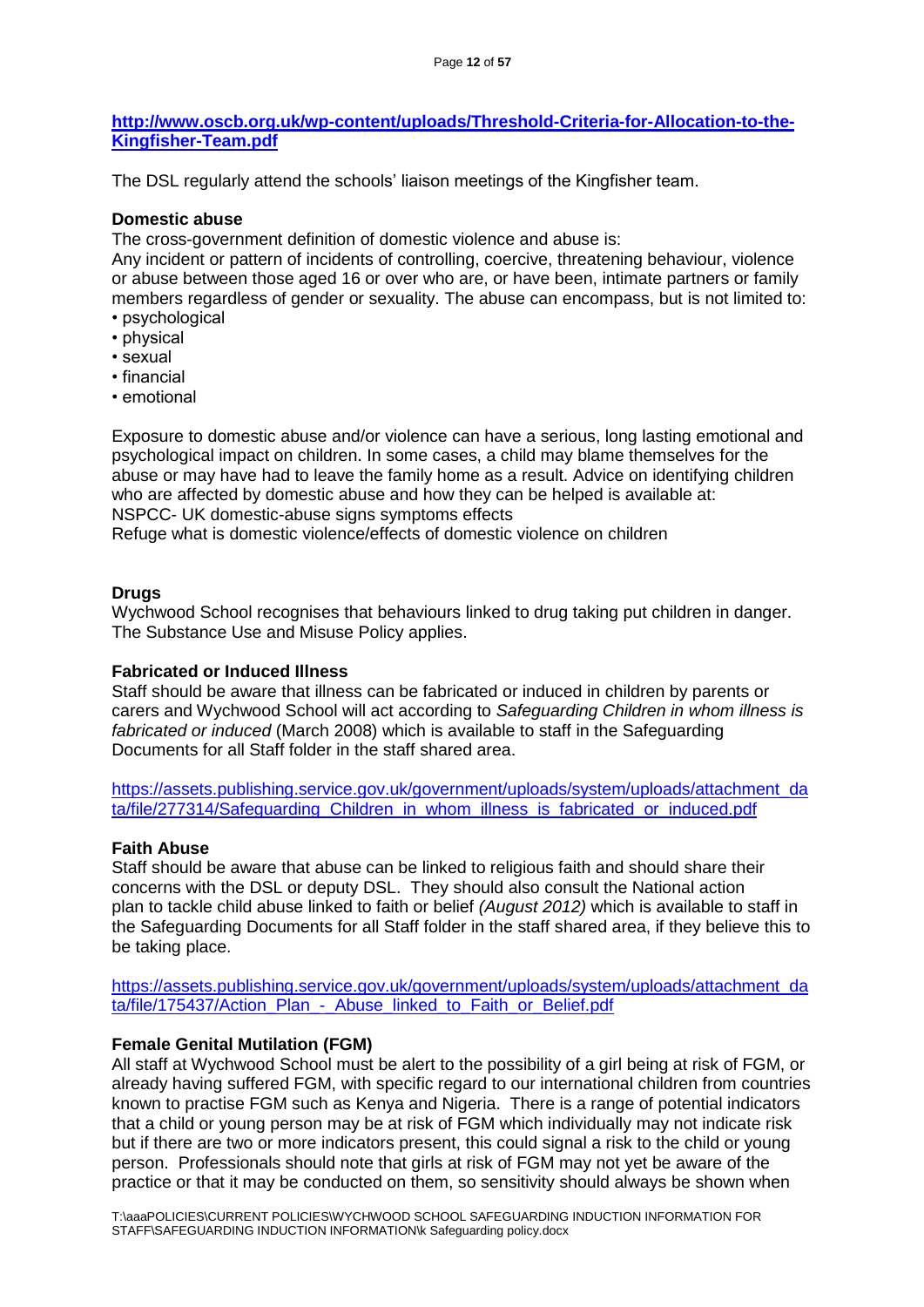## **[http://www.oscb.org.uk/wp-content/uploads/Threshold-Criteria-for-Allocation-to-the-](http://www.oscb.org.uk/wp-content/uploads/Threshold-Criteria-for-Allocation-to-the-Kingfisher-Team.pdf)[Kingfisher-Team.pdf](http://www.oscb.org.uk/wp-content/uploads/Threshold-Criteria-for-Allocation-to-the-Kingfisher-Team.pdf)**

The DSL regularly attend the schools' liaison meetings of the Kingfisher team.

## **Domestic abuse**

The cross-government definition of domestic violence and abuse is:

Any incident or pattern of incidents of controlling, coercive, threatening behaviour, violence or abuse between those aged 16 or over who are, or have been, intimate partners or family members regardless of gender or sexuality. The abuse can encompass, but is not limited to: • psychological

- physical
- sexual
- financial
- emotional

Exposure to domestic abuse and/or violence can have a serious, long lasting emotional and psychological impact on children. In some cases, a child may blame themselves for the abuse or may have had to leave the family home as a result. Advice on identifying children who are affected by domestic abuse and how they can be helped is available at: NSPCC- UK domestic-abuse signs symptoms effects

Refuge what is domestic violence/effects of domestic violence on children

#### **Drugs**

Wychwood School recognises that behaviours linked to drug taking put children in danger. The Substance Use and Misuse Policy applies.

#### **Fabricated or Induced Illness**

Staff should be aware that illness can be fabricated or induced in children by parents or carers and Wychwood School will act according to *Safeguarding Children in whom illness is fabricated or induced* (March 2008) which is available to staff in the Safeguarding Documents for all Staff folder in the staff shared area.

[https://assets.publishing.service.gov.uk/government/uploads/system/uploads/attachment\\_da](https://assets.publishing.service.gov.uk/government/uploads/system/uploads/attachment_data/file/277314/Safeguarding_Children_in_whom_illness_is_fabricated_or_induced.pdf) ta/file/277314/Safeguarding Children\_in\_whom\_illness\_is\_fabricated\_or\_induced.pdf

#### **Faith Abuse**

Staff should be aware that abuse can be linked to religious faith and should share their concerns with the DSL or deputy DSL. They should also consult the National action plan to tackle child abuse linked to faith or belief *(August 2012)* which is available to staff in the Safeguarding Documents for all Staff folder in the staff shared area, if they believe this to be taking place.

[https://assets.publishing.service.gov.uk/government/uploads/system/uploads/attachment\\_da](https://assets.publishing.service.gov.uk/government/uploads/system/uploads/attachment_data/file/175437/Action_Plan_-_Abuse_linked_to_Faith_or_Belief.pdf) ta/file/175437/Action\_Plan - Abuse\_linked\_to\_Faith\_or\_Belief.pdf

## **Female Genital Mutilation (FGM)**

All staff at Wychwood School must be alert to the possibility of a girl being at risk of FGM, or already having suffered FGM, with specific regard to our international children from countries known to practise FGM such as Kenya and Nigeria. There is a range of potential indicators that a child or young person may be at risk of FGM which individually may not indicate risk but if there are two or more indicators present, this could signal a risk to the child or young person. Professionals should note that girls at risk of FGM may not yet be aware of the practice or that it may be conducted on them, so sensitivity should always be shown when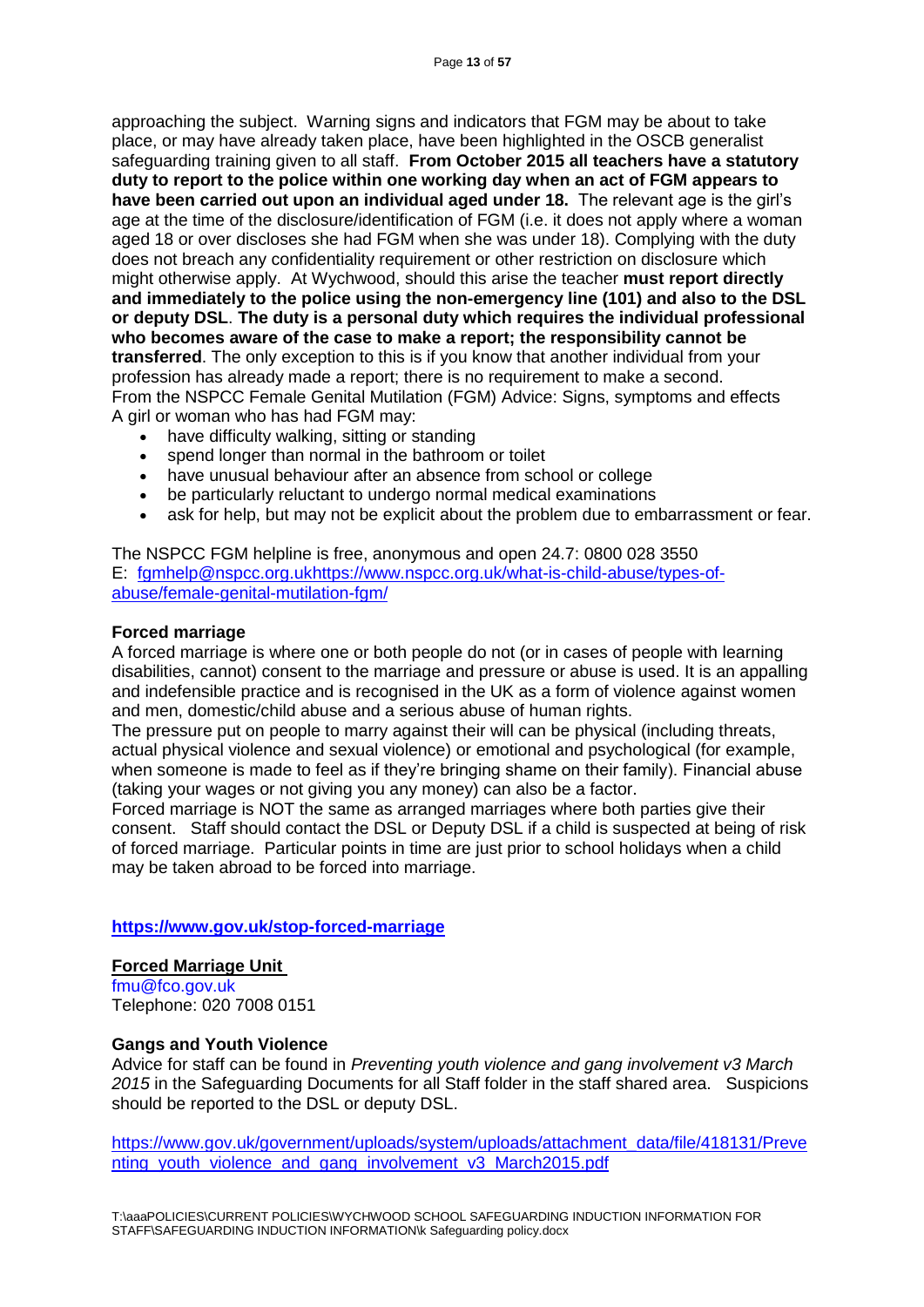approaching the subject. Warning signs and indicators that FGM may be about to take place, or may have already taken place, have been highlighted in the OSCB generalist safeguarding training given to all staff. **From October 2015 all teachers have a statutory duty to report to the police within one working day when an act of FGM appears to have been carried out upon an individual aged under 18.** The relevant age is the girl's age at the time of the disclosure/identification of FGM (i.e. it does not apply where a woman aged 18 or over discloses she had FGM when she was under 18). Complying with the duty does not breach any confidentiality requirement or other restriction on disclosure which might otherwise apply. At Wychwood, should this arise the teacher **must report directly and immediately to the police using the non-emergency line (101) and also to the DSL or deputy DSL**. **The duty is a personal duty which requires the individual professional who becomes aware of the case to make a report; the responsibility cannot be transferred**. The only exception to this is if you know that another individual from your profession has already made a report; there is no requirement to make a second. From the NSPCC Female Genital Mutilation (FGM) Advice: Signs, symptoms and effects A girl or woman who has had FGM may:

- have difficulty walking, sitting or standing
- spend longer than normal in the bathroom or toilet
- have unusual behaviour after an absence from school or college
- be particularly reluctant to undergo normal medical examinations
- ask for help, but may not be explicit about the problem due to embarrassment or fear.

The NSPCC FGM helpline is free, anonymous and open 24.7: 0800 028 3550 E: [fgmhelp@nspcc.org.ukhttps://www.nspcc.org.uk/what-is-child-abuse/types-of](mailto:fgmhelp@nspcc.org.uk)[abuse/female-genital-mutilation-fgm/](https://www.nspcc.org.uk/what-is-child-abuse/types-of-abuse/female-genital-mutilation-fgm/)

#### **Forced marriage**

A forced marriage is where one or both people do not (or in cases of people with learning disabilities, cannot) consent to the marriage and pressure or abuse is used. It is an appalling and indefensible practice and is recognised in the UK as a form of violence against women and men, domestic/child abuse and a serious abuse of human rights.

The pressure put on people to marry against their will can be physical (including threats, actual physical violence and sexual violence) or emotional and psychological (for example, when someone is made to feel as if they're bringing shame on their family). Financial abuse (taking your wages or not giving you any money) can also be a factor.

Forced marriage is NOT the same as arranged marriages where both parties give their consent. Staff should contact the DSL or Deputy DSL if a child is suspected at being of risk of forced marriage. Particular points in time are just prior to school holidays when a child may be taken abroad to be forced into marriage.

#### **<https://www.gov.uk/stop-forced-marriage>**

#### **Forced Marriage Unit**

[fmu@fco.gov.uk](mailto:fmu@fco.gov.uk) Telephone: 020 7008 0151

#### **Gangs and Youth Violence**

Advice for staff can be found in *Preventing youth violence and gang involvement v3 March 2015* in the Safeguarding Documents for all Staff folder in the staff shared area.Suspicions should be reported to the DSL or deputy DSL.

[https://www.gov.uk/government/uploads/system/uploads/attachment\\_data/file/418131/Preve](https://www.gov.uk/government/uploads/system/uploads/attachment_data/file/418131/Preventing_youth_violence_and_gang_involvement_v3_March2015.pdf) nting\_vouth\_violence\_and\_gang\_involvement\_v3\_March2015.pdf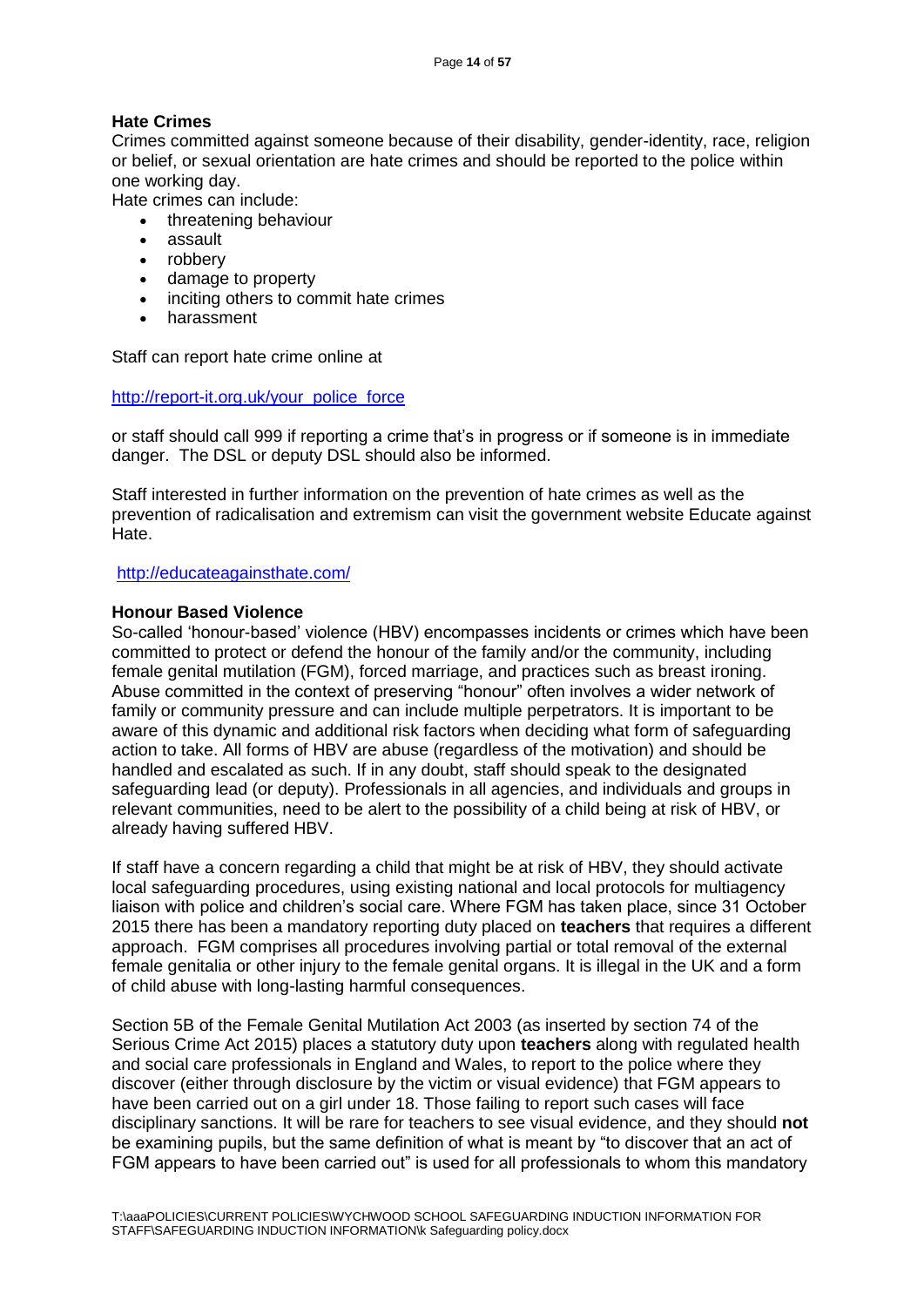## **Hate Crimes**

Crimes committed against someone because of their disability, gender-identity, race, religion or belief, or sexual orientation are hate crimes and should be reported to the police within one working day.

Hate crimes can include:

- threatening behaviour
- assault
- robbery
- damage to property
- inciting others to commit hate crimes
- harassment

Staff can report hate crime online at

#### [http://report-it.org.uk/your\\_police\\_force](http://report-it.org.uk/your_police_force)

or staff should call 999 if reporting a crime that's in progress or if someone is in immediate danger. The DSL or deputy DSL should also be informed.

Staff interested in further information on the prevention of hate crimes as well as the prevention of radicalisation and extremism can visit the government website Educate against Hate.

#### <http://educateagainsthate.com/>

#### **Honour Based Violence**

So-called 'honour-based' violence (HBV) encompasses incidents or crimes which have been committed to protect or defend the honour of the family and/or the community, including female genital mutilation (FGM), forced marriage, and practices such as breast ironing. Abuse committed in the context of preserving "honour" often involves a wider network of family or community pressure and can include multiple perpetrators. It is important to be aware of this dynamic and additional risk factors when deciding what form of safeguarding action to take. All forms of HBV are abuse (regardless of the motivation) and should be handled and escalated as such. If in any doubt, staff should speak to the designated safeguarding lead (or deputy). Professionals in all agencies, and individuals and groups in relevant communities, need to be alert to the possibility of a child being at risk of HBV, or already having suffered HBV.

If staff have a concern regarding a child that might be at risk of HBV, they should activate local safeguarding procedures, using existing national and local protocols for multiagency liaison with police and children's social care. Where FGM has taken place, since 31 October 2015 there has been a mandatory reporting duty placed on **teachers** that requires a different approach. FGM comprises all procedures involving partial or total removal of the external female genitalia or other injury to the female genital organs. It is illegal in the UK and a form of child abuse with long-lasting harmful consequences.

Section 5B of the Female Genital Mutilation Act 2003 (as inserted by section 74 of the Serious Crime Act 2015) places a statutory duty upon **teachers** along with regulated health and social care professionals in England and Wales, to report to the police where they discover (either through disclosure by the victim or visual evidence) that FGM appears to have been carried out on a girl under 18. Those failing to report such cases will face disciplinary sanctions. It will be rare for teachers to see visual evidence, and they should **not**  be examining pupils, but the same definition of what is meant by "to discover that an act of FGM appears to have been carried out" is used for all professionals to whom this mandatory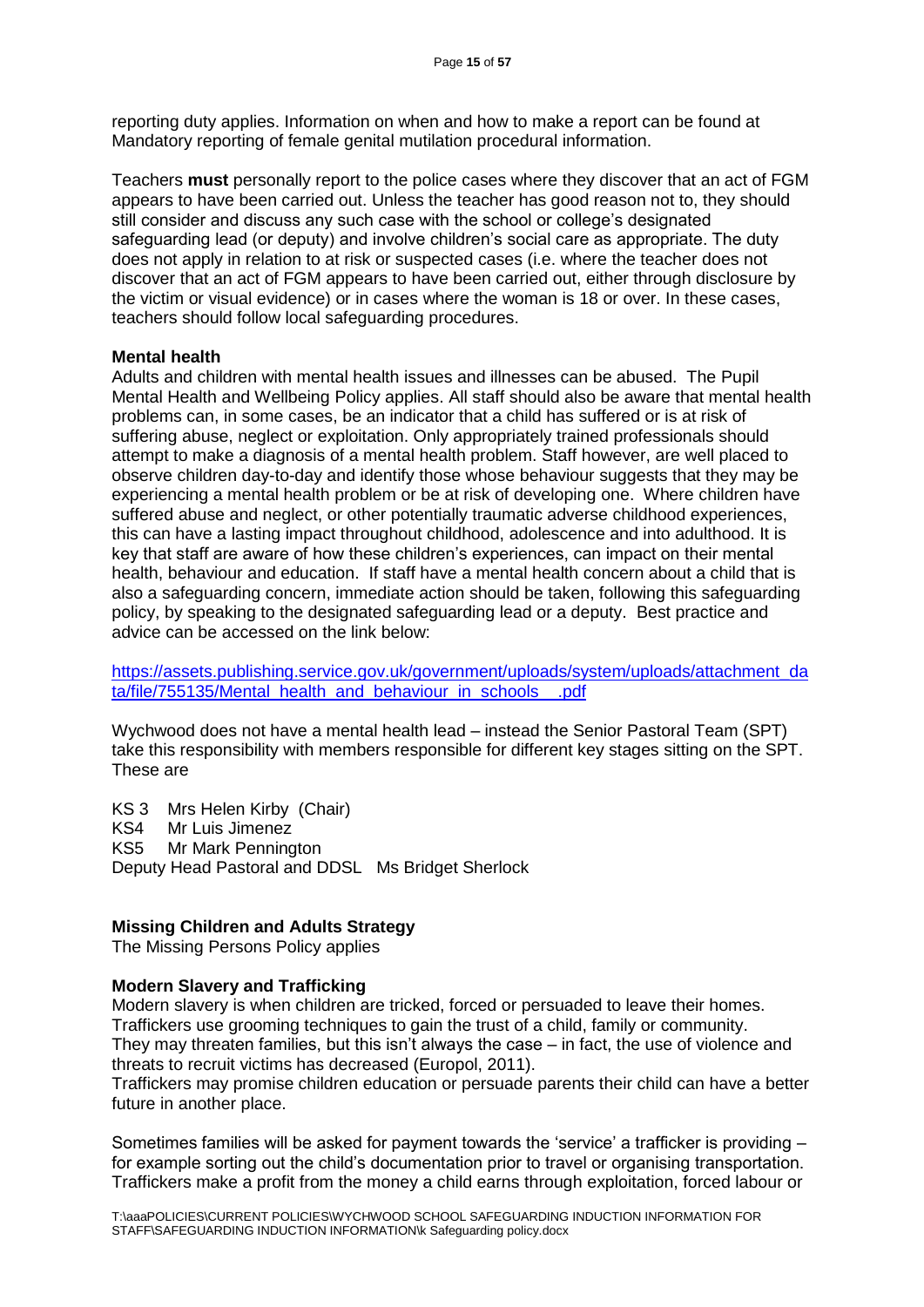reporting duty applies. Information on when and how to make a report can be found at Mandatory reporting of female genital mutilation procedural information.

Teachers **must** personally report to the police cases where they discover that an act of FGM appears to have been carried out. Unless the teacher has good reason not to, they should still consider and discuss any such case with the school or college's designated safeguarding lead (or deputy) and involve children's social care as appropriate. The duty does not apply in relation to at risk or suspected cases (i.e. where the teacher does not discover that an act of FGM appears to have been carried out, either through disclosure by the victim or visual evidence) or in cases where the woman is 18 or over. In these cases, teachers should follow local safeguarding procedures.

#### **Mental health**

Adults and children with mental health issues and illnesses can be abused. The Pupil Mental Health and Wellbeing Policy applies. All staff should also be aware that mental health problems can, in some cases, be an indicator that a child has suffered or is at risk of suffering abuse, neglect or exploitation. Only appropriately trained professionals should attempt to make a diagnosis of a mental health problem. Staff however, are well placed to observe children day-to-day and identify those whose behaviour suggests that they may be experiencing a mental health problem or be at risk of developing one. Where children have suffered abuse and neglect, or other potentially traumatic adverse childhood experiences, this can have a lasting impact throughout childhood, adolescence and into adulthood. It is key that staff are aware of how these children's experiences, can impact on their mental health, behaviour and education. If staff have a mental health concern about a child that is also a safeguarding concern, immediate action should be taken, following this safeguarding policy, by speaking to the designated safeguarding lead or a deputy. Best practice and advice can be accessed on the link below:

[https://assets.publishing.service.gov.uk/government/uploads/system/uploads/attachment\\_da](https://assets.publishing.service.gov.uk/government/uploads/system/uploads/attachment_data/file/755135/Mental_health_and_behaviour_in_schools__.pdf) [ta/file/755135/Mental\\_health\\_and\\_behaviour\\_in\\_schools\\_\\_.pdf](https://assets.publishing.service.gov.uk/government/uploads/system/uploads/attachment_data/file/755135/Mental_health_and_behaviour_in_schools__.pdf)

Wychwood does not have a mental health lead – instead the Senior Pastoral Team (SPT) take this responsibility with members responsible for different key stages sitting on the SPT. These are

KS 3 Mrs Helen Kirby (Chair) KS4 Mr Luis Jimenez KS5 Mr Mark Pennington Deputy Head Pastoral and DDSL Ms Bridget Sherlock

#### **Missing Children and Adults Strategy**

The Missing Persons Policy applies

#### **Modern Slavery and Trafficking**

Modern slavery is when children are tricked, forced or persuaded to leave their homes. Traffickers use grooming techniques to gain the trust of a child, family or community. They may threaten families, but this isn't always the case – in fact, the use of violence and threats to recruit victims has decreased (Europol, 2011).

Traffickers may promise children education or persuade parents their child can have a better future in another place.

Sometimes families will be asked for payment towards the 'service' a trafficker is providing – for example sorting out the child's documentation prior to travel or organising transportation. Traffickers make a profit from the money a child earns through exploitation, forced labour or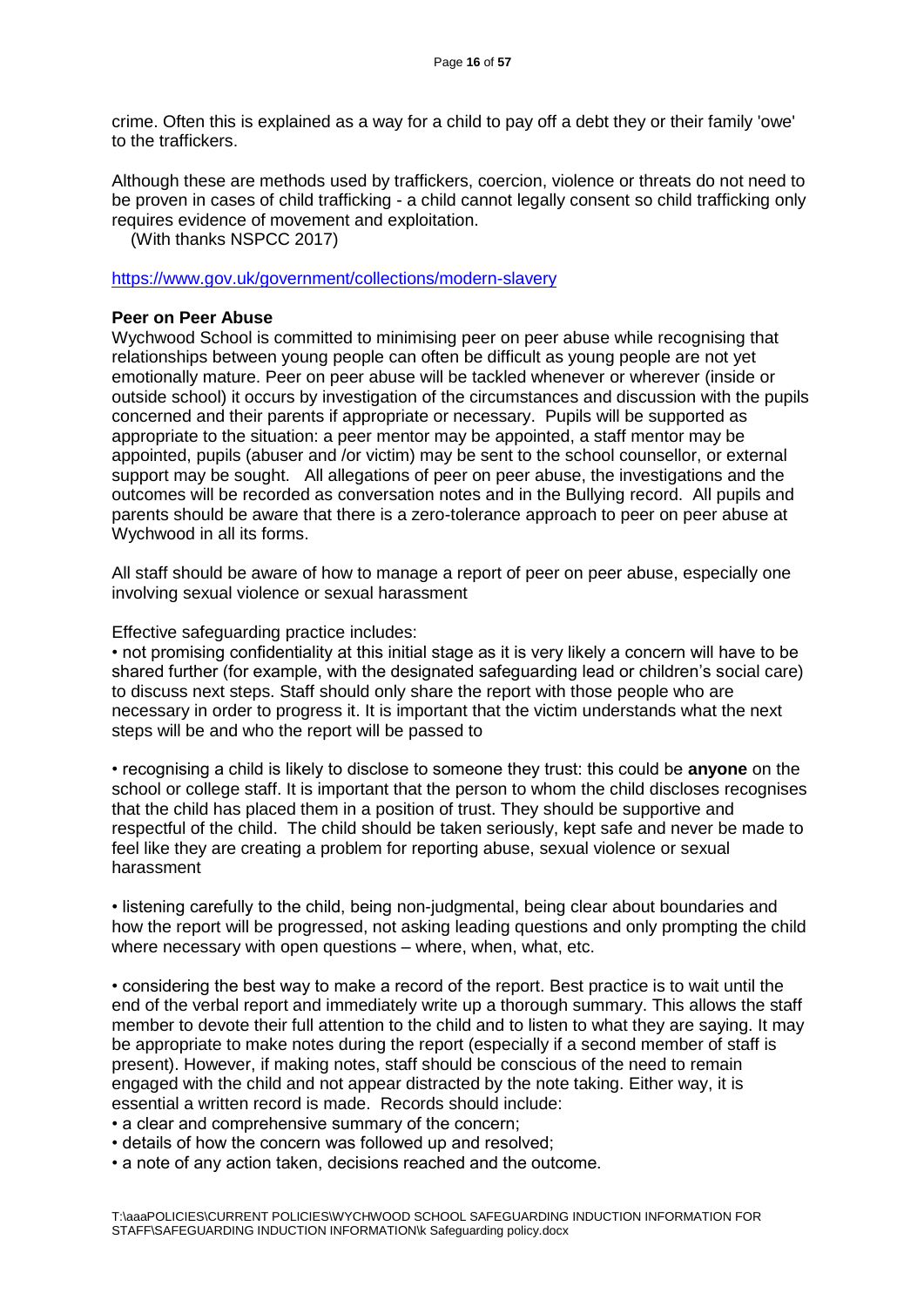crime. Often this is explained as a way for a child to pay off a debt they or their family 'owe' to the traffickers.

Although these are methods used by traffickers, coercion, violence or threats do not need to be proven in cases of child trafficking - a child cannot legally consent so child trafficking only requires evidence of movement and exploitation.

(With thanks NSPCC 2017)

<https://www.gov.uk/government/collections/modern-slavery>

#### **Peer on Peer Abuse**

Wychwood School is committed to minimising peer on peer abuse while recognising that relationships between young people can often be difficult as young people are not yet emotionally mature. Peer on peer abuse will be tackled whenever or wherever (inside or outside school) it occurs by investigation of the circumstances and discussion with the pupils concerned and their parents if appropriate or necessary. Pupils will be supported as appropriate to the situation: a peer mentor may be appointed, a staff mentor may be appointed, pupils (abuser and /or victim) may be sent to the school counsellor, or external support may be sought. All allegations of peer on peer abuse, the investigations and the outcomes will be recorded as conversation notes and in the Bullying record. All pupils and parents should be aware that there is a zero-tolerance approach to peer on peer abuse at Wychwood in all its forms.

All staff should be aware of how to manage a report of peer on peer abuse, especially one involving sexual violence or sexual harassment

Effective safeguarding practice includes:

• not promising confidentiality at this initial stage as it is very likely a concern will have to be shared further (for example, with the designated safeguarding lead or children's social care) to discuss next steps. Staff should only share the report with those people who are necessary in order to progress it. It is important that the victim understands what the next steps will be and who the report will be passed to

• recognising a child is likely to disclose to someone they trust: this could be **anyone** on the school or college staff. It is important that the person to whom the child discloses recognises that the child has placed them in a position of trust. They should be supportive and respectful of the child. The child should be taken seriously, kept safe and never be made to feel like they are creating a problem for reporting abuse, sexual violence or sexual harassment

• listening carefully to the child, being non-judgmental, being clear about boundaries and how the report will be progressed, not asking leading questions and only prompting the child where necessary with open questions – where, when, what, etc.

• considering the best way to make a record of the report. Best practice is to wait until the end of the verbal report and immediately write up a thorough summary. This allows the staff member to devote their full attention to the child and to listen to what they are saying. It may be appropriate to make notes during the report (especially if a second member of staff is present). However, if making notes, staff should be conscious of the need to remain engaged with the child and not appear distracted by the note taking. Either way, it is essential a written record is made. Records should include:

• a clear and comprehensive summary of the concern;

• details of how the concern was followed up and resolved;

• a note of any action taken, decisions reached and the outcome.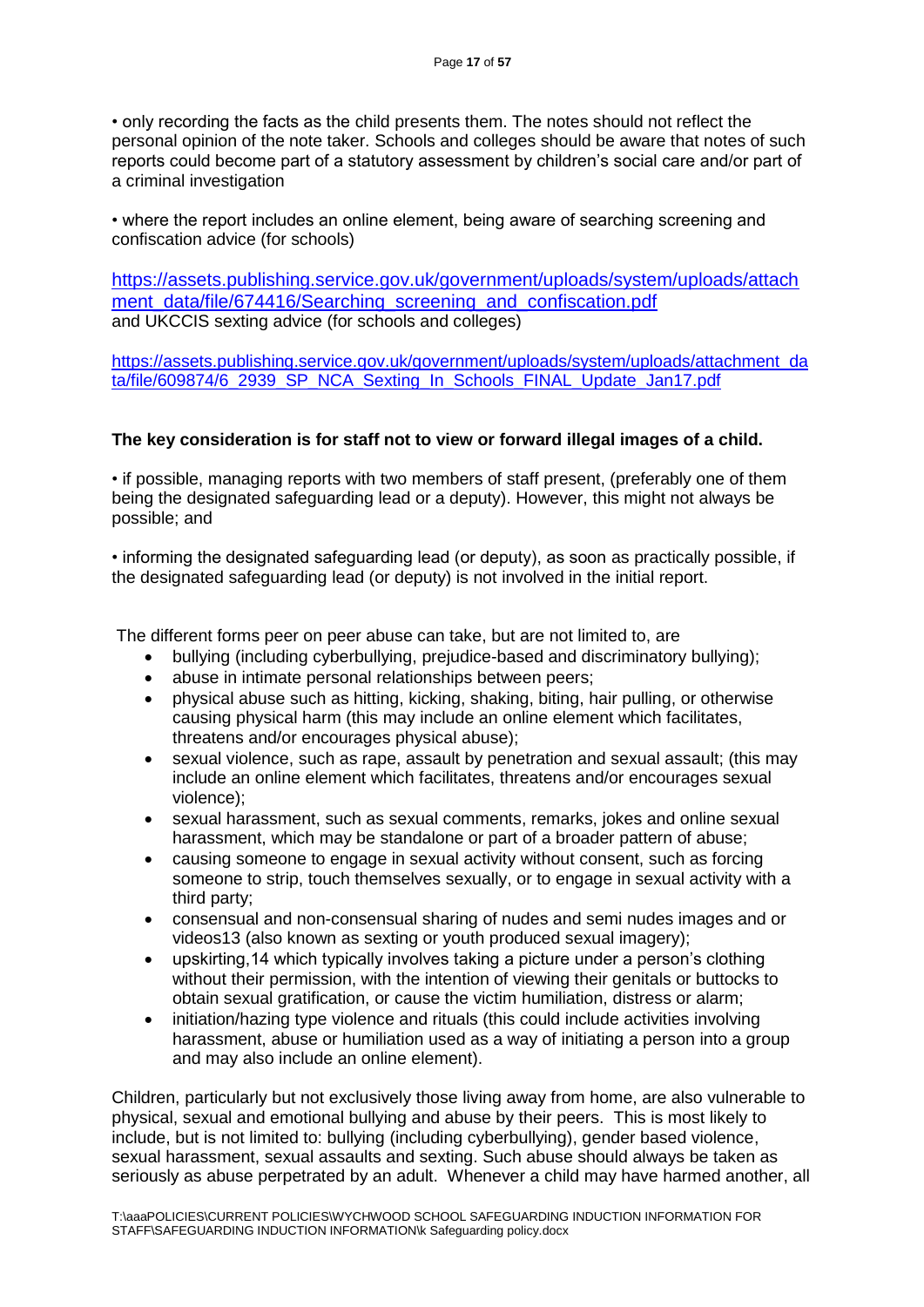• only recording the facts as the child presents them. The notes should not reflect the personal opinion of the note taker. Schools and colleges should be aware that notes of such reports could become part of a statutory assessment by children's social care and/or part of a criminal investigation

• where the report includes an online element, being aware of searching screening and confiscation advice (for schools)

[https://assets.publishing.service.gov.uk/government/uploads/system/uploads/attach](https://assets.publishing.service.gov.uk/government/uploads/system/uploads/attachment_data/file/674416/Searching_screening_and_confiscation.pdf) [ment\\_data/file/674416/Searching\\_screening\\_and\\_confiscation.pdf](https://assets.publishing.service.gov.uk/government/uploads/system/uploads/attachment_data/file/674416/Searching_screening_and_confiscation.pdf) and UKCCIS sexting advice (for schools and colleges)

[https://assets.publishing.service.gov.uk/government/uploads/system/uploads/attachment\\_da](https://assets.publishing.service.gov.uk/government/uploads/system/uploads/attachment_data/file/609874/6_2939_SP_NCA_Sexting_In_Schools_FINAL_Update_Jan17.pdf) [ta/file/609874/6\\_2939\\_SP\\_NCA\\_Sexting\\_In\\_Schools\\_FINAL\\_Update\\_Jan17.pdf](https://assets.publishing.service.gov.uk/government/uploads/system/uploads/attachment_data/file/609874/6_2939_SP_NCA_Sexting_In_Schools_FINAL_Update_Jan17.pdf)

## **The key consideration is for staff not to view or forward illegal images of a child.**

• if possible, managing reports with two members of staff present, (preferably one of them being the designated safeguarding lead or a deputy). However, this might not always be possible; and

• informing the designated safeguarding lead (or deputy), as soon as practically possible, if the designated safeguarding lead (or deputy) is not involved in the initial report.

The different forms peer on peer abuse can take, but are not limited to, are

- bullying (including cyberbullying, prejudice-based and discriminatory bullying);
- abuse in intimate personal relationships between peers;
- physical abuse such as hitting, kicking, shaking, biting, hair pulling, or otherwise causing physical harm (this may include an online element which facilitates, threatens and/or encourages physical abuse);
- sexual violence, such as rape, assault by penetration and sexual assault; (this may include an online element which facilitates, threatens and/or encourages sexual violence);
- sexual harassment, such as sexual comments, remarks, jokes and online sexual harassment, which may be standalone or part of a broader pattern of abuse;
- causing someone to engage in sexual activity without consent, such as forcing someone to strip, touch themselves sexually, or to engage in sexual activity with a third party;
- consensual and non-consensual sharing of nudes and semi nudes images and or videos13 (also known as sexting or youth produced sexual imagery);
- upskirting,14 which typically involves taking a picture under a person's clothing without their permission, with the intention of viewing their genitals or buttocks to obtain sexual gratification, or cause the victim humiliation, distress or alarm;
- initiation/hazing type violence and rituals (this could include activities involving harassment, abuse or humiliation used as a way of initiating a person into a group and may also include an online element).

Children, particularly but not exclusively those living away from home, are also vulnerable to physical, sexual and emotional bullying and abuse by their peers. This is most likely to include, but is not limited to: bullying (including cyberbullying), gender based violence, sexual harassment, sexual assaults and sexting. Such abuse should always be taken as seriously as abuse perpetrated by an adult. Whenever a child may have harmed another, all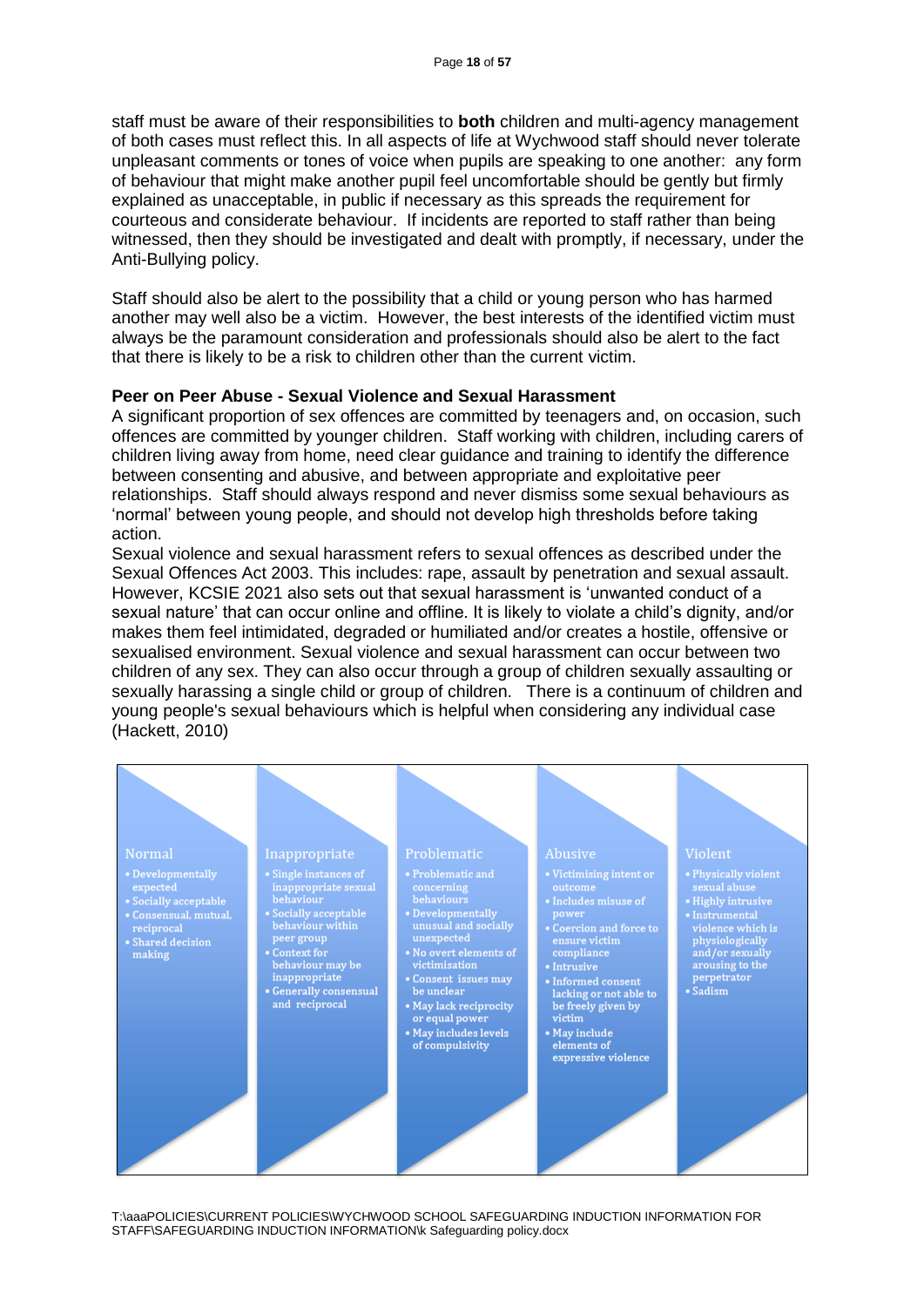staff must be aware of their responsibilities to **both** children and multi-agency management of both cases must reflect this. In all aspects of life at Wychwood staff should never tolerate unpleasant comments or tones of voice when pupils are speaking to one another: any form of behaviour that might make another pupil feel uncomfortable should be gently but firmly explained as unacceptable, in public if necessary as this spreads the requirement for courteous and considerate behaviour. If incidents are reported to staff rather than being witnessed, then they should be investigated and dealt with promptly, if necessary, under the Anti-Bullying policy.

Staff should also be alert to the possibility that a child or young person who has harmed another may well also be a victim. However, the best interests of the identified victim must always be the paramount consideration and professionals should also be alert to the fact that there is likely to be a risk to children other than the current victim.

#### **Peer on Peer Abuse - Sexual Violence and Sexual Harassment**

A significant proportion of sex offences are committed by teenagers and, on occasion, such offences are committed by younger children. Staff working with children, including carers of children living away from home, need clear guidance and training to identify the difference between consenting and abusive, and between appropriate and exploitative peer relationships. Staff should always respond and never dismiss some sexual behaviours as 'normal' between young people, and should not develop high thresholds before taking action.

Sexual violence and sexual harassment refers to sexual offences as described under the Sexual Offences Act 2003. This includes: rape, assault by penetration and sexual assault. However, KCSIE 2021 also sets out that sexual harassment is 'unwanted conduct of a sexual nature' that can occur online and offline. It is likely to violate a child's dignity, and/or makes them feel intimidated, degraded or humiliated and/or creates a hostile, offensive or sexualised environment. Sexual violence and sexual harassment can occur between two children of any sex. They can also occur through a group of children sexually assaulting or sexually harassing a single child or group of children. There is a continuum of children and young people's sexual behaviours which is helpful when considering any individual case (Hackett, 2010)



T:\aaaPOLICIES\CURRENT POLICIES\WYCHWOOD SCHOOL SAFEGUARDING INDUCTION INFORMATION FOR STAFF\SAFEGUARDING INDUCTION INFORMATION\k Safeguarding policy.docx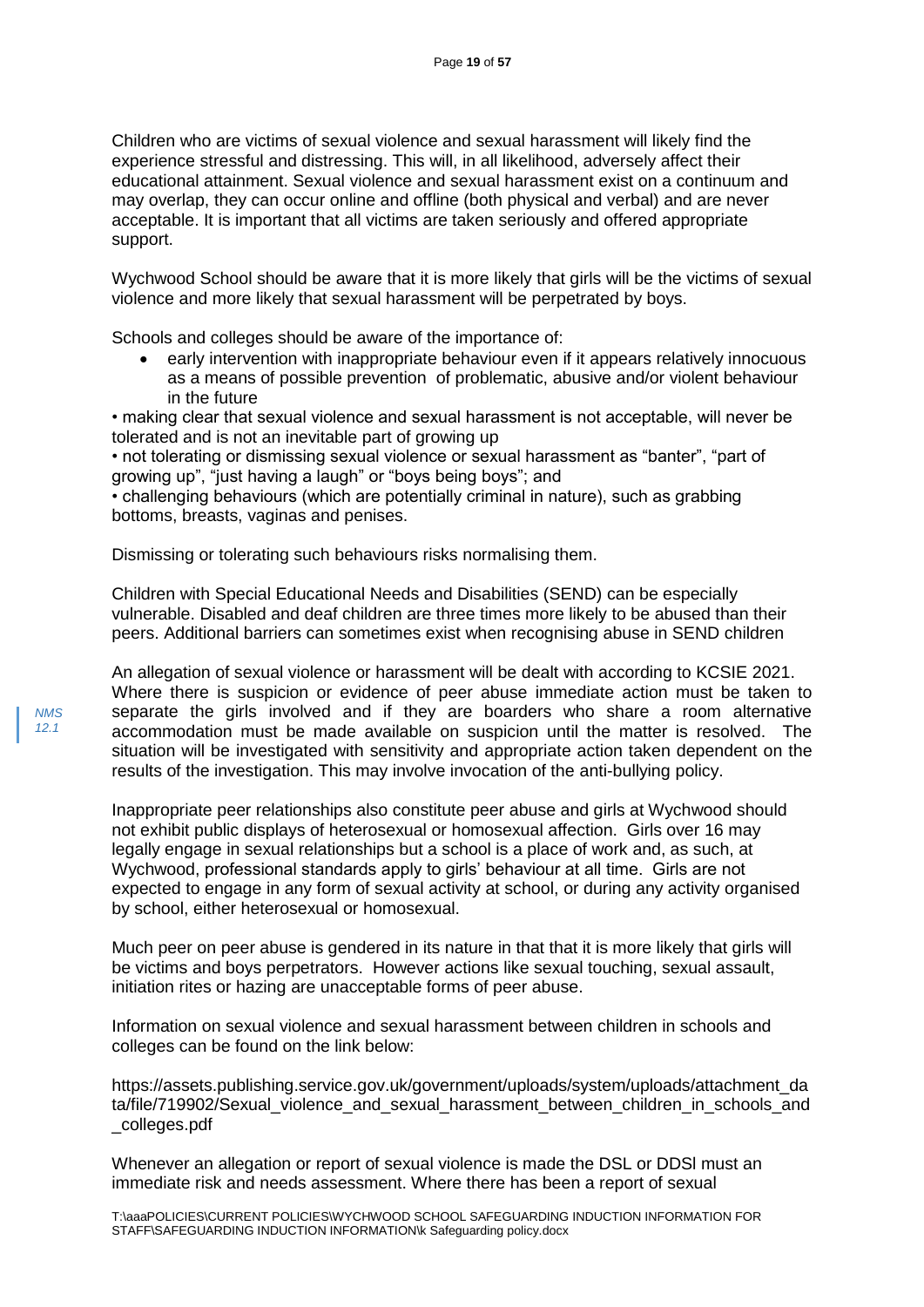Children who are victims of sexual violence and sexual harassment will likely find the experience stressful and distressing. This will, in all likelihood, adversely affect their educational attainment. Sexual violence and sexual harassment exist on a continuum and may overlap, they can occur online and offline (both physical and verbal) and are never acceptable. It is important that all victims are taken seriously and offered appropriate support.

Wychwood School should be aware that it is more likely that girls will be the victims of sexual violence and more likely that sexual harassment will be perpetrated by boys.

Schools and colleges should be aware of the importance of:

 early intervention with inappropriate behaviour even if it appears relatively innocuous as a means of possible prevention of problematic, abusive and/or violent behaviour in the future

• making clear that sexual violence and sexual harassment is not acceptable, will never be tolerated and is not an inevitable part of growing up

• not tolerating or dismissing sexual violence or sexual harassment as "banter", "part of growing up", "just having a laugh" or "boys being boys"; and

• challenging behaviours (which are potentially criminal in nature), such as grabbing bottoms, breasts, vaginas and penises.

Dismissing or tolerating such behaviours risks normalising them.

Children with Special Educational Needs and Disabilities (SEND) can be especially vulnerable. Disabled and deaf children are three times more likely to be abused than their peers. Additional barriers can sometimes exist when recognising abuse in SEND children

An allegation of sexual violence or harassment will be dealt with according to KCSIE 2021. Where there is suspicion or evidence of peer abuse immediate action must be taken to separate the girls involved and if they are boarders who share a room alternative accommodation must be made available on suspicion until the matter is resolved. The situation will be investigated with sensitivity and appropriate action taken dependent on the results of the investigation. This may involve invocation of the anti-bullying policy.

Inappropriate peer relationships also constitute peer abuse and girls at Wychwood should not exhibit public displays of heterosexual or homosexual affection. Girls over 16 may legally engage in sexual relationships but a school is a place of work and, as such, at Wychwood, professional standards apply to girls' behaviour at all time. Girls are not expected to engage in any form of sexual activity at school, or during any activity organised by school, either heterosexual or homosexual.

Much peer on peer abuse is gendered in its nature in that that it is more likely that girls will be victims and boys perpetrators. However actions like sexual touching, sexual assault, initiation rites or hazing are unacceptable forms of peer abuse.

Information on sexual violence and sexual harassment between children in schools and colleges can be found on the link below:

https://assets.publishing.service.gov.uk/government/uploads/system/uploads/attachment\_da ta/file/719902/Sexual\_violence\_and\_sexual\_harassment\_between\_children\_in\_schools\_and \_colleges.pdf

Whenever an allegation or report of sexual violence is made the DSL or DDSl must an immediate risk and needs assessment. Where there has been a report of sexual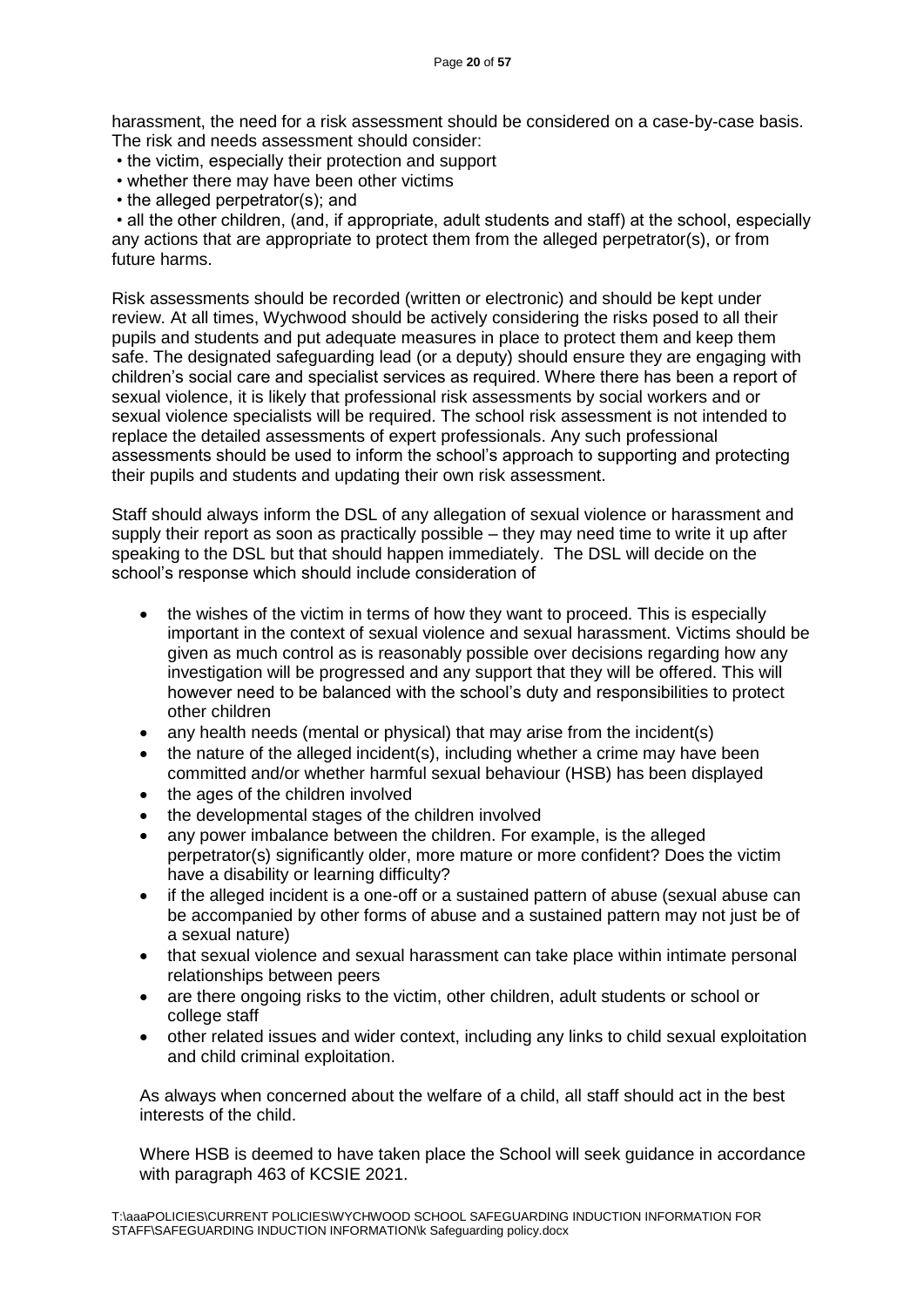harassment, the need for a risk assessment should be considered on a case-by-case basis. The risk and needs assessment should consider:

- the victim, especially their protection and support
- whether there may have been other victims
- the alleged perpetrator(s); and

• all the other children, (and, if appropriate, adult students and staff) at the school, especially any actions that are appropriate to protect them from the alleged perpetrator(s), or from future harms.

Risk assessments should be recorded (written or electronic) and should be kept under review. At all times, Wychwood should be actively considering the risks posed to all their pupils and students and put adequate measures in place to protect them and keep them safe. The designated safeguarding lead (or a deputy) should ensure they are engaging with children's social care and specialist services as required. Where there has been a report of sexual violence, it is likely that professional risk assessments by social workers and or sexual violence specialists will be required. The school risk assessment is not intended to replace the detailed assessments of expert professionals. Any such professional assessments should be used to inform the school's approach to supporting and protecting their pupils and students and updating their own risk assessment.

Staff should always inform the DSL of any allegation of sexual violence or harassment and supply their report as soon as practically possible – they may need time to write it up after speaking to the DSL but that should happen immediately. The DSL will decide on the school's response which should include consideration of

- the wishes of the victim in terms of how they want to proceed. This is especially important in the context of sexual violence and sexual harassment. Victims should be given as much control as is reasonably possible over decisions regarding how any investigation will be progressed and any support that they will be offered. This will however need to be balanced with the school's duty and responsibilities to protect other children
- any health needs (mental or physical) that may arise from the incident(s)
- the nature of the alleged incident(s), including whether a crime may have been committed and/or whether harmful sexual behaviour (HSB) has been displayed
- the ages of the children involved
- the developmental stages of the children involved
- any power imbalance between the children. For example, is the alleged perpetrator(s) significantly older, more mature or more confident? Does the victim have a disability or learning difficulty?
- if the alleged incident is a one-off or a sustained pattern of abuse (sexual abuse can be accompanied by other forms of abuse and a sustained pattern may not just be of a sexual nature)
- that sexual violence and sexual harassment can take place within intimate personal relationships between peers
- are there ongoing risks to the victim, other children, adult students or school or college staff
- other related issues and wider context, including any links to child sexual exploitation and child criminal exploitation.

As always when concerned about the welfare of a child, all staff should act in the best interests of the child.

Where HSB is deemed to have taken place the School will seek guidance in accordance with paragraph 463 of KCSIE 2021.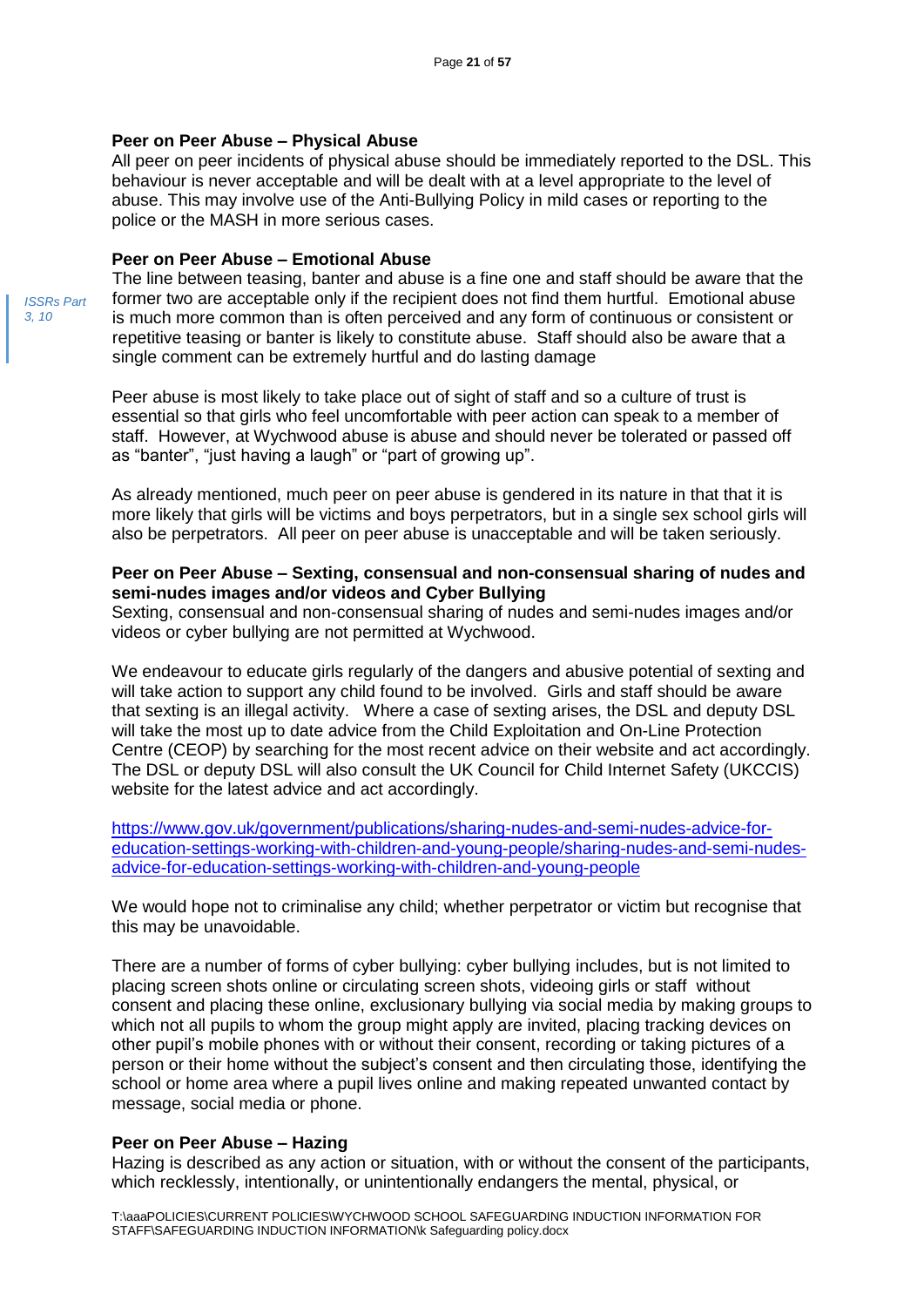#### **Peer on Peer Abuse – Physical Abuse**

All peer on peer incidents of physical abuse should be immediately reported to the DSL. This behaviour is never acceptable and will be dealt with at a level appropriate to the level of abuse. This may involve use of the Anti-Bullying Policy in mild cases or reporting to the police or the MASH in more serious cases.

#### **Peer on Peer Abuse – Emotional Abuse**

The line between teasing, banter and abuse is a fine one and staff should be aware that the former two are acceptable only if the recipient does not find them hurtful. Emotional abuse is much more common than is often perceived and any form of continuous or consistent or repetitive teasing or banter is likely to constitute abuse. Staff should also be aware that a single comment can be extremely hurtful and do lasting damage

Peer abuse is most likely to take place out of sight of staff and so a culture of trust is essential so that girls who feel uncomfortable with peer action can speak to a member of staff. However, at Wychwood abuse is abuse and should never be tolerated or passed off as "banter", "just having a laugh" or "part of growing up".

As already mentioned, much peer on peer abuse is gendered in its nature in that that it is more likely that girls will be victims and boys perpetrators, but in a single sex school girls will also be perpetrators. All peer on peer abuse is unacceptable and will be taken seriously.

#### **Peer on Peer Abuse – Sexting, consensual and non-consensual sharing of nudes and semi-nudes images and/or videos and Cyber Bullying**

Sexting, consensual and non-consensual sharing of nudes and semi-nudes images and/or videos or cyber bullying are not permitted at Wychwood.

We endeavour to educate girls regularly of the dangers and abusive potential of sexting and will take action to support any child found to be involved. Girls and staff should be aware that sexting is an illegal activity. Where a case of sexting arises, the DSL and deputy DSL will take the most up to date advice from the Child Exploitation and On-Line Protection Centre (CEOP) by searching for the most recent advice on their website and act accordingly. The DSL or deputy DSL will also consult the UK Council for Child Internet Safety (UKCCIS) website for the latest advice and act accordingly.

[https://www.gov.uk/government/publications/sharing-nudes-and-semi-nudes-advice-for](https://www.gov.uk/government/publications/sharing-nudes-and-semi-nudes-advice-for-education-settings-working-with-children-and-young-people/sharing-nudes-and-semi-nudes-advice-for-education-settings-working-with-children-and-young-people)[education-settings-working-with-children-and-young-people/sharing-nudes-and-semi-nudes](https://www.gov.uk/government/publications/sharing-nudes-and-semi-nudes-advice-for-education-settings-working-with-children-and-young-people/sharing-nudes-and-semi-nudes-advice-for-education-settings-working-with-children-and-young-people)[advice-for-education-settings-working-with-children-and-young-people](https://www.gov.uk/government/publications/sharing-nudes-and-semi-nudes-advice-for-education-settings-working-with-children-and-young-people/sharing-nudes-and-semi-nudes-advice-for-education-settings-working-with-children-and-young-people)

We would hope not to criminalise any child; whether perpetrator or victim but recognise that this may be unavoidable.

There are a number of forms of cyber bullying: cyber bullying includes, but is not limited to placing screen shots online or circulating screen shots, videoing girls or staff without consent and placing these online, exclusionary bullying via social media by making groups to which not all pupils to whom the group might apply are invited, placing tracking devices on other pupil's mobile phones with or without their consent, recording or taking pictures of a person or their home without the subject's consent and then circulating those, identifying the school or home area where a pupil lives online and making repeated unwanted contact by message, social media or phone.

#### **Peer on Peer Abuse – Hazing**

Hazing is described as any action or situation, with or without the consent of the participants, which recklessly, intentionally, or unintentionally endangers the mental, physical, or

*ISSRs Part 3, 10*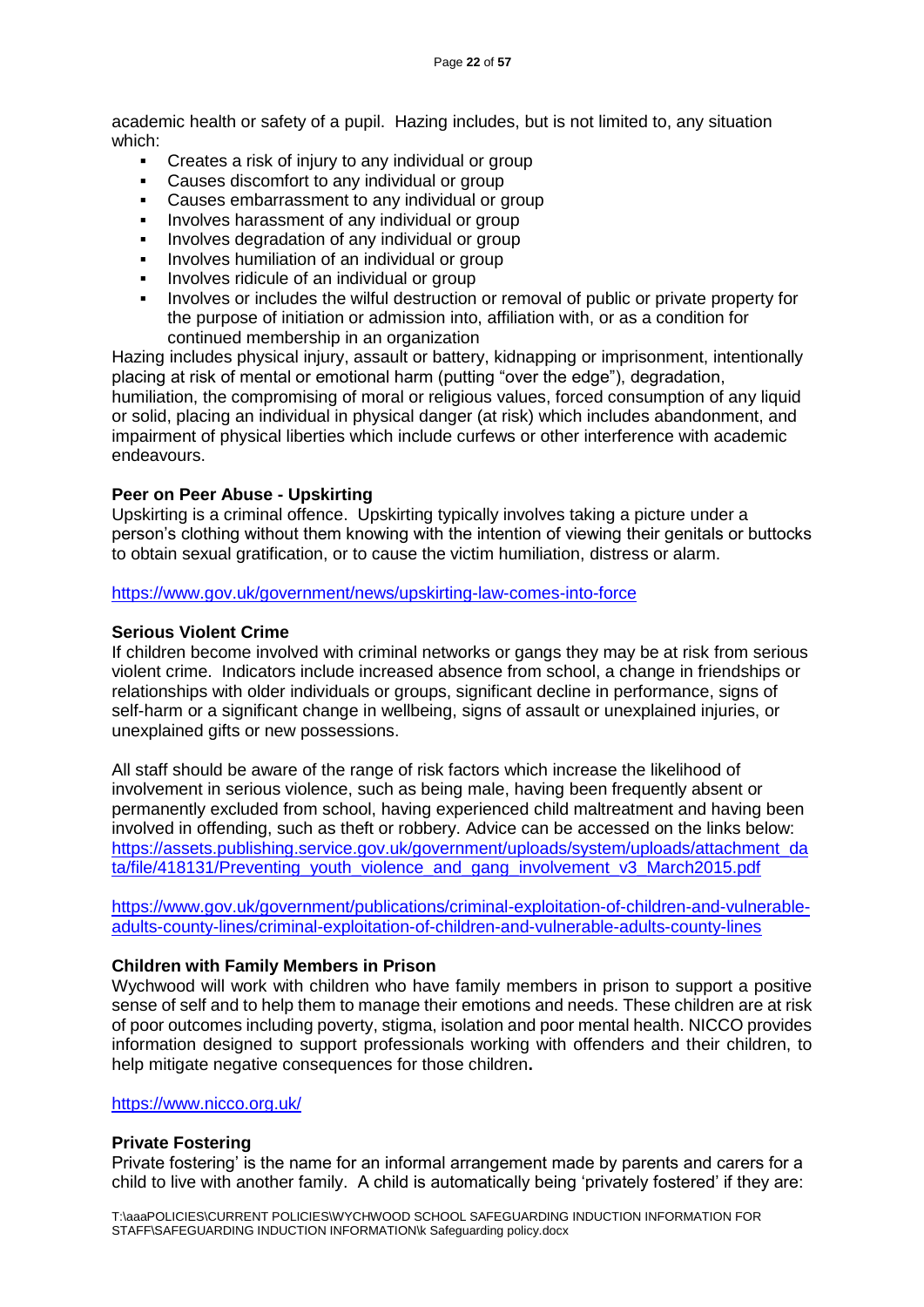academic health or safety of a pupil. Hazing includes, but is not limited to, any situation which:

- Creates a risk of injury to any individual or group
- Causes discomfort to any individual or group
- Causes embarrassment to any individual or group
- **Involves harassment of any individual or group**
- Involves degradation of any individual or group
- Involves humiliation of an individual or group
- Involves ridicule of an individual or group
- Involves or includes the wilful destruction or removal of public or private property for the purpose of initiation or admission into, affiliation with, or as a condition for continued membership in an organization

Hazing includes physical injury, assault or battery, kidnapping or imprisonment, intentionally placing at risk of mental or emotional harm (putting "over the edge"), degradation, humiliation, the compromising of moral or religious values, forced consumption of any liquid or solid, placing an individual in physical danger (at risk) which includes abandonment, and impairment of physical liberties which include curfews or other interference with academic endeavours.

## **Peer on Peer Abuse - Upskirting**

Upskirting is a criminal offence. Upskirting typically involves taking a picture under a person's clothing without them knowing with the intention of viewing their genitals or buttocks to obtain sexual gratification, or to cause the victim humiliation, distress or alarm.

#### <https://www.gov.uk/government/news/upskirting-law-comes-into-force>

#### **Serious Violent Crime**

If children become involved with criminal networks or gangs they may be at risk from serious violent crime. Indicators include increased absence from school, a change in friendships or relationships with older individuals or groups, significant decline in performance, signs of self-harm or a significant change in wellbeing, signs of assault or unexplained injuries, or unexplained gifts or new possessions.

All staff should be aware of the range of risk factors which increase the likelihood of involvement in serious violence, such as being male, having been frequently absent or permanently excluded from school, having experienced child maltreatment and having been involved in offending, such as theft or robbery. Advice can be accessed on the links below: [https://assets.publishing.service.gov.uk/government/uploads/system/uploads/attachment\\_da](https://assets.publishing.service.gov.uk/government/uploads/system/uploads/attachment_data/file/418131/Preventing_youth_violence_and_gang_involvement_v3_March2015.pdf) [ta/file/418131/Preventing\\_youth\\_violence\\_and\\_gang\\_involvement\\_v3\\_March2015.pdf](https://assets.publishing.service.gov.uk/government/uploads/system/uploads/attachment_data/file/418131/Preventing_youth_violence_and_gang_involvement_v3_March2015.pdf)

[https://www.gov.uk/government/publications/criminal-exploitation-of-children-and-vulnerable](https://www.gov.uk/government/publications/criminal-exploitation-of-children-and-vulnerable-adults-county-lines/criminal-exploitation-of-children-and-vulnerable-adults-county-lines)[adults-county-lines/criminal-exploitation-of-children-and-vulnerable-adults-county-lines](https://www.gov.uk/government/publications/criminal-exploitation-of-children-and-vulnerable-adults-county-lines/criminal-exploitation-of-children-and-vulnerable-adults-county-lines)

#### **Children with Family Members in Prison**

Wychwood will work with children who have family members in prison to support a positive sense of self and to help them to manage their emotions and needs. These children are at risk of poor outcomes including poverty, stigma, isolation and poor mental health. NICCO provides information designed to support professionals working with offenders and their children, to help mitigate negative consequences for those children**.** 

#### <https://www.nicco.org.uk/>

#### **Private Fostering**

Private fostering' is the name for an informal arrangement made by parents and carers for a child to live with another family. A child is automatically being 'privately fostered' if they are: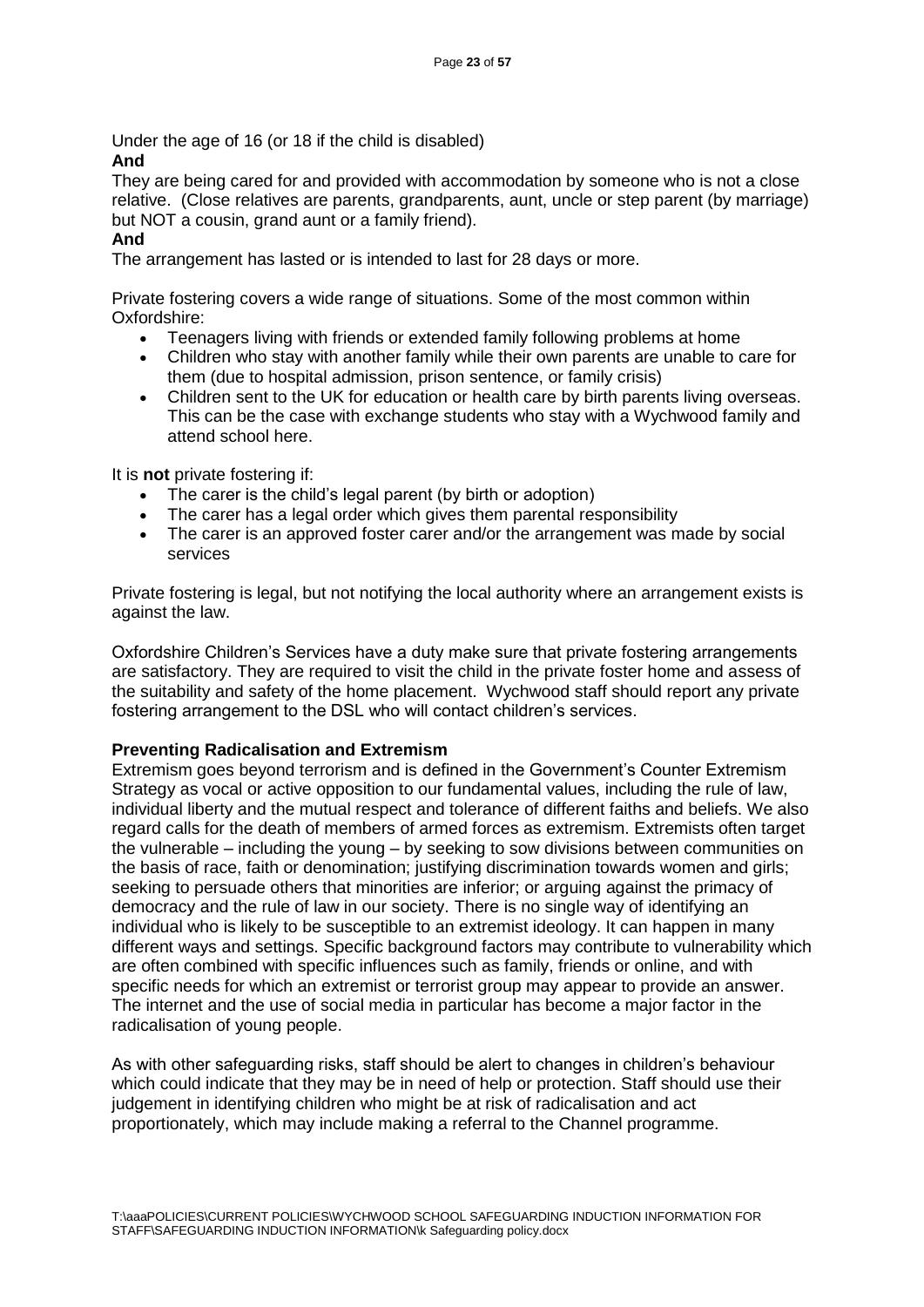Under the age of 16 (or 18 if the child is disabled)

## **And**

They are being cared for and provided with accommodation by someone who is not a close relative. (Close relatives are parents, grandparents, aunt, uncle or step parent (by marriage) but NOT a cousin, grand aunt or a family friend).

## **And**

The arrangement has lasted or is intended to last for 28 days or more.

Private fostering covers a wide range of situations. Some of the most common within Oxfordshire:

- Teenagers living with friends or extended family following problems at home<br>• Children who stav with another family while their own parents are unable to com-
- Children who stay with another family while their own parents are unable to care for them (due to hospital admission, prison sentence, or family crisis)
- Children sent to the UK for education or health care by birth parents living overseas. This can be the case with exchange students who stay with a Wychwood family and attend school here.

It is **not** private fostering if:

- The carer is the child's legal parent (by birth or adoption)
- The carer has a legal order which gives them parental responsibility
- The carer is an approved foster carer and/or the arrangement was made by social services

Private fostering is legal, but not notifying the local authority where an arrangement exists is against the law.

Oxfordshire Children's Services have a duty make sure that private fostering arrangements are satisfactory. They are required to visit the child in the private foster home and assess of the suitability and safety of the home placement. Wychwood staff should report any private fostering arrangement to the DSL who will contact children's services.

## **Preventing Radicalisation and Extremism**

Extremism goes beyond terrorism and is defined in the Government's Counter Extremism Strategy as vocal or active opposition to our fundamental values, including the rule of law, individual liberty and the mutual respect and tolerance of different faiths and beliefs. We also regard calls for the death of members of armed forces as extremism. Extremists often target the vulnerable – including the young – by seeking to sow divisions between communities on the basis of race, faith or denomination; justifying discrimination towards women and girls; seeking to persuade others that minorities are inferior; or arguing against the primacy of democracy and the rule of law in our society. There is no single way of identifying an individual who is likely to be susceptible to an extremist ideology. It can happen in many different ways and settings. Specific background factors may contribute to vulnerability which are often combined with specific influences such as family, friends or online, and with specific needs for which an extremist or terrorist group may appear to provide an answer. The internet and the use of social media in particular has become a major factor in the radicalisation of young people.

As with other safeguarding risks, staff should be alert to changes in children's behaviour which could indicate that they may be in need of help or protection. Staff should use their judgement in identifying children who might be at risk of radicalisation and act proportionately, which may include making a referral to the Channel programme.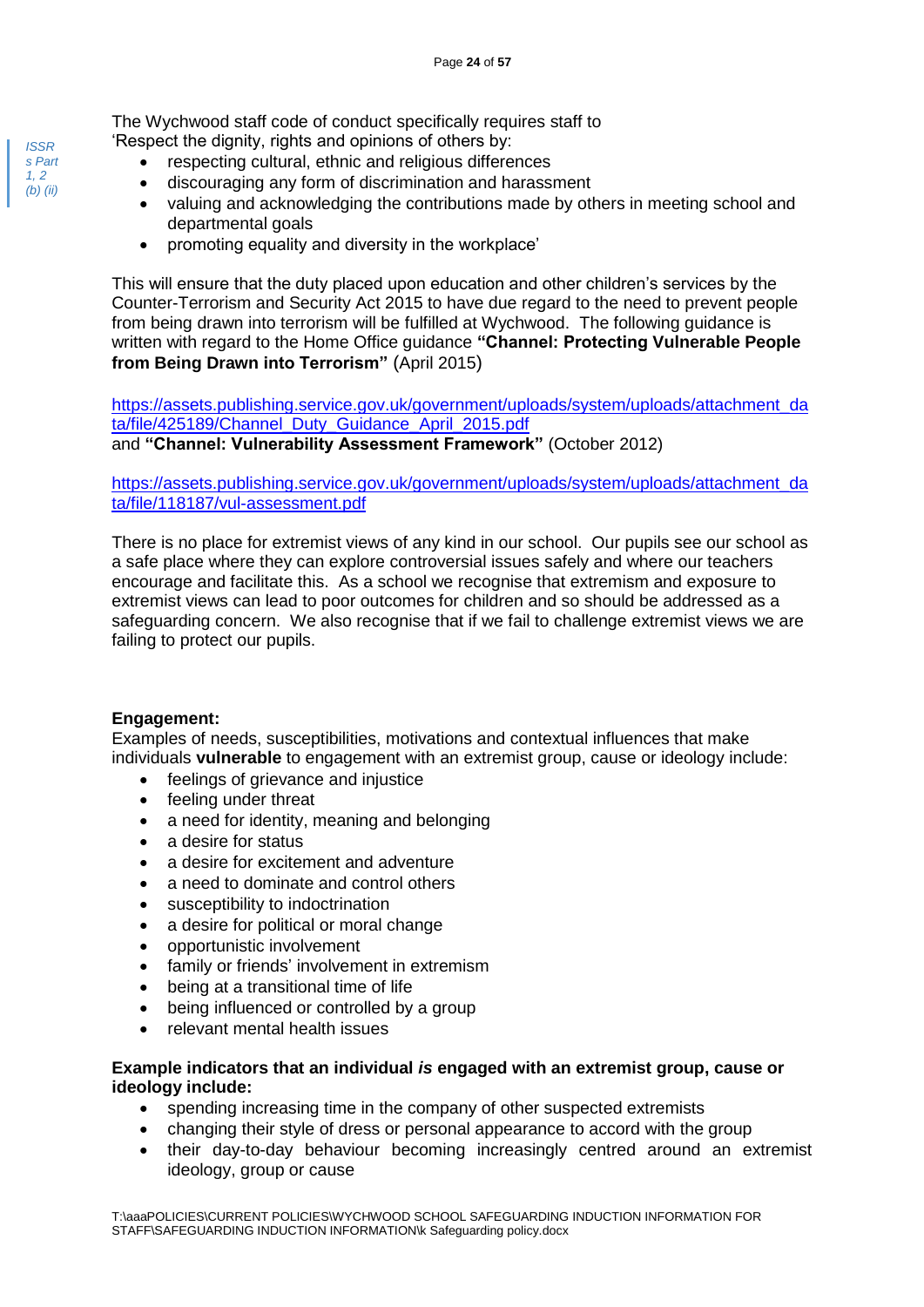The Wychwood staff code of conduct specifically requires staff to 'Respect the dignity, rights and opinions of others by:

- respecting cultural, ethnic and religious differences
- discouraging any form of discrimination and harassment
- valuing and acknowledging the contributions made by others in meeting school and departmental goals
- promoting equality and diversity in the workplace'

This will ensure that the duty placed upon education and other children's services by the Counter-Terrorism and Security Act 2015 to have due regard to the need to prevent people from being drawn into terrorism will be fulfilled at Wychwood. The following guidance is written with regard to the Home Office guidance **"Channel: Protecting Vulnerable People from Being Drawn into Terrorism"** (April 2015)

[https://assets.publishing.service.gov.uk/government/uploads/system/uploads/attachment\\_da](https://assets.publishing.service.gov.uk/government/uploads/system/uploads/attachment_data/file/425189/Channel_Duty_Guidance_April_2015.pdf) [ta/file/425189/Channel\\_Duty\\_Guidance\\_April\\_2015.pdf](https://assets.publishing.service.gov.uk/government/uploads/system/uploads/attachment_data/file/425189/Channel_Duty_Guidance_April_2015.pdf) and **"Channel: Vulnerability Assessment Framework"** (October 2012)

[https://assets.publishing.service.gov.uk/government/uploads/system/uploads/attachment\\_da](https://assets.publishing.service.gov.uk/government/uploads/system/uploads/attachment_data/file/118187/vul-assessment.pdf) [ta/file/118187/vul-assessment.pdf](https://assets.publishing.service.gov.uk/government/uploads/system/uploads/attachment_data/file/118187/vul-assessment.pdf)

There is no place for extremist views of any kind in our school. Our pupils see our school as a safe place where they can explore controversial issues safely and where our teachers encourage and facilitate this. As a school we recognise that extremism and exposure to extremist views can lead to poor outcomes for children and so should be addressed as a safeguarding concern. We also recognise that if we fail to challenge extremist views we are failing to protect our pupils.

## **Engagement:**

Examples of needs, susceptibilities, motivations and contextual influences that make individuals **vulnerable** to engagement with an extremist group, cause or ideology include:

- feelings of grievance and injustice
- feeling under threat
- a need for identity, meaning and belonging
- a desire for status
- a desire for excitement and adventure
- a need to dominate and control others
- susceptibility to indoctrination
- a desire for political or moral change
- opportunistic involvement
- family or friends' involvement in extremism
- being at a transitional time of life
- being influenced or controlled by a group
- relevant mental health issues

#### **Example indicators that an individual** *is* **engaged with an extremist group, cause or ideology include:**

- spending increasing time in the company of other suspected extremists
- changing their style of dress or personal appearance to accord with the group
- their day-to-day behaviour becoming increasingly centred around an extremist ideology, group or cause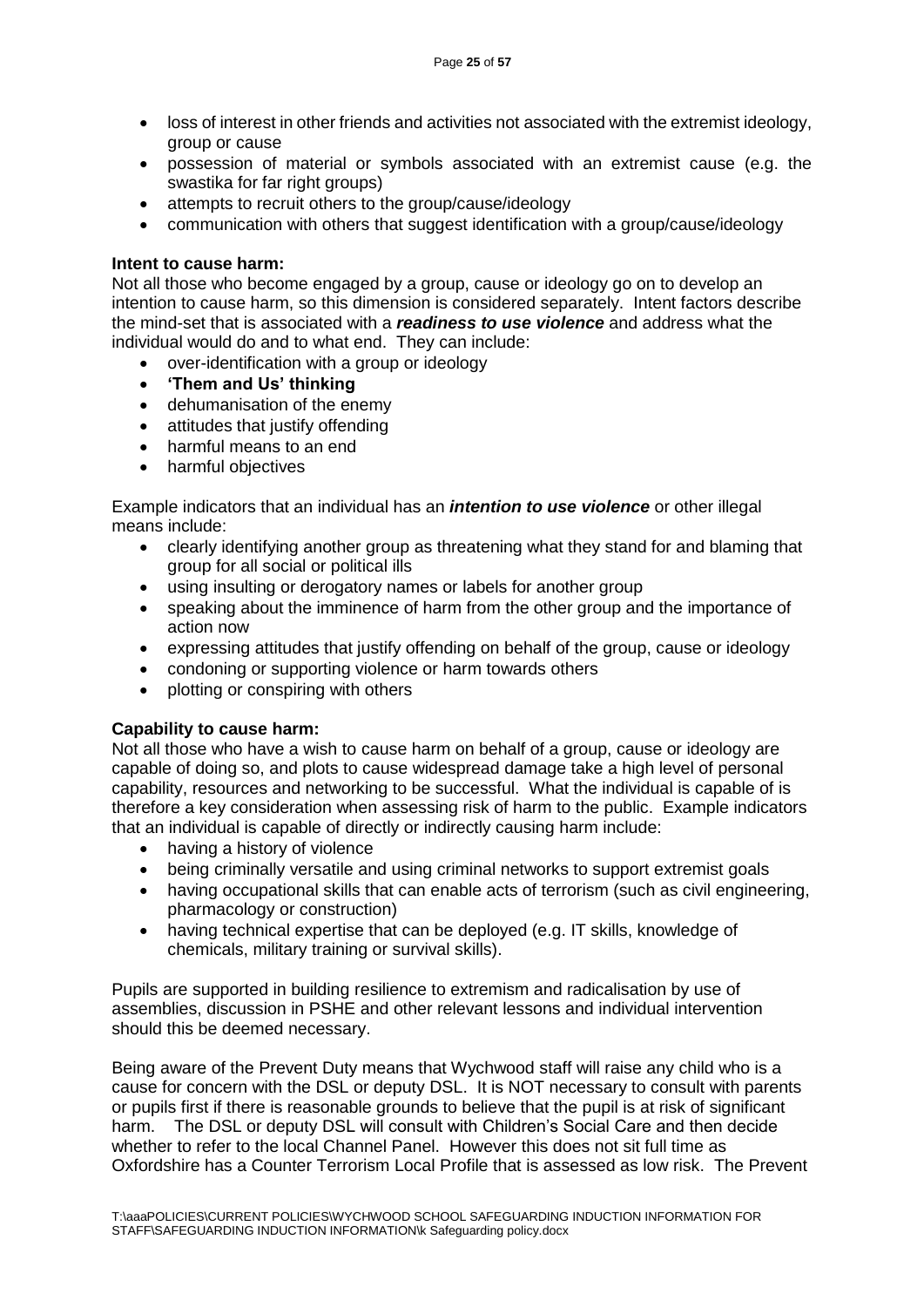- loss of interest in other friends and activities not associated with the extremist ideology, group or cause
- possession of material or symbols associated with an extremist cause (e.g. the swastika for far right groups)
- attempts to recruit others to the group/cause/ideology
- communication with others that suggest identification with a group/cause/ideology

## **Intent to cause harm:**

Not all those who become engaged by a group, cause or ideology go on to develop an intention to cause harm, so this dimension is considered separately. Intent factors describe the mind-set that is associated with a *readiness to use violence* and address what the individual would do and to what end. They can include:

- over-identification with a group or ideology
- **'Them and Us' thinking**
- dehumanisation of the enemy
- attitudes that justify offending
- harmful means to an end
- harmful objectives

Example indicators that an individual has an *intention to use violence* or other illegal means include:

- clearly identifying another group as threatening what they stand for and blaming that group for all social or political ills
- using insulting or derogatory names or labels for another group
- speaking about the imminence of harm from the other group and the importance of action now
- expressing attitudes that justify offending on behalf of the group, cause or ideology
- condoning or supporting violence or harm towards others
- plotting or conspiring with others

#### **Capability to cause harm:**

Not all those who have a wish to cause harm on behalf of a group, cause or ideology are capable of doing so, and plots to cause widespread damage take a high level of personal capability, resources and networking to be successful. What the individual is capable of is therefore a key consideration when assessing risk of harm to the public. Example indicators that an individual is capable of directly or indirectly causing harm include:

- having a history of violence
- being criminally versatile and using criminal networks to support extremist goals
- having occupational skills that can enable acts of terrorism (such as civil engineering, pharmacology or construction)
- having technical expertise that can be deployed (e.g. IT skills, knowledge of chemicals, military training or survival skills).

Pupils are supported in building resilience to extremism and radicalisation by use of assemblies, discussion in PSHE and other relevant lessons and individual intervention should this be deemed necessary.

Being aware of the Prevent Duty means that Wychwood staff will raise any child who is a cause for concern with the DSL or deputy DSL. It is NOT necessary to consult with parents or pupils first if there is reasonable grounds to believe that the pupil is at risk of significant harm. The DSL or deputy DSL will consult with Children's Social Care and then decide whether to refer to the local Channel Panel. However this does not sit full time as Oxfordshire has a Counter Terrorism Local Profile that is assessed as low risk. The Prevent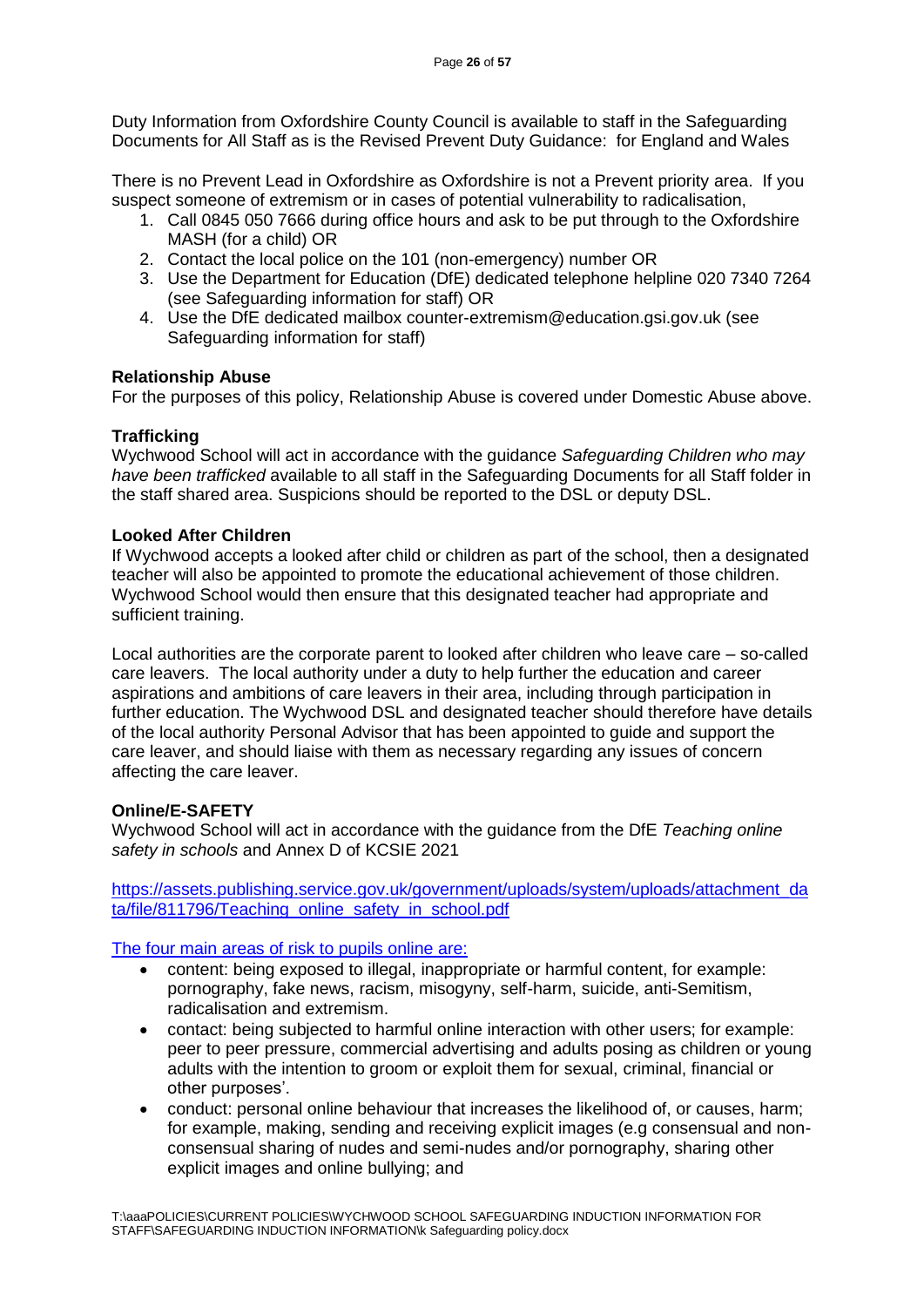Duty Information from Oxfordshire County Council is available to staff in the Safeguarding Documents for All Staff as is the Revised Prevent Duty Guidance: for England and Wales

There is no Prevent Lead in Oxfordshire as Oxfordshire is not a Prevent priority area. If you suspect someone of extremism or in cases of potential vulnerability to radicalisation,

- 1. Call 0845 050 7666 during office hours and ask to be put through to the Oxfordshire MASH (for a child) OR
- 2. Contact the local police on the 101 (non-emergency) number OR
- 3. Use the Department for Education (DfE) dedicated telephone helpline 020 7340 7264 (see Safeguarding information for staff) OR
- 4. Use the DfE dedicated mailbox counter-extremism@education.gsi.gov.uk (see Safeguarding information for staff)

#### **Relationship Abuse**

For the purposes of this policy, Relationship Abuse is covered under Domestic Abuse above.

#### **Trafficking**

Wychwood School will act in accordance with the guidance *Safeguarding Children who may have been trafficked* available to all staff in the Safeguarding Documents for all Staff folder in the staff shared area. Suspicions should be reported to the DSL or deputy DSL.

#### **Looked After Children**

If Wychwood accepts a looked after child or children as part of the school, then a designated teacher will also be appointed to promote the educational achievement of those children. Wychwood School would then ensure that this designated teacher had appropriate and sufficient training.

Local authorities are the corporate parent to looked after children who leave care – so-called care leavers. The local authority under a duty to help further the education and career aspirations and ambitions of care leavers in their area, including through participation in further education. The Wychwood DSL and designated teacher should therefore have details of the local authority Personal Advisor that has been appointed to guide and support the care leaver, and should liaise with them as necessary regarding any issues of concern affecting the care leaver.

#### **Online/E-SAFETY**

Wychwood School will act in accordance with the guidance from the DfE *Teaching online safety in schools* and Annex D of KCSIE 2021

[https://assets.publishing.service.gov.uk/government/uploads/system/uploads/attachment\\_da](https://assets.publishing.service.gov.uk/government/uploads/system/uploads/attachment_data/file/811796/Teaching_online_safety_in_school.pdf) [ta/file/811796/Teaching\\_online\\_safety\\_in\\_school.pdf](https://assets.publishing.service.gov.uk/government/uploads/system/uploads/attachment_data/file/811796/Teaching_online_safety_in_school.pdf)

#### The four main areas of risk to pupils online are:

- content: being exposed to illegal, inappropriate or harmful content, for example: pornography, fake news, racism, misogyny, self-harm, suicide, anti-Semitism, radicalisation and extremism.
- contact: being subjected to harmful online interaction with other users; for example: peer to peer pressure, commercial advertising and adults posing as children or young adults with the intention to groom or exploit them for sexual, criminal, financial or other purposes'.
- conduct: personal online behaviour that increases the likelihood of, or causes, harm; for example, making, sending and receiving explicit images (e.g consensual and nonconsensual sharing of nudes and semi-nudes and/or pornography, sharing other explicit images and online bullying; and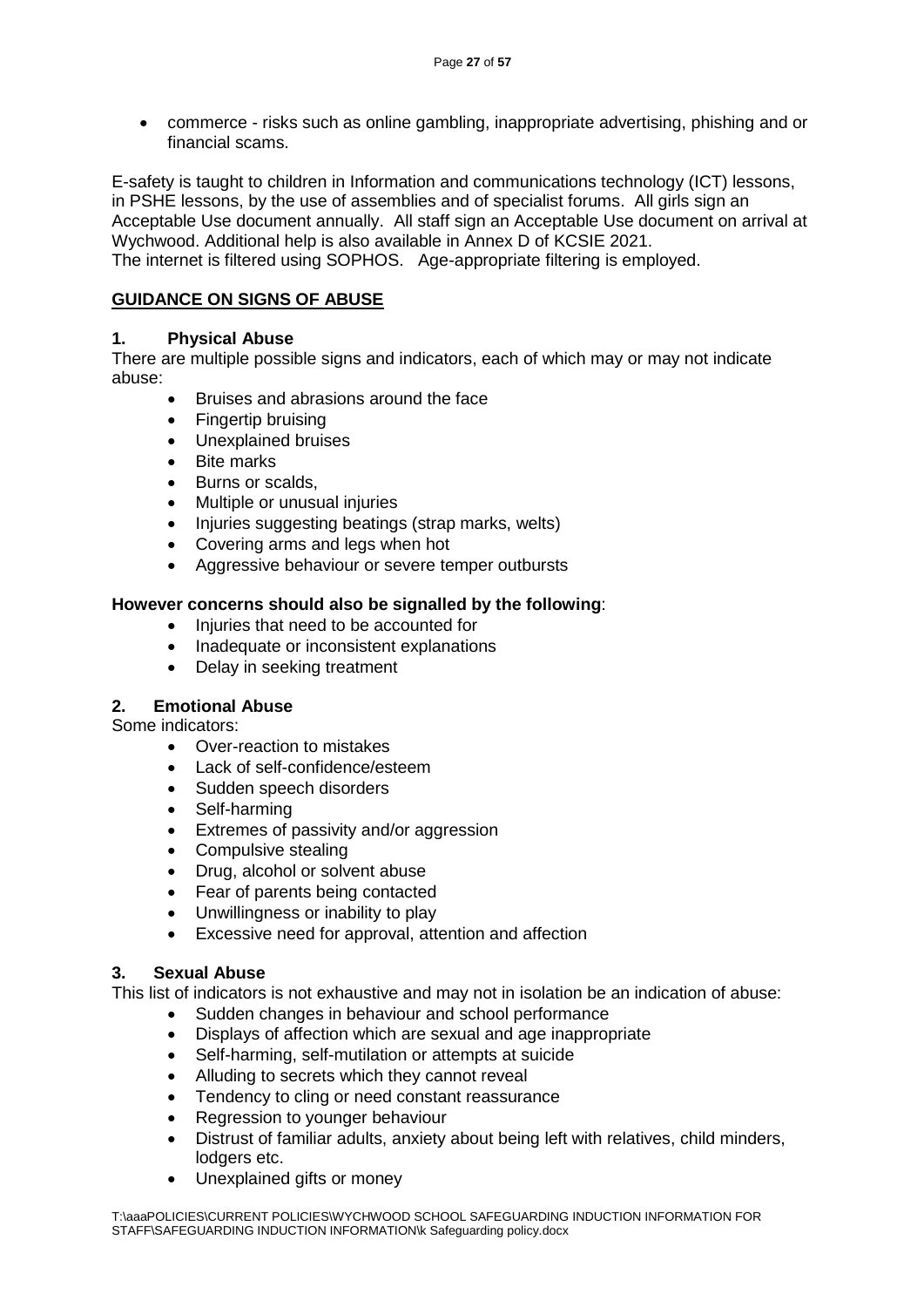commerce - risks such as online gambling, inappropriate advertising, phishing and or financial scams.

E-safety is taught to children in Information and communications technology (ICT) lessons, in PSHE lessons, by the use of assemblies and of specialist forums. All girls sign an Acceptable Use document annually. All staff sign an Acceptable Use document on arrival at Wychwood. Additional help is also available in Annex D of KCSIE 2021. The internet is filtered using SOPHOS. Age-appropriate filtering is employed.

## **GUIDANCE ON SIGNS OF ABUSE**

## **1. Physical Abuse**

There are multiple possible signs and indicators, each of which may or may not indicate abuse:

- Bruises and abrasions around the face
- Fingertip bruising
- Unexplained bruises
- Bite marks
- Burns or scalds.
- Multiple or unusual injuries
- Injuries suggesting beatings (strap marks, welts)
- Covering arms and legs when hot
- Aggressive behaviour or severe temper outbursts

## **However concerns should also be signalled by the following**:

- Injuries that need to be accounted for
- Inadequate or inconsistent explanations
- Delay in seeking treatment

## **2. Emotional Abuse**

Some indicators:

- Over-reaction to mistakes
- Lack of self-confidence/esteem
- Sudden speech disorders
- Self-harming
- Extremes of passivity and/or aggression
- Compulsive stealing
- Drug, alcohol or solvent abuse
- Fear of parents being contacted
- Unwillingness or inability to play
- Excessive need for approval, attention and affection

## **3. Sexual Abuse**

This list of indicators is not exhaustive and may not in isolation be an indication of abuse:

- Sudden changes in behaviour and school performance
- Displays of affection which are sexual and age inappropriate
- Self-harming, self-mutilation or attempts at suicide
- Alluding to secrets which they cannot reveal
- Tendency to cling or need constant reassurance
- Regression to younger behaviour
- Distrust of familiar adults, anxiety about being left with relatives, child minders, lodgers etc.
- Unexplained gifts or money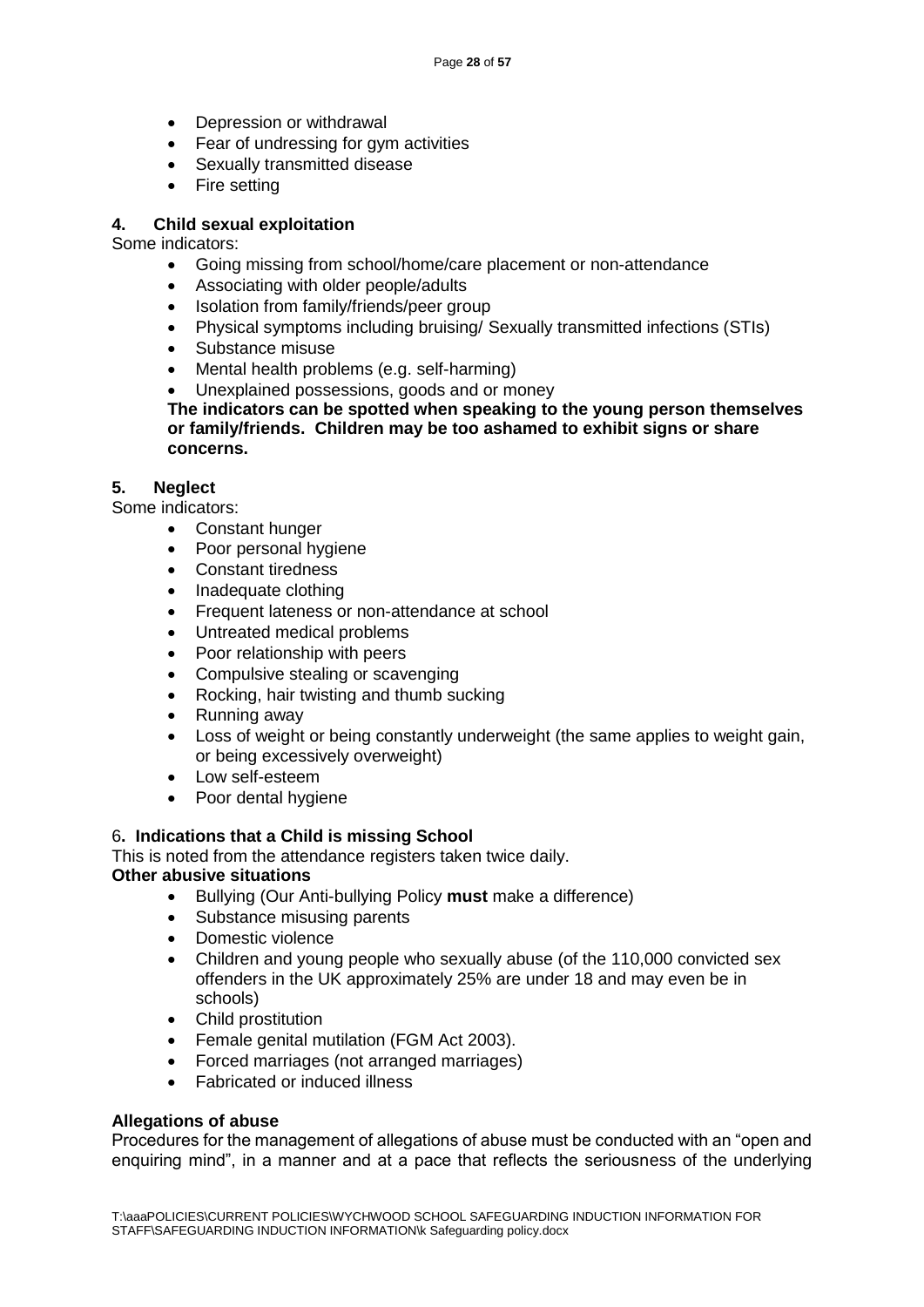- Depression or withdrawal
- Fear of undressing for gym activities
- Sexually transmitted disease
- Fire setting

## **4. Child sexual exploitation**

Some indicators:

- Going missing from school/home/care placement or non-attendance
- Associating with older people/adults
- Isolation from family/friends/peer group
- Physical symptoms including bruising/ Sexually transmitted infections (STIs)
- Substance misuse
- Mental health problems (e.g. self-harming)
- Unexplained possessions, goods and or money

**The indicators can be spotted when speaking to the young person themselves or family/friends. Children may be too ashamed to exhibit signs or share concerns.** 

## **5. Neglect**

Some indicators:

- Constant hunger
- Poor personal hygiene
- Constant tiredness
- Inadequate clothing
- Frequent lateness or non-attendance at school
- Untreated medical problems
- Poor relationship with peers
- Compulsive stealing or scavenging
- Rocking, hair twisting and thumb sucking
- Running away
- Loss of weight or being constantly underweight (the same applies to weight gain, or being excessively overweight)
- Low self-esteem
- Poor dental hygiene

#### 6**. Indications that a Child is missing School**

This is noted from the attendance registers taken twice daily.

#### **Other abusive situations**

- Bullying (Our Anti-bullying Policy **must** make a difference)
- Substance misusing parents
- Domestic violence
- Children and young people who sexually abuse (of the 110,000 convicted sex offenders in the UK approximately 25% are under 18 and may even be in schools)
- Child prostitution
- Female genital mutilation (FGM Act 2003).
- Forced marriages (not arranged marriages)
- Fabricated or induced illness

#### **Allegations of abuse**

Procedures for the management of allegations of abuse must be conducted with an "open and enquiring mind", in a manner and at a pace that reflects the seriousness of the underlying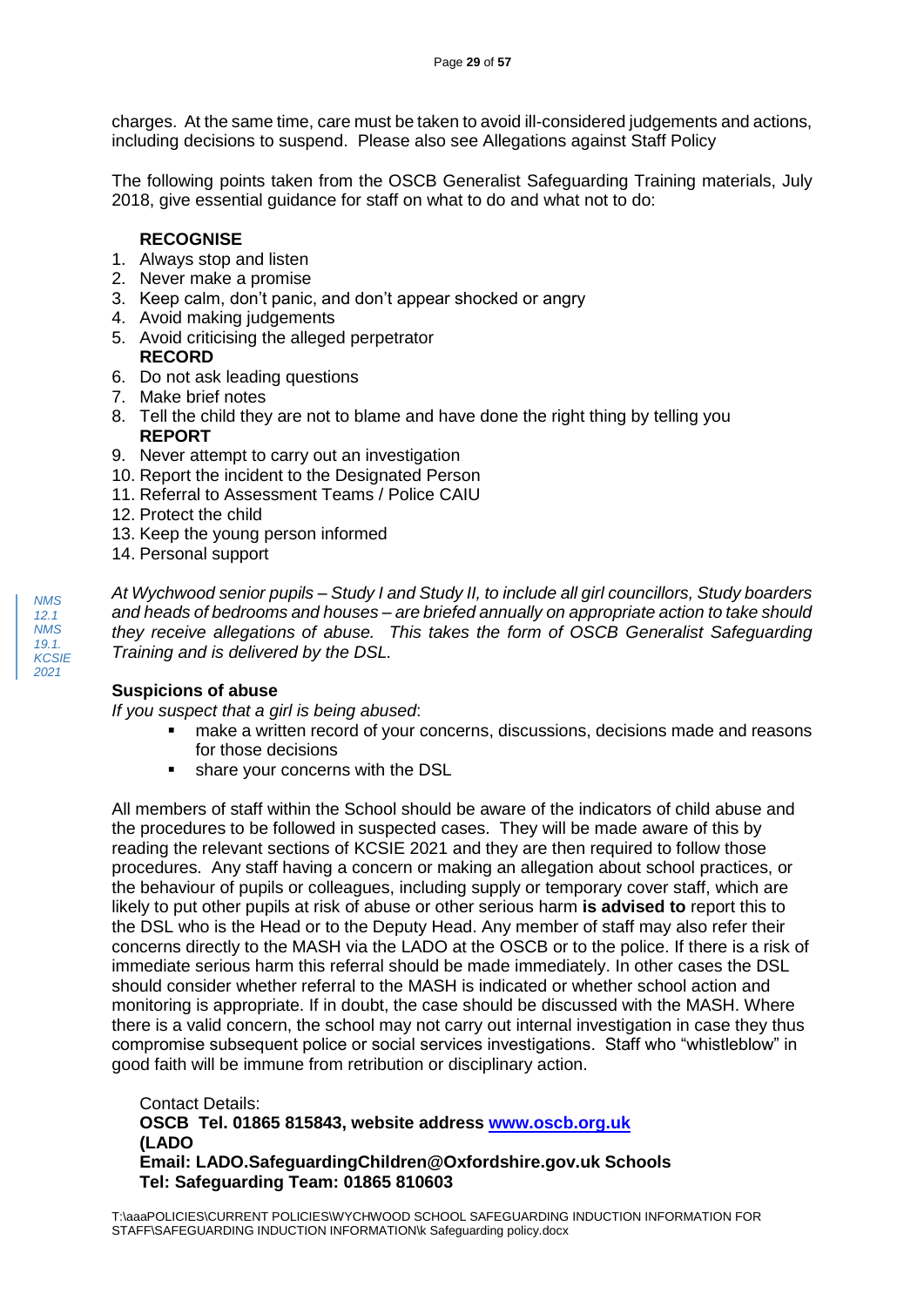charges. At the same time, care must be taken to avoid ill-considered judgements and actions, including decisions to suspend. Please also see Allegations against Staff Policy

The following points taken from the OSCB Generalist Safeguarding Training materials, July 2018, give essential guidance for staff on what to do and what not to do:

#### **RECOGNISE**

- 1. Always stop and listen
- 2. Never make a promise
- 3. Keep calm, don't panic, and don't appear shocked or angry
- 4. Avoid making judgements
- 5. Avoid criticising the alleged perpetrator **RECORD**
- 6. Do not ask leading questions
- 7. Make brief notes
- 8. Tell the child they are not to blame and have done the right thing by telling you **REPORT**
- 9. Never attempt to carry out an investigation
- 10. Report the incident to the Designated Person
- 11. Referral to Assessment Teams / Police CAIU
- 12. Protect the child
- 13. Keep the young person informed
- 14. Personal support

*At Wychwood senior pupils – Study I and Study II, to include all girl councillors, Study boarders and heads of bedrooms and houses – are briefed annually on appropriate action to take should they receive allegations of abuse. This takes the form of OSCB Generalist Safeguarding Training and is delivered by the DSL.*

#### **Suspicions of abuse**

*If you suspect that a girl is being abused*:

- make a written record of your concerns, discussions, decisions made and reasons for those decisions
- **share your concerns with the DSL**

All members of staff within the School should be aware of the indicators of child abuse and the procedures to be followed in suspected cases. They will be made aware of this by reading the relevant sections of KCSIE 2021 and they are then required to follow those procedures. Any staff having a concern or making an allegation about school practices, or the behaviour of pupils or colleagues, including supply or temporary cover staff, which are likely to put other pupils at risk of abuse or other serious harm **is advised to** report this to the DSL who is the Head or to the Deputy Head. Any member of staff may also refer their concerns directly to the MASH via the LADO at the OSCB or to the police. If there is a risk of immediate serious harm this referral should be made immediately. In other cases the DSL should consider whether referral to the MASH is indicated or whether school action and monitoring is appropriate. If in doubt, the case should be discussed with the MASH. Where there is a valid concern, the school may not carry out internal investigation in case they thus compromise subsequent police or social services investigations. Staff who "whistleblow" in good faith will be immune from retribution or disciplinary action.

Contact Details: **OSCB Tel. 01865 815843, website address [www.oscb.org.uk](http://www.oscb.org.uk/) (LADO Email: LADO.SafeguardingChildren@Oxfordshire.gov.uk Schools Tel: Safeguarding Team: 01865 810603**

*NMS 12.1 NMS 19.1. KCSIE 2021*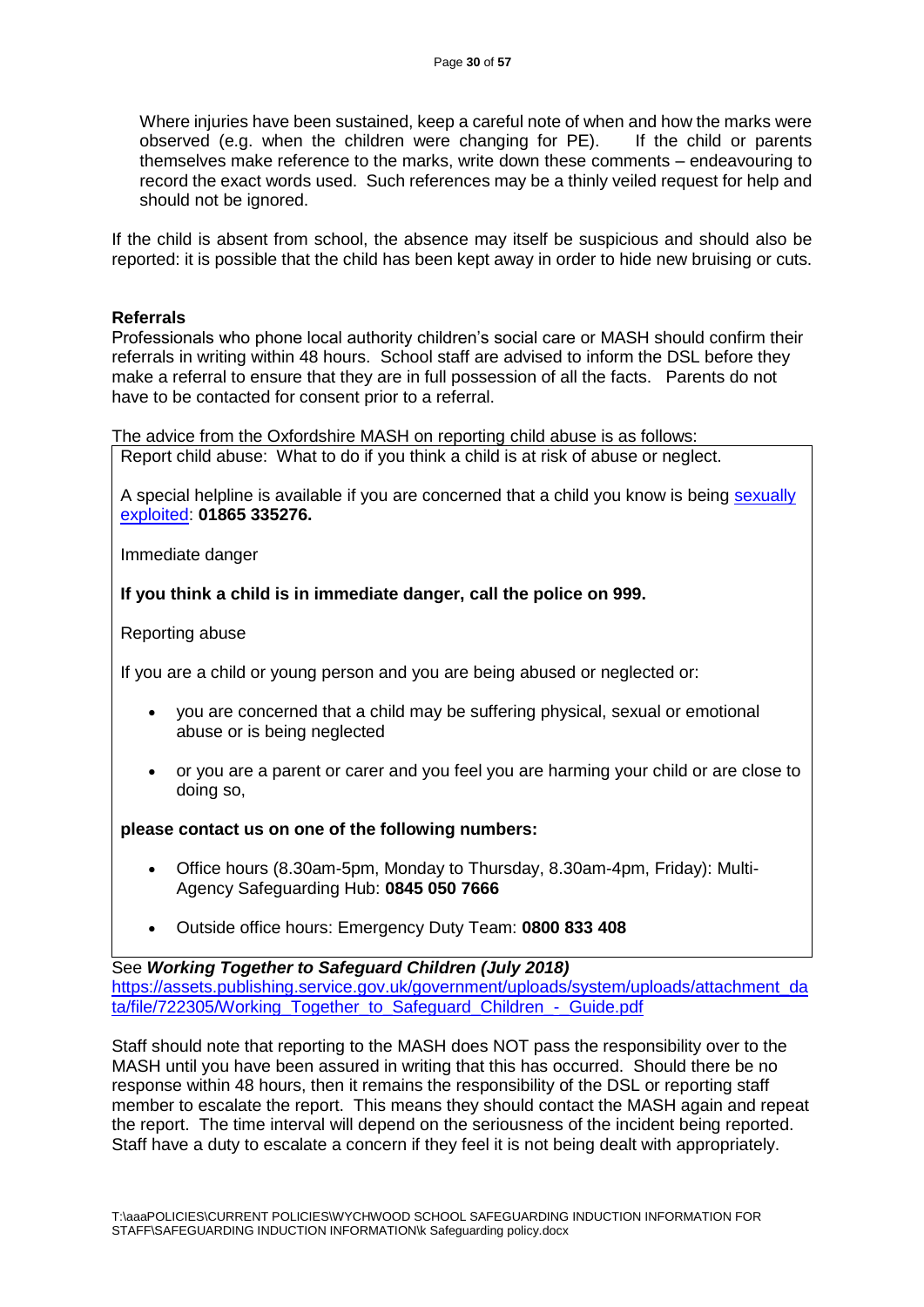Where injuries have been sustained, keep a careful note of when and how the marks were observed (e.g. when the children were changing for PE). If the child or parents themselves make reference to the marks, write down these comments – endeavouring to record the exact words used. Such references may be a thinly veiled request for help and should not be ignored.

If the child is absent from school, the absence may itself be suspicious and should also be reported: it is possible that the child has been kept away in order to hide new bruising or cuts.

#### **Referrals**

Professionals who phone local authority children's social care or MASH should confirm their referrals in writing within 48 hours. School staff are advised to inform the DSL before they make a referral to ensure that they are in full possession of all the facts. Parents do not have to be contacted for consent prior to a referral.

The advice from the Oxfordshire MASH on reporting child abuse is as follows:

Report child abuse: What to do if you think a child is at risk of abuse or neglect.

A special helpline is available if you are concerned that a child you know is being [sexually](https://www.oxfordshire.gov.uk/cms/content/child-sexual-exploitation)  [exploited:](https://www.oxfordshire.gov.uk/cms/content/child-sexual-exploitation) **01865 335276.**

Immediate danger

#### **If you think a child is in immediate danger, call the police on 999.**

Reporting abuse

If you are a child or young person and you are being abused or neglected or:

- you are concerned that a child may be suffering physical, sexual or emotional abuse or is being neglected
- or you are a parent or carer and you feel you are harming your child or are close to doing so,

#### **please contact us on one of the following numbers:**

- Office hours (8.30am-5pm, Monday to Thursday, 8.30am-4pm, Friday): Multi-Agency Safeguarding Hub: **0845 050 7666**
- Outside office hours: Emergency Duty Team: **0800 833 408**

See *Working Together to Safeguard Children (July 2018)* [https://assets.publishing.service.gov.uk/government/uploads/system/uploads/attachment\\_da](https://assets.publishing.service.gov.uk/government/uploads/system/uploads/attachment_data/file/722305/Working_Together_to_Safeguard_Children_-_Guide.pdf) [ta/file/722305/Working\\_Together\\_to\\_Safeguard\\_Children\\_-\\_Guide.pdf](https://assets.publishing.service.gov.uk/government/uploads/system/uploads/attachment_data/file/722305/Working_Together_to_Safeguard_Children_-_Guide.pdf)

Staff should note that reporting to the MASH does NOT pass the responsibility over to the MASH until you have been assured in writing that this has occurred. Should there be no response within 48 hours, then it remains the responsibility of the DSL or reporting staff member to escalate the report. This means they should contact the MASH again and repeat the report. The time interval will depend on the seriousness of the incident being reported. Staff have a duty to escalate a concern if they feel it is not being dealt with appropriately.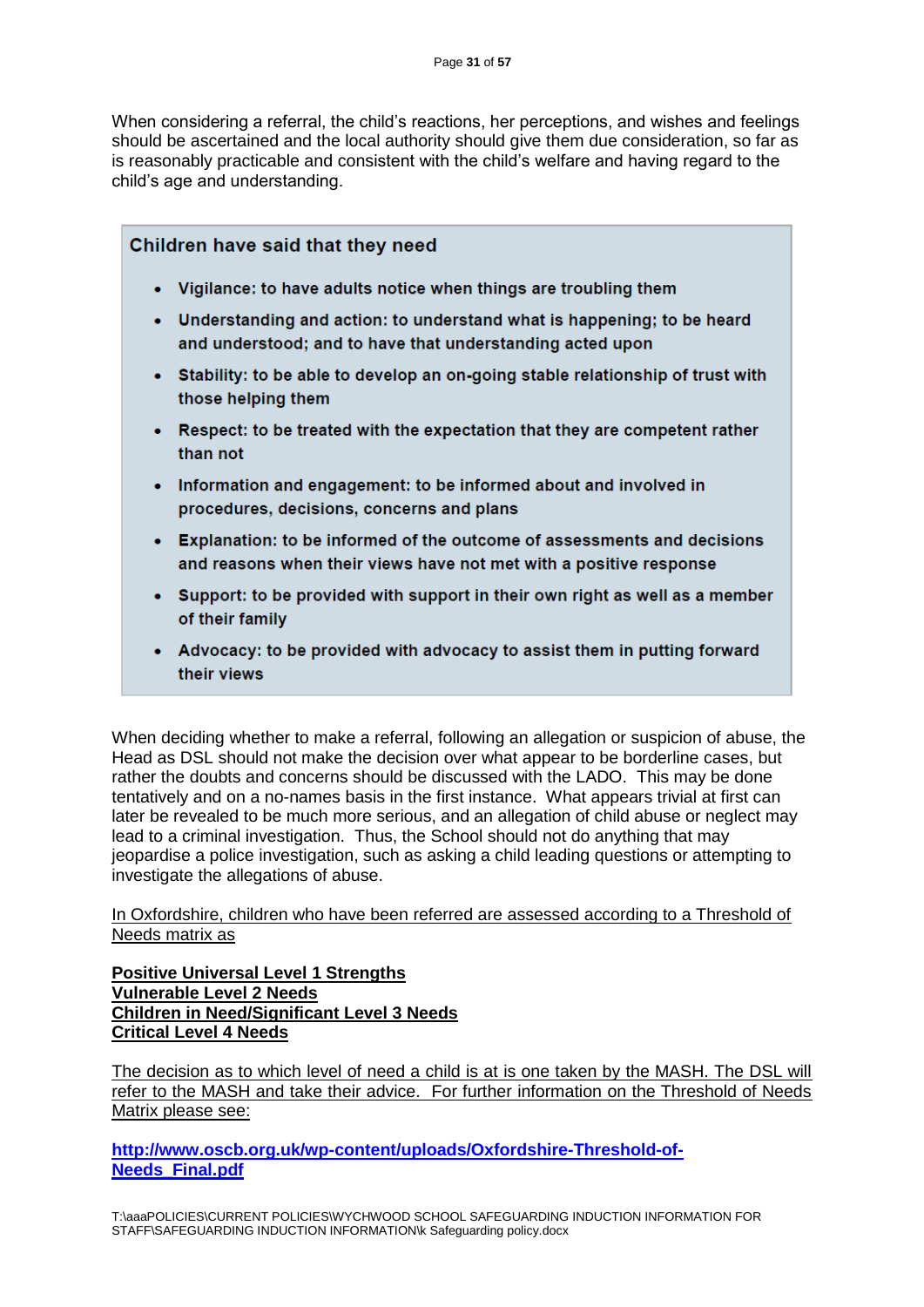When considering a referral, the child's reactions, her perceptions, and wishes and feelings should be ascertained and the local authority should give them due consideration, so far as is reasonably practicable and consistent with the child's welfare and having regard to the child's age and understanding.

## Children have said that they need

- Vigilance: to have adults notice when things are troubling them
- Understanding and action: to understand what is happening; to be heard and understood; and to have that understanding acted upon
- Stability: to be able to develop an on-going stable relationship of trust with those helping them
- Respect: to be treated with the expectation that they are competent rather than not
- Information and engagement: to be informed about and involved in procedures, decisions, concerns and plans
- Explanation: to be informed of the outcome of assessments and decisions and reasons when their views have not met with a positive response
- Support: to be provided with support in their own right as well as a member of their family
- Advocacy: to be provided with advocacy to assist them in putting forward their views

When deciding whether to make a referral, following an allegation or suspicion of abuse, the Head as DSL should not make the decision over what appear to be borderline cases, but rather the doubts and concerns should be discussed with the LADO. This may be done tentatively and on a no-names basis in the first instance. What appears trivial at first can later be revealed to be much more serious, and an allegation of child abuse or neglect may lead to a criminal investigation. Thus, the School should not do anything that may jeopardise a police investigation, such as asking a child leading questions or attempting to investigate the allegations of abuse.

In Oxfordshire, children who have been referred are assessed according to a Threshold of Needs matrix as

**Positive Universal Level 1 Strengths Vulnerable Level 2 Needs Children in Need/Significant Level 3 Needs Critical Level 4 Needs**

The decision as to which level of need a child is at is one taken by the MASH. The DSL will refer to the MASH and take their advice. For further information on the Threshold of Needs Matrix please see:

**[http://www.oscb.org.uk/wp-content/uploads/Oxfordshire-Threshold-of-](http://www.oscb.org.uk/wp-content/uploads/Oxfordshire-Threshold-of-Needs_Final.pdf)[Needs\\_Final.pdf](http://www.oscb.org.uk/wp-content/uploads/Oxfordshire-Threshold-of-Needs_Final.pdf)**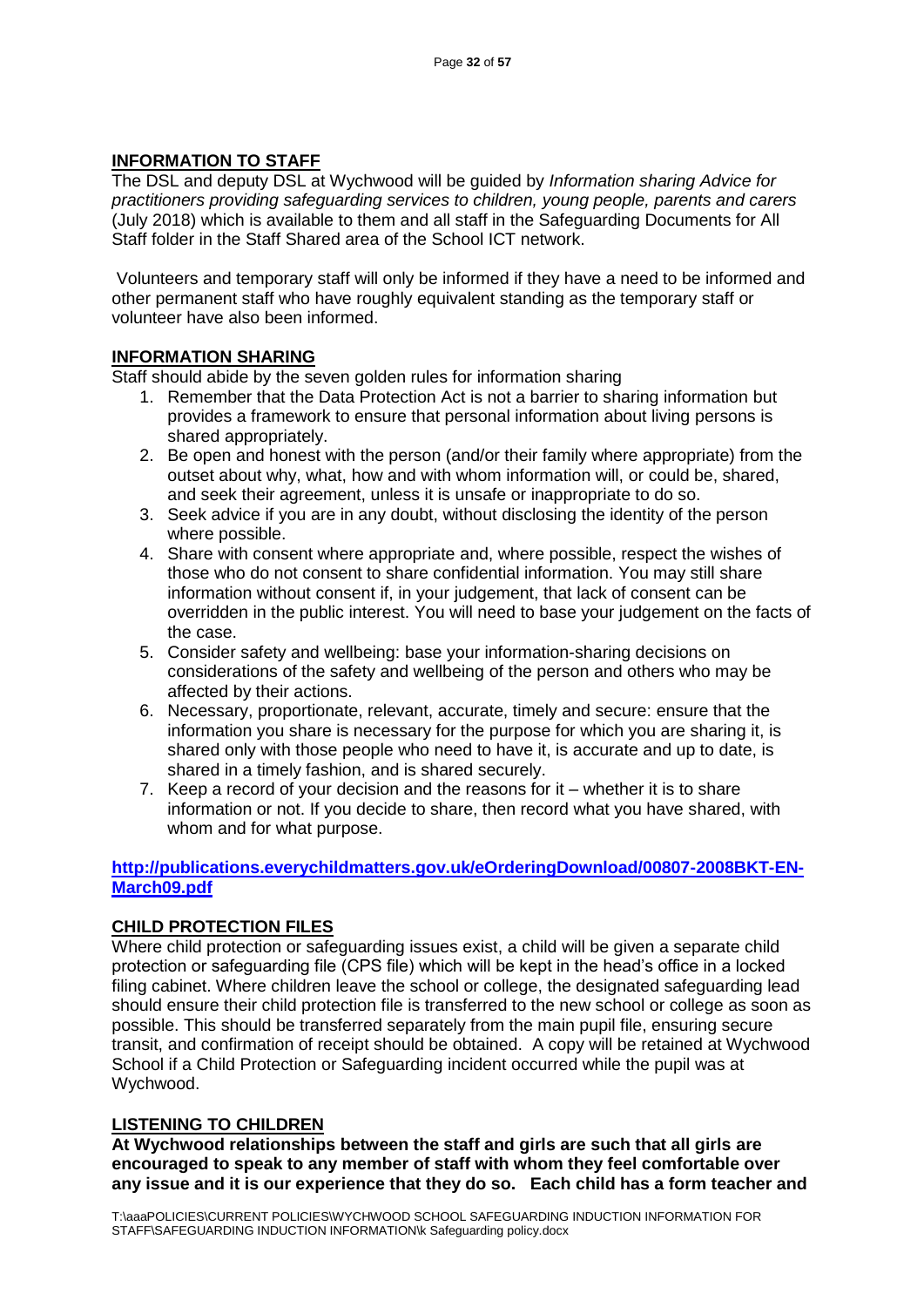## **INFORMATION TO STAFF**

The DSL and deputy DSL at Wychwood will be guided by *Information sharing Advice for practitioners providing safeguarding services to children, young people, parents and carers* (July 2018) which is available to them and all staff in the Safeguarding Documents for All Staff folder in the Staff Shared area of the School ICT network.

Volunteers and temporary staff will only be informed if they have a need to be informed and other permanent staff who have roughly equivalent standing as the temporary staff or volunteer have also been informed.

## **INFORMATION SHARING**

Staff should abide by the seven golden rules for information sharing

- 1. Remember that the Data Protection Act is not a barrier to sharing information but provides a framework to ensure that personal information about living persons is shared appropriately.
- 2. Be open and honest with the person (and/or their family where appropriate) from the outset about why, what, how and with whom information will, or could be, shared, and seek their agreement, unless it is unsafe or inappropriate to do so.
- 3. Seek advice if you are in any doubt, without disclosing the identity of the person where possible.
- 4. Share with consent where appropriate and, where possible, respect the wishes of those who do not consent to share confidential information. You may still share information without consent if, in your judgement, that lack of consent can be overridden in the public interest. You will need to base your judgement on the facts of the case.
- 5. Consider safety and wellbeing: base your information-sharing decisions on considerations of the safety and wellbeing of the person and others who may be affected by their actions.
- 6. Necessary, proportionate, relevant, accurate, timely and secure: ensure that the information you share is necessary for the purpose for which you are sharing it, is shared only with those people who need to have it, is accurate and up to date, is shared in a timely fashion, and is shared securely.
- 7. Keep a record of your decision and the reasons for it whether it is to share information or not. If you decide to share, then record what you have shared, with whom and for what purpose.

## **[http://publications.everychildmatters.gov.uk/eOrderingDownload/00807-2008BKT-EN-](http://publications.everychildmatters.gov.uk/eOrderingDownload/00807-2008BKT-EN-March09.pdf)[March09.pdf](http://publications.everychildmatters.gov.uk/eOrderingDownload/00807-2008BKT-EN-March09.pdf)**

## **CHILD PROTECTION FILES**

Where child protection or safeguarding issues exist, a child will be given a separate child protection or safeguarding file (CPS file) which will be kept in the head's office in a locked filing cabinet. Where children leave the school or college, the designated safeguarding lead should ensure their child protection file is transferred to the new school or college as soon as possible. This should be transferred separately from the main pupil file, ensuring secure transit, and confirmation of receipt should be obtained. A copy will be retained at Wychwood School if a Child Protection or Safeguarding incident occurred while the pupil was at Wychwood.

#### **LISTENING TO CHILDREN**

**At Wychwood relationships between the staff and girls are such that all girls are encouraged to speak to any member of staff with whom they feel comfortable over any issue and it is our experience that they do so. Each child has a form teacher and**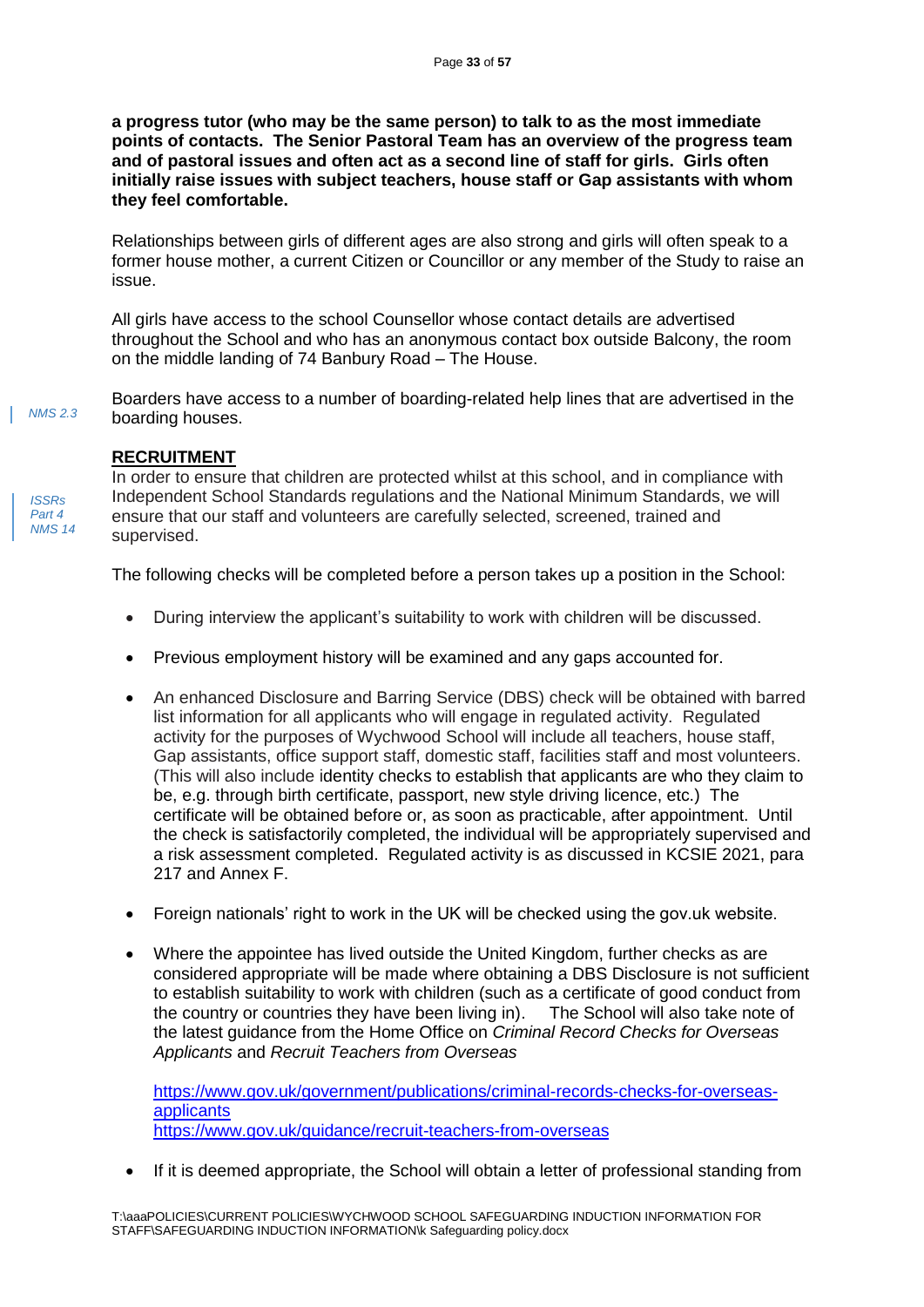**a progress tutor (who may be the same person) to talk to as the most immediate points of contacts. The Senior Pastoral Team has an overview of the progress team and of pastoral issues and often act as a second line of staff for girls. Girls often initially raise issues with subject teachers, house staff or Gap assistants with whom they feel comfortable.** 

Relationships between girls of different ages are also strong and girls will often speak to a former house mother, a current Citizen or Councillor or any member of the Study to raise an issue.

All girls have access to the school Counsellor whose contact details are advertised throughout the School and who has an anonymous contact box outside Balcony, the room on the middle landing of 74 Banbury Road – The House.

Boarders have access to a number of boarding-related help lines that are advertised in the boarding houses.

#### **RECRUITMENT**

In order to ensure that children are protected whilst at this school, and in compliance with Independent School Standards regulations and the National Minimum Standards, we will ensure that our staff and volunteers are carefully selected, screened, trained and supervised.

The following checks will be completed before a person takes up a position in the School:

- During interview the applicant's suitability to work with children will be discussed.
- Previous employment history will be examined and any gaps accounted for.
- An enhanced Disclosure and Barring Service (DBS) check will be obtained with barred list information for all applicants who will engage in regulated activity. Regulated activity for the purposes of Wychwood School will include all teachers, house staff, Gap assistants, office support staff, domestic staff, facilities staff and most volunteers. (This will also include identity checks to establish that applicants are who they claim to be, e.g. through birth certificate, passport, new style driving licence, etc.) The certificate will be obtained before or, as soon as practicable, after appointment. Until the check is satisfactorily completed, the individual will be appropriately supervised and a risk assessment completed. Regulated activity is as discussed in KCSIE 2021, para 217 and Annex F.
- Foreign nationals' right to work in the UK will be checked using the gov.uk website.
- Where the appointee has lived outside the United Kingdom, further checks as are considered appropriate will be made where obtaining a DBS Disclosure is not sufficient to establish suitability to work with children (such as a certificate of good conduct from the country or countries they have been living in). The School will also take note of the latest guidance from the Home Office on *Criminal Record Checks for Overseas Applicants* and *Recruit Teachers from Overseas*

[https://www.gov.uk/government/publications/criminal-records-checks-for-overseas](https://www.gov.uk/government/publications/criminal-records-checks-for-overseas-applicants)[applicants](https://www.gov.uk/government/publications/criminal-records-checks-for-overseas-applicants) <https://www.gov.uk/guidance/recruit-teachers-from-overseas>

If it is deemed appropriate, the School will obtain a letter of professional standing from

*ISSRs Part 4 NMS 14*

*NMS 2.3*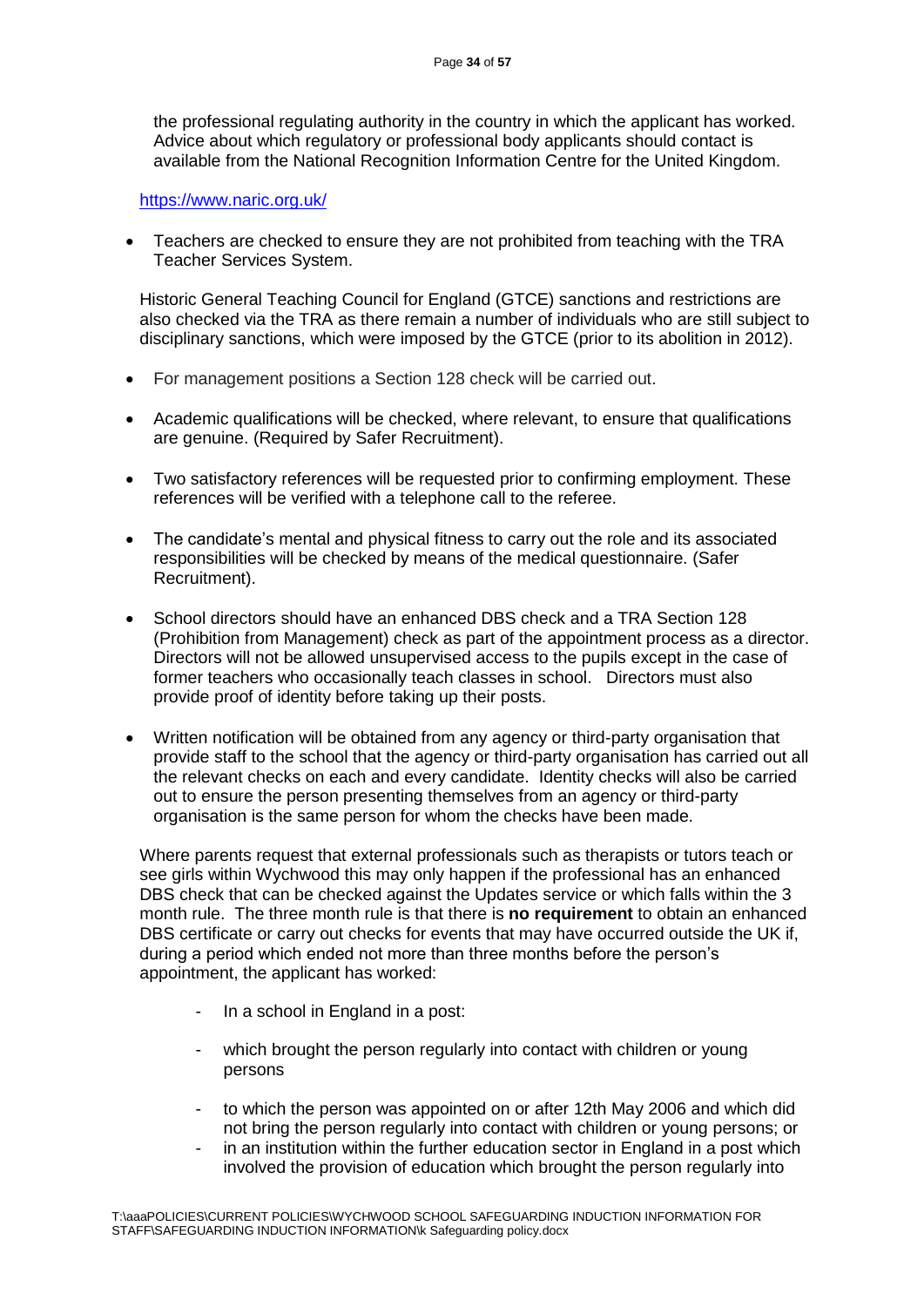the professional regulating authority in the country in which the applicant has worked. Advice about which regulatory or professional body applicants should contact is available from the National Recognition Information Centre for the United Kingdom.

#### <https://www.naric.org.uk/>

 Teachers are checked to ensure they are not prohibited from teaching with the TRA Teacher Services System.

Historic General Teaching Council for England (GTCE) sanctions and restrictions are also checked via the TRA as there remain a number of individuals who are still subject to disciplinary sanctions, which were imposed by the GTCE (prior to its abolition in 2012).

- For management positions a Section 128 check will be carried out.
- Academic qualifications will be checked, where relevant, to ensure that qualifications are genuine. (Required by Safer Recruitment).
- Two satisfactory references will be requested prior to confirming employment. These references will be verified with a telephone call to the referee.
- The candidate's mental and physical fitness to carry out the role and its associated responsibilities will be checked by means of the medical questionnaire. (Safer Recruitment).
- School directors should have an enhanced DBS check and a TRA Section 128 (Prohibition from Management) check as part of the appointment process as a director. Directors will not be allowed unsupervised access to the pupils except in the case of former teachers who occasionally teach classes in school. Directors must also provide proof of identity before taking up their posts.
- Written notification will be obtained from any agency or third-party organisation that provide staff to the school that the agency or third-party organisation has carried out all the relevant checks on each and every candidate. Identity checks will also be carried out to ensure the person presenting themselves from an agency or third-party organisation is the same person for whom the checks have been made.

Where parents request that external professionals such as therapists or tutors teach or see girls within Wychwood this may only happen if the professional has an enhanced DBS check that can be checked against the Updates service or which falls within the 3 month rule. The three month rule is that there is **no requirement** to obtain an enhanced DBS certificate or carry out checks for events that may have occurred outside the UK if, during a period which ended not more than three months before the person's appointment, the applicant has worked:

- In a school in England in a post:
- which brought the person regularly into contact with children or young persons
- to which the person was appointed on or after 12th May 2006 and which did not bring the person regularly into contact with children or young persons; or
- in an institution within the further education sector in England in a post which involved the provision of education which brought the person regularly into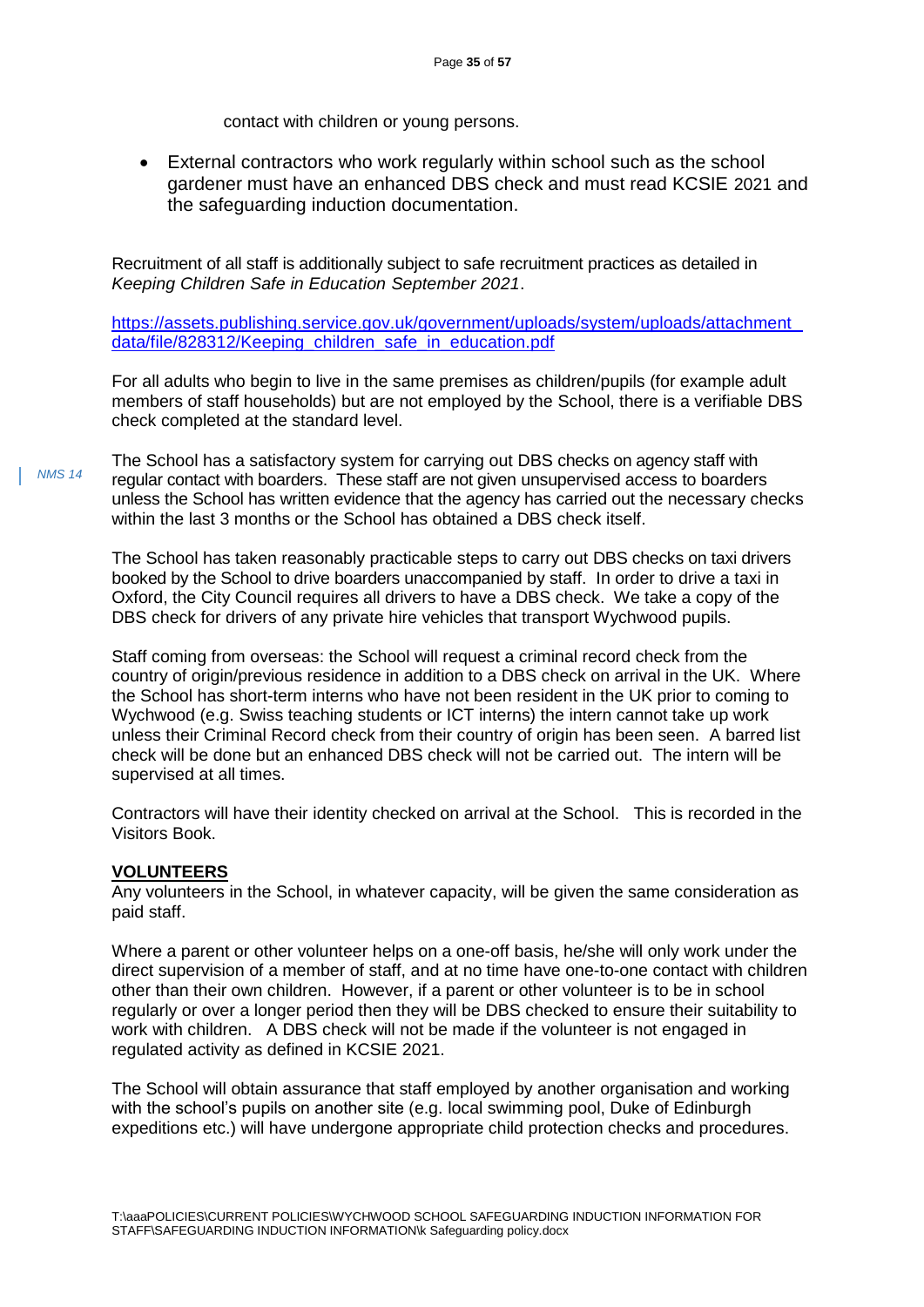contact with children or young persons.

 External contractors who work regularly within school such as the school gardener must have an enhanced DBS check and must read KCSIE 2021 and the safeguarding induction documentation.

Recruitment of all staff is additionally subject to safe recruitment practices as detailed in *Keeping Children Safe in Education September 2021*.

[https://assets.publishing.service.gov.uk/government/uploads/system/uploads/attachment\\_](https://assets.publishing.service.gov.uk/government/uploads/system/uploads/attachment_data/file/828312/Keeping_children_safe_in_education.pdf) [data/file/828312/Keeping\\_children\\_safe\\_in\\_education.pdf](https://assets.publishing.service.gov.uk/government/uploads/system/uploads/attachment_data/file/828312/Keeping_children_safe_in_education.pdf)

For all adults who begin to live in the same premises as children/pupils (for example adult members of staff households) but are not employed by the School, there is a verifiable DBS check completed at the standard level.

The School has a satisfactory system for carrying out DBS checks on agency staff with regular contact with boarders. These staff are not given unsupervised access to boarders unless the School has written evidence that the agency has carried out the necessary checks within the last 3 months or the School has obtained a DBS check itself. *NMS 14*

> The School has taken reasonably practicable steps to carry out DBS checks on taxi drivers booked by the School to drive boarders unaccompanied by staff. In order to drive a taxi in Oxford, the City Council requires all drivers to have a DBS check. We take a copy of the DBS check for drivers of any private hire vehicles that transport Wychwood pupils.

Staff coming from overseas: the School will request a criminal record check from the country of origin/previous residence in addition to a DBS check on arrival in the UK. Where the School has short-term interns who have not been resident in the UK prior to coming to Wychwood (e.g. Swiss teaching students or ICT interns) the intern cannot take up work unless their Criminal Record check from their country of origin has been seen. A barred list check will be done but an enhanced DBS check will not be carried out. The intern will be supervised at all times.

Contractors will have their identity checked on arrival at the School. This is recorded in the Visitors Book.

#### **VOLUNTEERS**

Any volunteers in the School, in whatever capacity, will be given the same consideration as paid staff.

Where a parent or other volunteer helps on a one-off basis, he/she will only work under the direct supervision of a member of staff, and at no time have one-to-one contact with children other than their own children. However, if a parent or other volunteer is to be in school regularly or over a longer period then they will be DBS checked to ensure their suitability to work with children. A DBS check will not be made if the volunteer is not engaged in regulated activity as defined in KCSIE 2021.

The School will obtain assurance that staff employed by another organisation and working with the school's pupils on another site (e.g. local swimming pool, Duke of Edinburgh expeditions etc.) will have undergone appropriate child protection checks and procedures.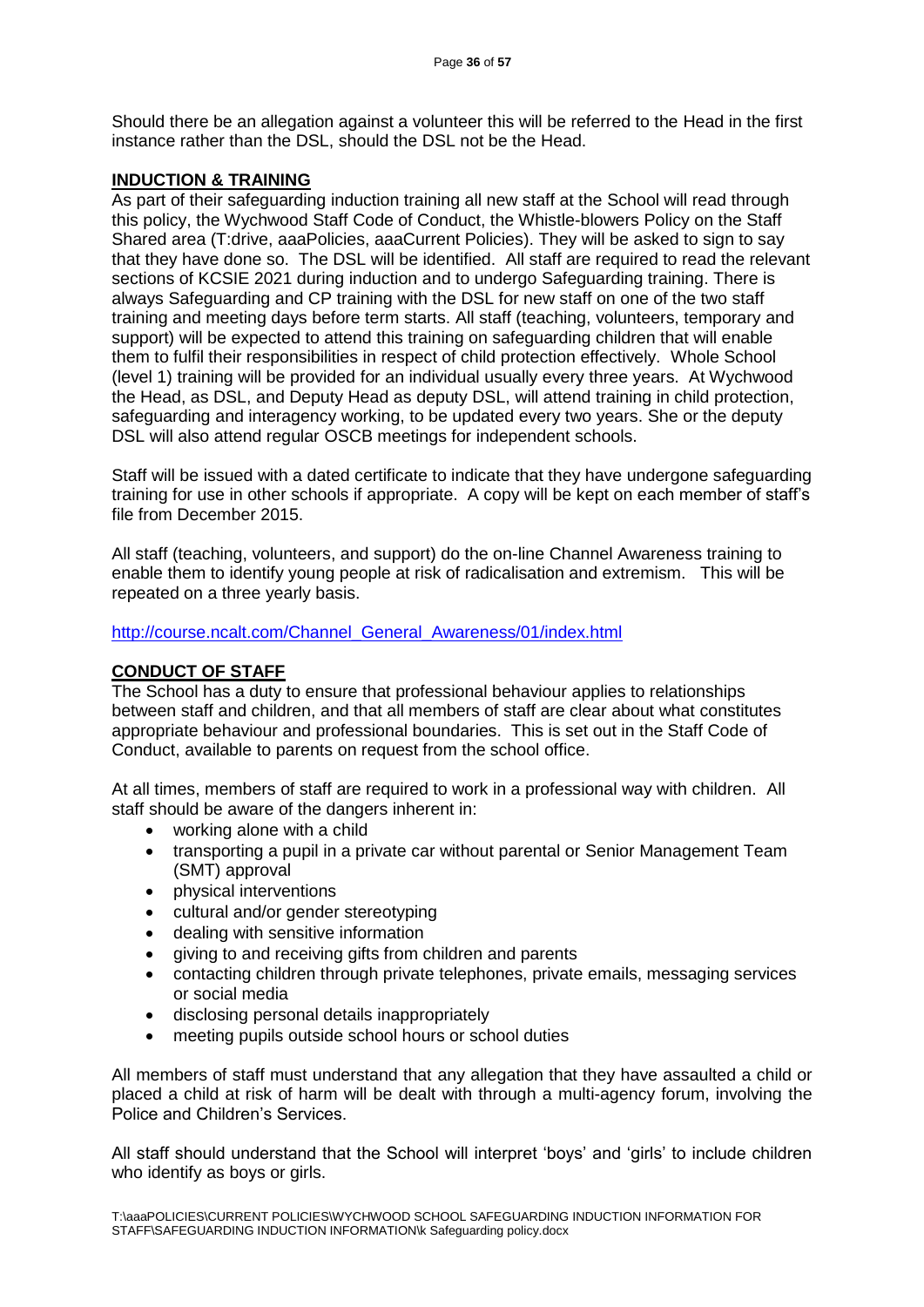Should there be an allegation against a volunteer this will be referred to the Head in the first instance rather than the DSL, should the DSL not be the Head.

#### **INDUCTION & TRAINING**

As part of their safeguarding induction training all new staff at the School will read through this policy, the Wychwood Staff Code of Conduct, the Whistle-blowers Policy on the Staff Shared area (T:drive, aaaPolicies, aaaCurrent Policies). They will be asked to sign to say that they have done so. The DSL will be identified. All staff are required to read the relevant sections of KCSIE 2021 during induction and to undergo Safeguarding training. There is always Safeguarding and CP training with the DSL for new staff on one of the two staff training and meeting days before term starts. All staff (teaching, volunteers, temporary and support) will be expected to attend this training on safeguarding children that will enable them to fulfil their responsibilities in respect of child protection effectively. Whole School (level 1) training will be provided for an individual usually every three years. At Wychwood the Head, as DSL, and Deputy Head as deputy DSL, will attend training in child protection, safeguarding and interagency working, to be updated every two years. She or the deputy DSL will also attend regular OSCB meetings for independent schools.

Staff will be issued with a dated certificate to indicate that they have undergone safeguarding training for use in other schools if appropriate. A copy will be kept on each member of staff's file from December 2015.

All staff (teaching, volunteers, and support) do the on-line Channel Awareness training to enable them to identify young people at risk of radicalisation and extremism. This will be repeated on a three yearly basis.

#### [http://course.ncalt.com/Channel\\_General\\_Awareness/01/index.html](http://course.ncalt.com/Channel_General_Awareness/01/index.html)

#### **CONDUCT OF STAFF**

The School has a duty to ensure that professional behaviour applies to relationships between staff and children, and that all members of staff are clear about what constitutes appropriate behaviour and professional boundaries. This is set out in the Staff Code of Conduct, available to parents on request from the school office.

At all times, members of staff are required to work in a professional way with children. All staff should be aware of the dangers inherent in:

- working alone with a child
- transporting a pupil in a private car without parental or Senior Management Team (SMT) approval
- physical interventions
- cultural and/or gender stereotyping
- dealing with sensitive information
- giving to and receiving gifts from children and parents
- contacting children through private telephones, private emails, messaging services or social media
- disclosing personal details inappropriately
- meeting pupils outside school hours or school duties

All members of staff must understand that any allegation that they have assaulted a child or placed a child at risk of harm will be dealt with through a multi-agency forum, involving the Police and Children's Services.

All staff should understand that the School will interpret 'boys' and 'girls' to include children who identify as boys or girls.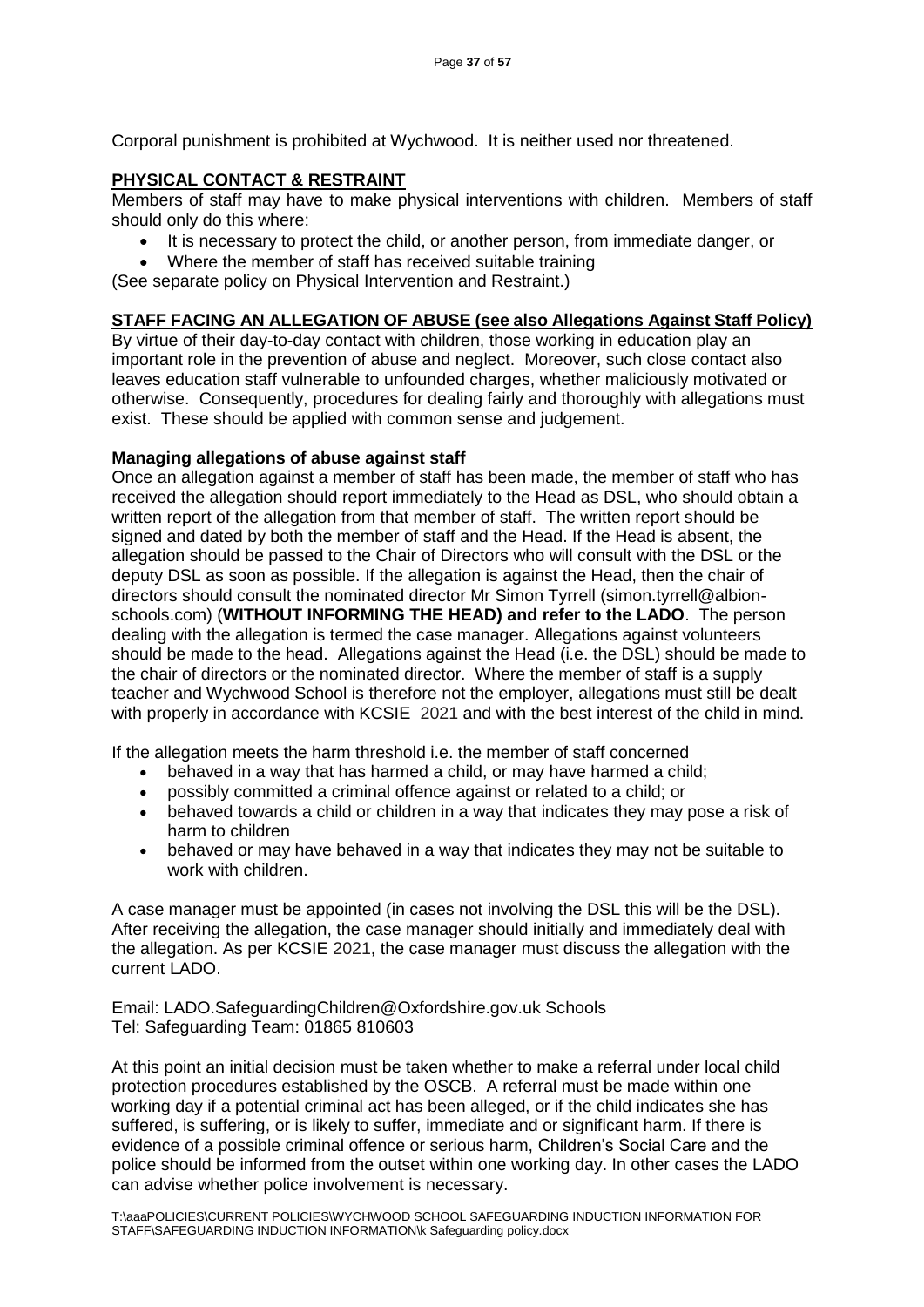Corporal punishment is prohibited at Wychwood. It is neither used nor threatened.

## **PHYSICAL CONTACT & RESTRAINT**

Members of staff may have to make physical interventions with children. Members of staff should only do this where:

- It is necessary to protect the child, or another person, from immediate danger, or
- Where the member of staff has received suitable training

(See separate policy on Physical Intervention and Restraint.)

## **STAFF FACING AN ALLEGATION OF ABUSE (see also Allegations Against Staff Policy)**

By virtue of their day-to-day contact with children, those working in education play an important role in the prevention of abuse and neglect. Moreover, such close contact also leaves education staff vulnerable to unfounded charges, whether maliciously motivated or otherwise. Consequently, procedures for dealing fairly and thoroughly with allegations must exist. These should be applied with common sense and judgement.

#### **Managing allegations of abuse against staff**

Once an allegation against a member of staff has been made, the member of staff who has received the allegation should report immediately to the Head as DSL, who should obtain a written report of the allegation from that member of staff. The written report should be signed and dated by both the member of staff and the Head. If the Head is absent, the allegation should be passed to the Chair of Directors who will consult with the DSL or the deputy DSL as soon as possible. If the allegation is against the Head, then the chair of directors should consult the nominated director Mr Simon Tyrrell (simon.tyrrell@albionschools.com) (**WITHOUT INFORMING THE HEAD) and refer to the LADO**. The person dealing with the allegation is termed the case manager. Allegations against volunteers should be made to the head. Allegations against the Head (i.e. the DSL) should be made to the chair of directors or the nominated director. Where the member of staff is a supply teacher and Wychwood School is therefore not the employer, allegations must still be dealt with properly in accordance with KCSIE 2021 and with the best interest of the child in mind.

If the allegation meets the harm threshold i.e. the member of staff concerned

- behaved in a way that has harmed a child, or may have harmed a child;
- possibly committed a criminal offence against or related to a child; or
- behaved towards a child or children in a way that indicates they may pose a risk of harm to children
- behaved or may have behaved in a way that indicates they may not be suitable to work with children.

A case manager must be appointed (in cases not involving the DSL this will be the DSL). After receiving the allegation, the case manager should initially and immediately deal with the allegation. As per KCSIE 2021, the case manager must discuss the allegation with the current LADO.

Email: LADO.SafeguardingChildren@Oxfordshire.gov.uk Schools Tel: Safeguarding Team: 01865 810603

At this point an initial decision must be taken whether to make a referral under local child protection procedures established by the OSCB. A referral must be made within one working day if a potential criminal act has been alleged, or if the child indicates she has suffered, is suffering, or is likely to suffer, immediate and or significant harm. If there is evidence of a possible criminal offence or serious harm, Children's Social Care and the police should be informed from the outset within one working day. In other cases the LADO can advise whether police involvement is necessary.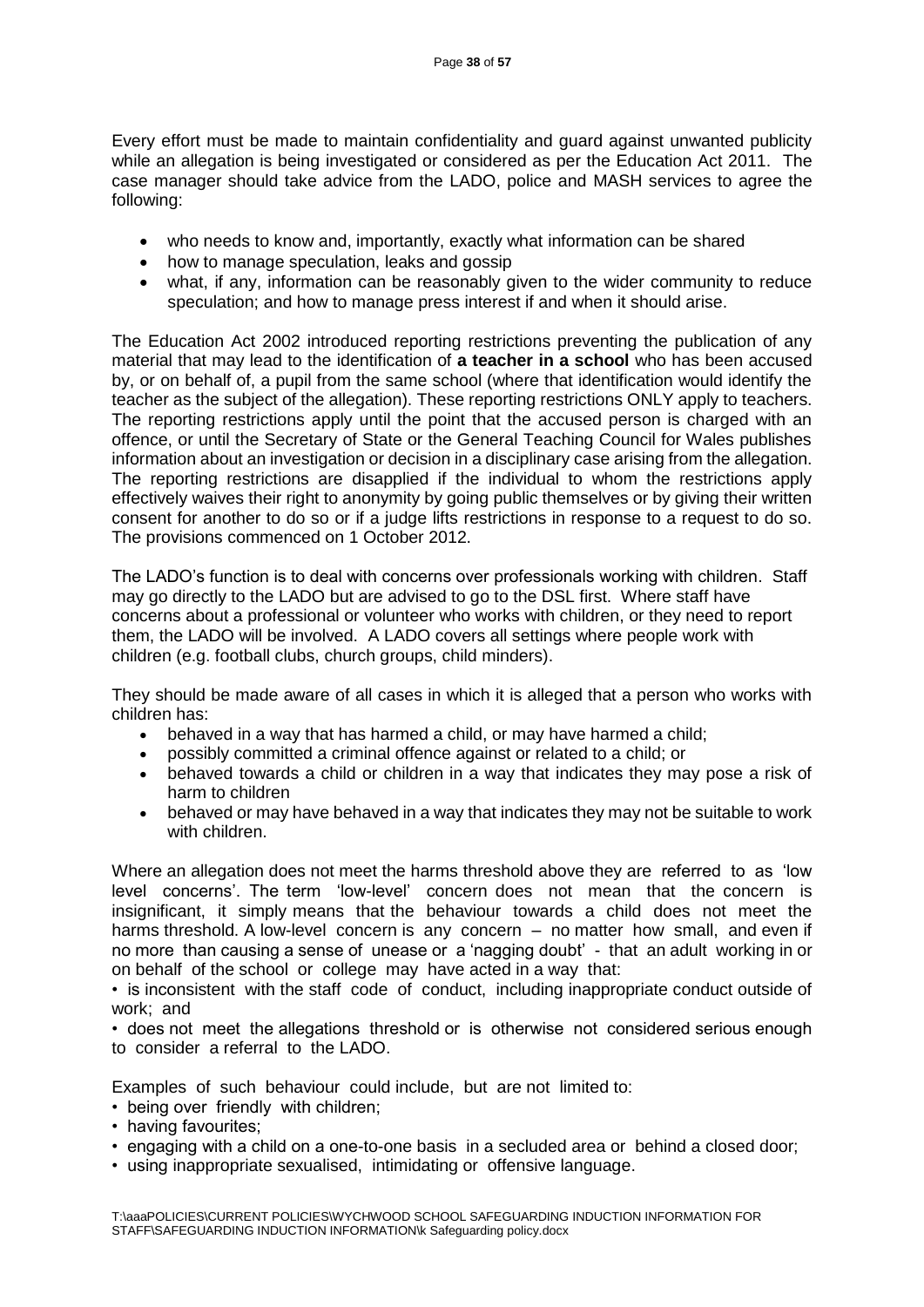Every effort must be made to maintain confidentiality and guard against unwanted publicity while an allegation is being investigated or considered as per the Education Act 2011. The case manager should take advice from the LADO, police and MASH services to agree the following:

- who needs to know and, importantly, exactly what information can be shared
- how to manage speculation, leaks and gossip
- what, if any, information can be reasonably given to the wider community to reduce speculation; and how to manage press interest if and when it should arise.

The Education Act 2002 introduced reporting restrictions preventing the publication of any material that may lead to the identification of **a teacher in a school** who has been accused by, or on behalf of, a pupil from the same school (where that identification would identify the teacher as the subject of the allegation). These reporting restrictions ONLY apply to teachers. The reporting restrictions apply until the point that the accused person is charged with an offence, or until the Secretary of State or the General Teaching Council for Wales publishes information about an investigation or decision in a disciplinary case arising from the allegation. The reporting restrictions are disapplied if the individual to whom the restrictions apply effectively waives their right to anonymity by going public themselves or by giving their written consent for another to do so or if a judge lifts restrictions in response to a request to do so. The provisions commenced on 1 October 2012.

The LADO's function is to deal with concerns over professionals working with children. Staff may go directly to the LADO but are advised to go to the DSL first. Where staff have concerns about a professional or volunteer who works with children, or they need to report them, the LADO will be involved. A LADO covers all settings where people work with children (e.g. football clubs, church groups, child minders).

They should be made aware of all cases in which it is alleged that a person who works with children has:

- behaved in a way that has harmed a child, or may have harmed a child;
- possibly committed a criminal offence against or related to a child; or
- behaved towards a child or children in a way that indicates they may pose a risk of harm to children
- behaved or may have behaved in a way that indicates they may not be suitable to work with children.

Where an allegation does not meet the harms threshold above they are referred to as 'low level concerns'. The term 'low-level' concern does not mean that the concern is insignificant, it simply means that the behaviour towards a child does not meet the harms threshold. A low-level concern is any concern – no matter how small, and even if no more than causing a sense of unease or a 'nagging doubt' - that an adult working in or on behalf of the school or college may have acted in a way that:

• is inconsistent with the staff code of conduct, including inappropriate conduct outside of work; and

• does not meet the allegations threshold or is otherwise not considered serious enough to consider a referral to the LADO.

Examples of such behaviour could include, but are not limited to:

- being over friendly with children;
- having favourites;
- engaging with a child on a one-to-one basis in a secluded area or behind a closed door;
- using inappropriate sexualised, intimidating or offensive language.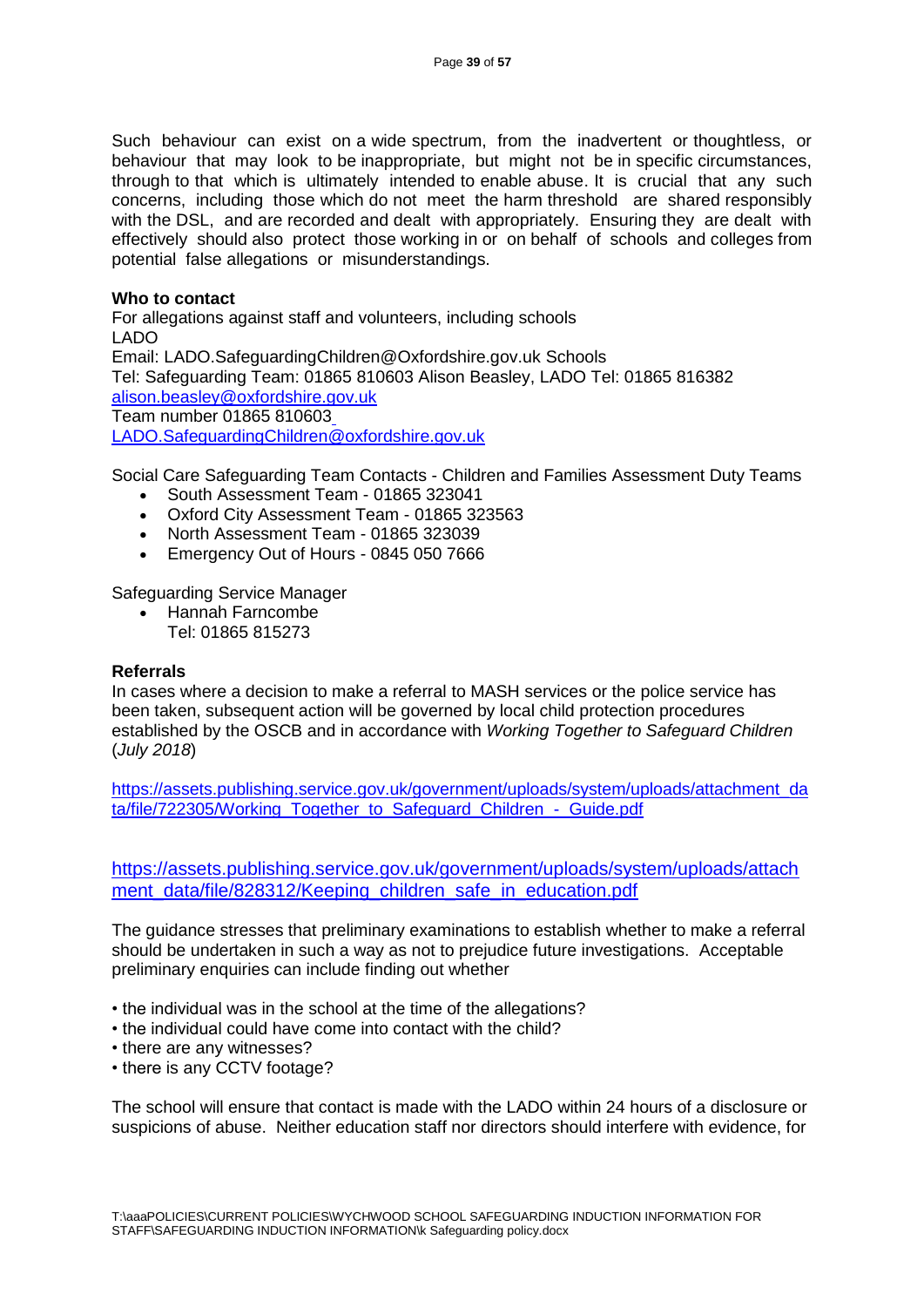Such behaviour can exist on a wide spectrum, from the inadvertent or thoughtless, or behaviour that may look to be inappropriate, but might not be in specific circumstances, through to that which is ultimately intended to enable abuse. It is crucial that any such concerns, including those which do not meet the harm threshold are shared responsibly with the DSL, and are recorded and dealt with appropriately. Ensuring they are dealt with effectively should also protect those working in or on behalf of schools and colleges from potential false allegations or misunderstandings.

#### **Who to contact**

For allegations against staff and volunteers, including schools LADO Email: LADO.SafeguardingChildren@Oxfordshire.gov.uk Schools Tel: Safeguarding Team: 01865 810603 Alison Beasley, LADO Tel: 01865 816382 [alison.beasley@oxfordshire.gov.uk](mailto:donna.crozier@oxfordshire.gov.uk) Team number 01865 81060[3](mailto:LADO.SafeguardingChildren@oxfordshire.gov.uk) [LADO.SafeguardingChildren@oxfordshire.gov.uk](mailto:LADO.SafeguardingChildren@oxfordshire.gov.uk)

Social Care Safeguarding Team Contacts - Children and Families Assessment Duty Teams

- South Assessment Team 01865 323041
- Oxford City Assessment Team 01865 323563
- North Assessment Team 01865 323039
- Emergency Out of Hours 0845 050 7666

Safeguarding Service Manager

 Hannah Farncombe Tel: 01865 815273

#### **Referrals**

In cases where a decision to make a referral to MASH services or the police service has been taken, subsequent action will be governed by local child protection procedures established by the OSCB and in accordance with *Working Together to Safeguard Children* (*July 2018*)

[https://assets.publishing.service.gov.uk/government/uploads/system/uploads/attachment\\_da](https://assets.publishing.service.gov.uk/government/uploads/system/uploads/attachment_data/file/722305/Working_Together_to_Safeguard_Children_-_Guide.pdf) [ta/file/722305/Working\\_Together\\_to\\_Safeguard\\_Children\\_-\\_Guide.pdf](https://assets.publishing.service.gov.uk/government/uploads/system/uploads/attachment_data/file/722305/Working_Together_to_Safeguard_Children_-_Guide.pdf)

[https://assets.publishing.service.gov.uk/government/uploads/system/uploads/attach](https://assets.publishing.service.gov.uk/government/uploads/system/uploads/attachment_data/file/828312/Keeping_children_safe_in_education.pdf) [ment\\_data/file/828312/Keeping\\_children\\_safe\\_in\\_education.pdf](https://assets.publishing.service.gov.uk/government/uploads/system/uploads/attachment_data/file/828312/Keeping_children_safe_in_education.pdf)

The guidance stresses that preliminary examinations to establish whether to make a referral should be undertaken in such a way as not to prejudice future investigations. Acceptable preliminary enquiries can include finding out whether

- the individual was in the school at the time of the allegations?
- the individual could have come into contact with the child?
- there are any witnesses?
- there is any CCTV footage?

The school will ensure that contact is made with the LADO within 24 hours of a disclosure or suspicions of abuse. Neither education staff nor directors should interfere with evidence, for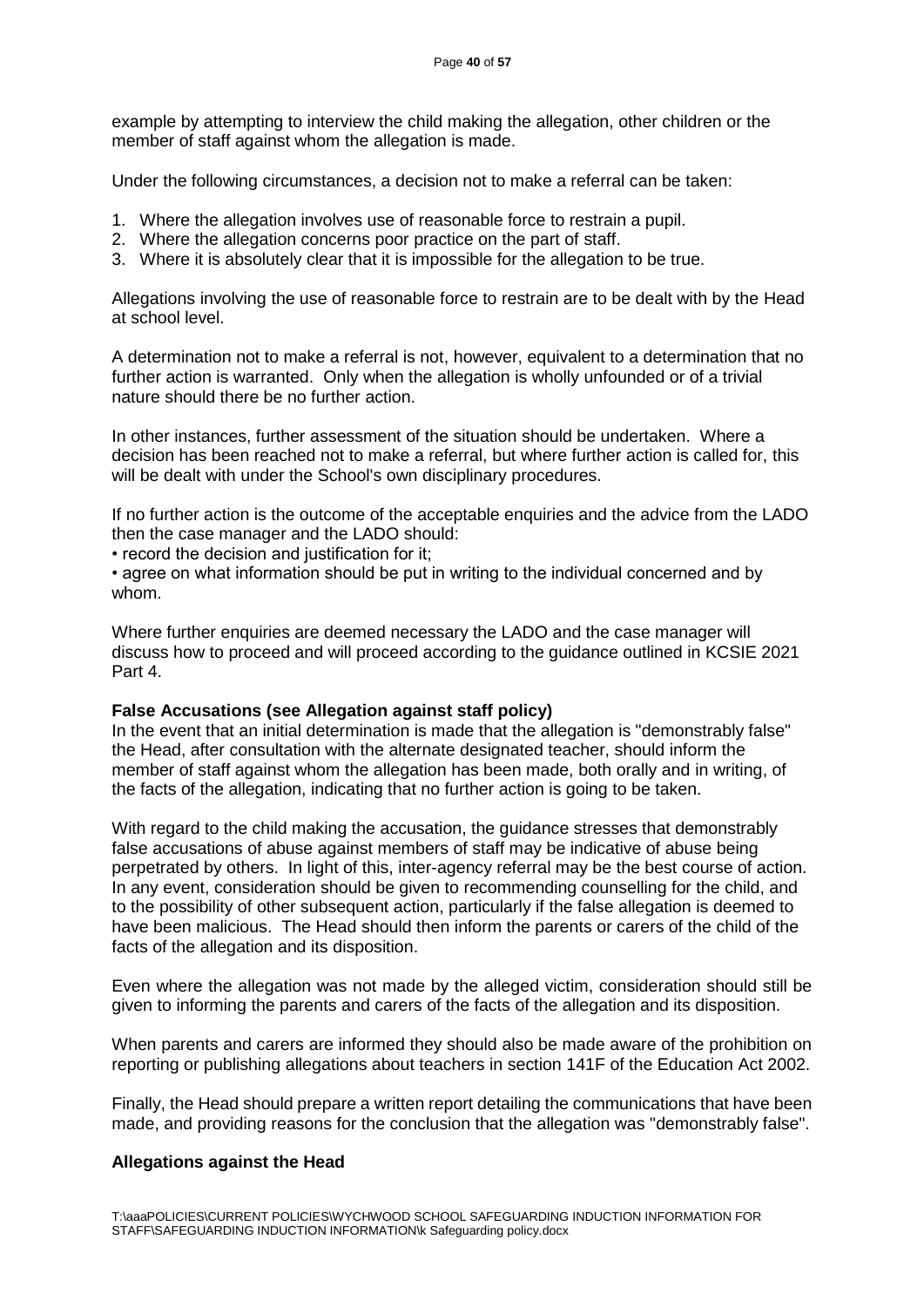example by attempting to interview the child making the allegation, other children or the member of staff against whom the allegation is made.

Under the following circumstances, a decision not to make a referral can be taken:

- 1. Where the allegation involves use of reasonable force to restrain a pupil.
- 2. Where the allegation concerns poor practice on the part of staff.
- 3. Where it is absolutely clear that it is impossible for the allegation to be true.

Allegations involving the use of reasonable force to restrain are to be dealt with by the Head at school level.

A determination not to make a referral is not, however, equivalent to a determination that no further action is warranted. Only when the allegation is wholly unfounded or of a trivial nature should there be no further action.

In other instances, further assessment of the situation should be undertaken. Where a decision has been reached not to make a referral, but where further action is called for, this will be dealt with under the School's own disciplinary procedures.

If no further action is the outcome of the acceptable enquiries and the advice from the LADO then the case manager and the LADO should:

• record the decision and justification for it;

• agree on what information should be put in writing to the individual concerned and by whom.

Where further enquiries are deemed necessary the LADO and the case manager will discuss how to proceed and will proceed according to the guidance outlined in KCSIE 2021 Part 4.

#### **False Accusations (see Allegation against staff policy)**

In the event that an initial determination is made that the allegation is "demonstrably false" the Head, after consultation with the alternate designated teacher, should inform the member of staff against whom the allegation has been made, both orally and in writing, of the facts of the allegation, indicating that no further action is going to be taken.

With regard to the child making the accusation, the guidance stresses that demonstrably false accusations of abuse against members of staff may be indicative of abuse being perpetrated by others. In light of this, inter-agency referral may be the best course of action. In any event, consideration should be given to recommending counselling for the child, and to the possibility of other subsequent action, particularly if the false allegation is deemed to have been malicious. The Head should then inform the parents or carers of the child of the facts of the allegation and its disposition.

Even where the allegation was not made by the alleged victim, consideration should still be given to informing the parents and carers of the facts of the allegation and its disposition.

When parents and carers are informed they should also be made aware of the prohibition on reporting or publishing allegations about teachers in section 141F of the Education Act 2002.

Finally, the Head should prepare a written report detailing the communications that have been made, and providing reasons for the conclusion that the allegation was "demonstrably false".

#### **Allegations against the Head**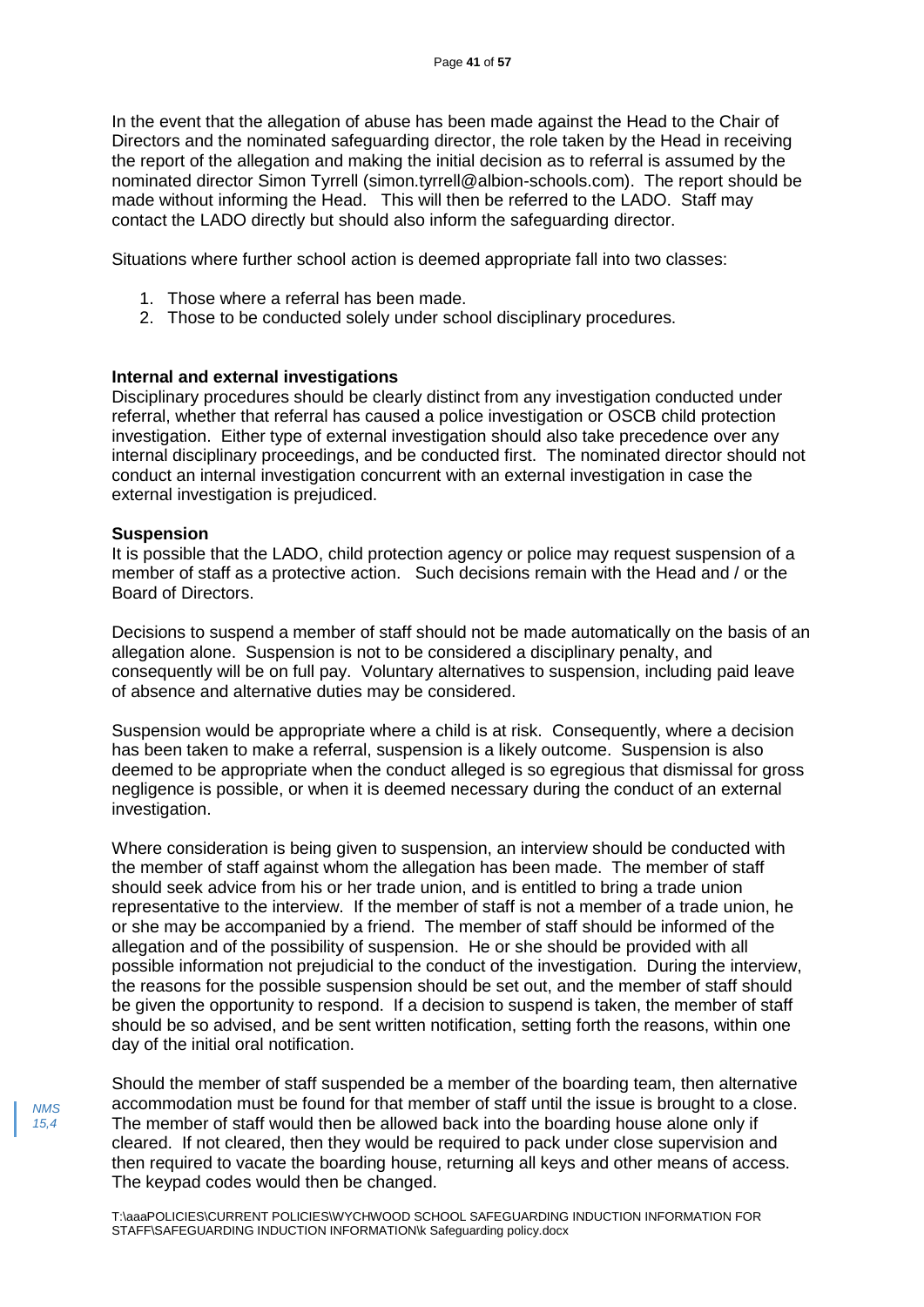In the event that the allegation of abuse has been made against the Head to the Chair of Directors and the nominated safeguarding director, the role taken by the Head in receiving the report of the allegation and making the initial decision as to referral is assumed by the nominated director Simon Tyrrell (simon.tyrrell@albion-schools.com). The report should be made without informing the Head. This will then be referred to the LADO. Staff may contact the LADO directly but should also inform the safeguarding director.

Situations where further school action is deemed appropriate fall into two classes:

- 1. Those where a referral has been made.
- 2. Those to be conducted solely under school disciplinary procedures.

#### **Internal and external investigations**

Disciplinary procedures should be clearly distinct from any investigation conducted under referral, whether that referral has caused a police investigation or OSCB child protection investigation. Either type of external investigation should also take precedence over any internal disciplinary proceedings, and be conducted first. The nominated director should not conduct an internal investigation concurrent with an external investigation in case the external investigation is prejudiced.

#### **Suspension**

It is possible that the LADO, child protection agency or police may request suspension of a member of staff as a protective action. Such decisions remain with the Head and / or the Board of Directors.

Decisions to suspend a member of staff should not be made automatically on the basis of an allegation alone. Suspension is not to be considered a disciplinary penalty, and consequently will be on full pay. Voluntary alternatives to suspension, including paid leave of absence and alternative duties may be considered.

Suspension would be appropriate where a child is at risk. Consequently, where a decision has been taken to make a referral, suspension is a likely outcome. Suspension is also deemed to be appropriate when the conduct alleged is so egregious that dismissal for gross negligence is possible, or when it is deemed necessary during the conduct of an external investigation.

Where consideration is being given to suspension, an interview should be conducted with the member of staff against whom the allegation has been made. The member of staff should seek advice from his or her trade union, and is entitled to bring a trade union representative to the interview. If the member of staff is not a member of a trade union, he or she may be accompanied by a friend. The member of staff should be informed of the allegation and of the possibility of suspension. He or she should be provided with all possible information not prejudicial to the conduct of the investigation. During the interview, the reasons for the possible suspension should be set out, and the member of staff should be given the opportunity to respond. If a decision to suspend is taken, the member of staff should be so advised, and be sent written notification, setting forth the reasons, within one day of the initial oral notification.

Should the member of staff suspended be a member of the boarding team, then alternative accommodation must be found for that member of staff until the issue is brought to a close. The member of staff would then be allowed back into the boarding house alone only if cleared. If not cleared, then they would be required to pack under close supervision and then required to vacate the boarding house, returning all keys and other means of access. The keypad codes would then be changed.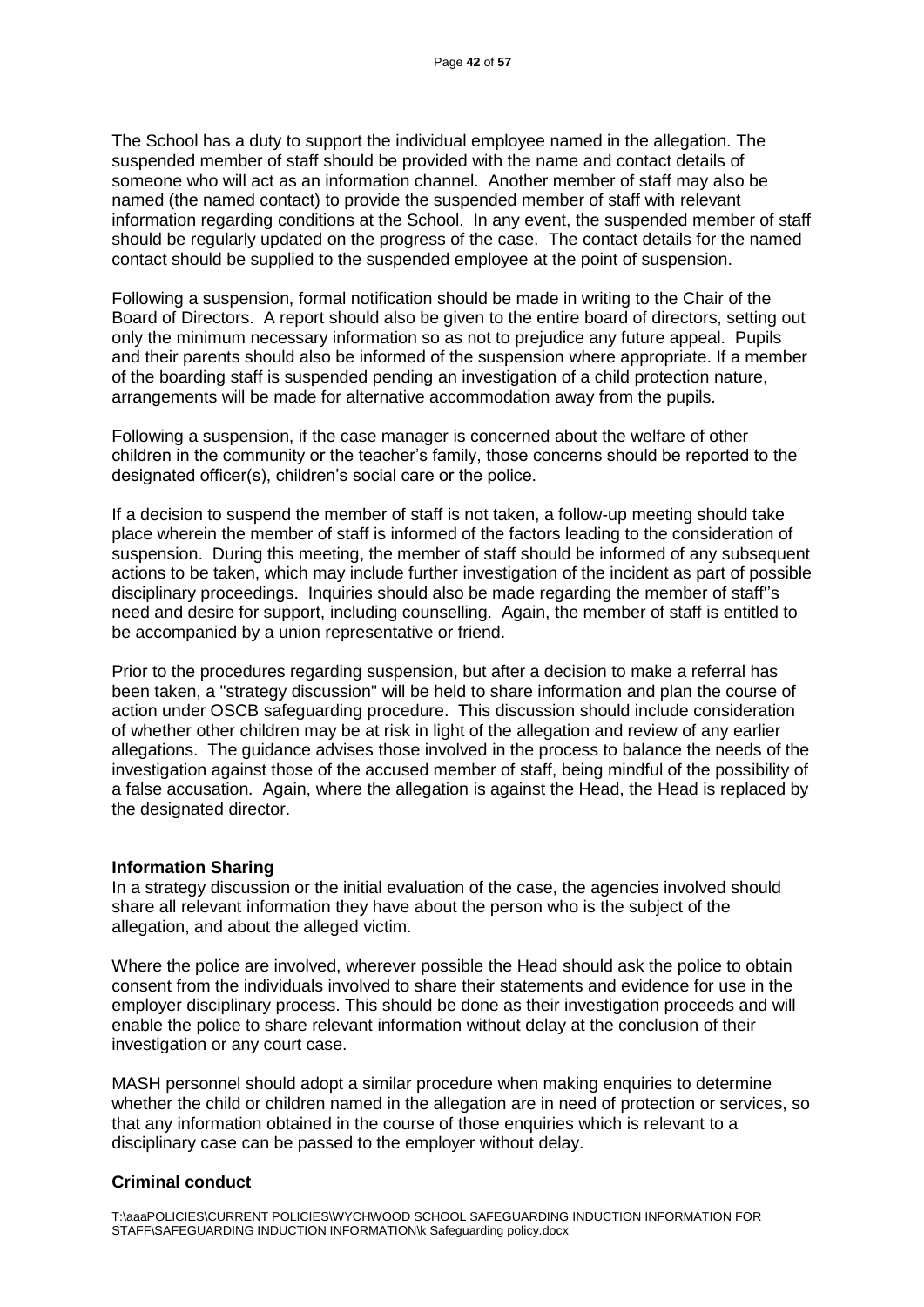The School has a duty to support the individual employee named in the allegation. The suspended member of staff should be provided with the name and contact details of someone who will act as an information channel. Another member of staff may also be named (the named contact) to provide the suspended member of staff with relevant information regarding conditions at the School. In any event, the suspended member of staff should be regularly updated on the progress of the case. The contact details for the named contact should be supplied to the suspended employee at the point of suspension.

Following a suspension, formal notification should be made in writing to the Chair of the Board of Directors. A report should also be given to the entire board of directors, setting out only the minimum necessary information so as not to prejudice any future appeal. Pupils and their parents should also be informed of the suspension where appropriate. If a member of the boarding staff is suspended pending an investigation of a child protection nature, arrangements will be made for alternative accommodation away from the pupils.

Following a suspension, if the case manager is concerned about the welfare of other children in the community or the teacher's family, those concerns should be reported to the designated officer(s), children's social care or the police.

If a decision to suspend the member of staff is not taken, a follow-up meeting should take place wherein the member of staff is informed of the factors leading to the consideration of suspension. During this meeting, the member of staff should be informed of any subsequent actions to be taken, which may include further investigation of the incident as part of possible disciplinary proceedings. Inquiries should also be made regarding the member of staff''s need and desire for support, including counselling. Again, the member of staff is entitled to be accompanied by a union representative or friend.

Prior to the procedures regarding suspension, but after a decision to make a referral has been taken, a "strategy discussion" will be held to share information and plan the course of action under OSCB safeguarding procedure. This discussion should include consideration of whether other children may be at risk in light of the allegation and review of any earlier allegations. The guidance advises those involved in the process to balance the needs of the investigation against those of the accused member of staff, being mindful of the possibility of a false accusation. Again, where the allegation is against the Head, the Head is replaced by the designated director.

#### **Information Sharing**

In a strategy discussion or the initial evaluation of the case, the agencies involved should share all relevant information they have about the person who is the subject of the allegation, and about the alleged victim.

Where the police are involved, wherever possible the Head should ask the police to obtain consent from the individuals involved to share their statements and evidence for use in the employer disciplinary process. This should be done as their investigation proceeds and will enable the police to share relevant information without delay at the conclusion of their investigation or any court case.

MASH personnel should adopt a similar procedure when making enquiries to determine whether the child or children named in the allegation are in need of protection or services, so that any information obtained in the course of those enquiries which is relevant to a disciplinary case can be passed to the employer without delay.

#### **Criminal conduct**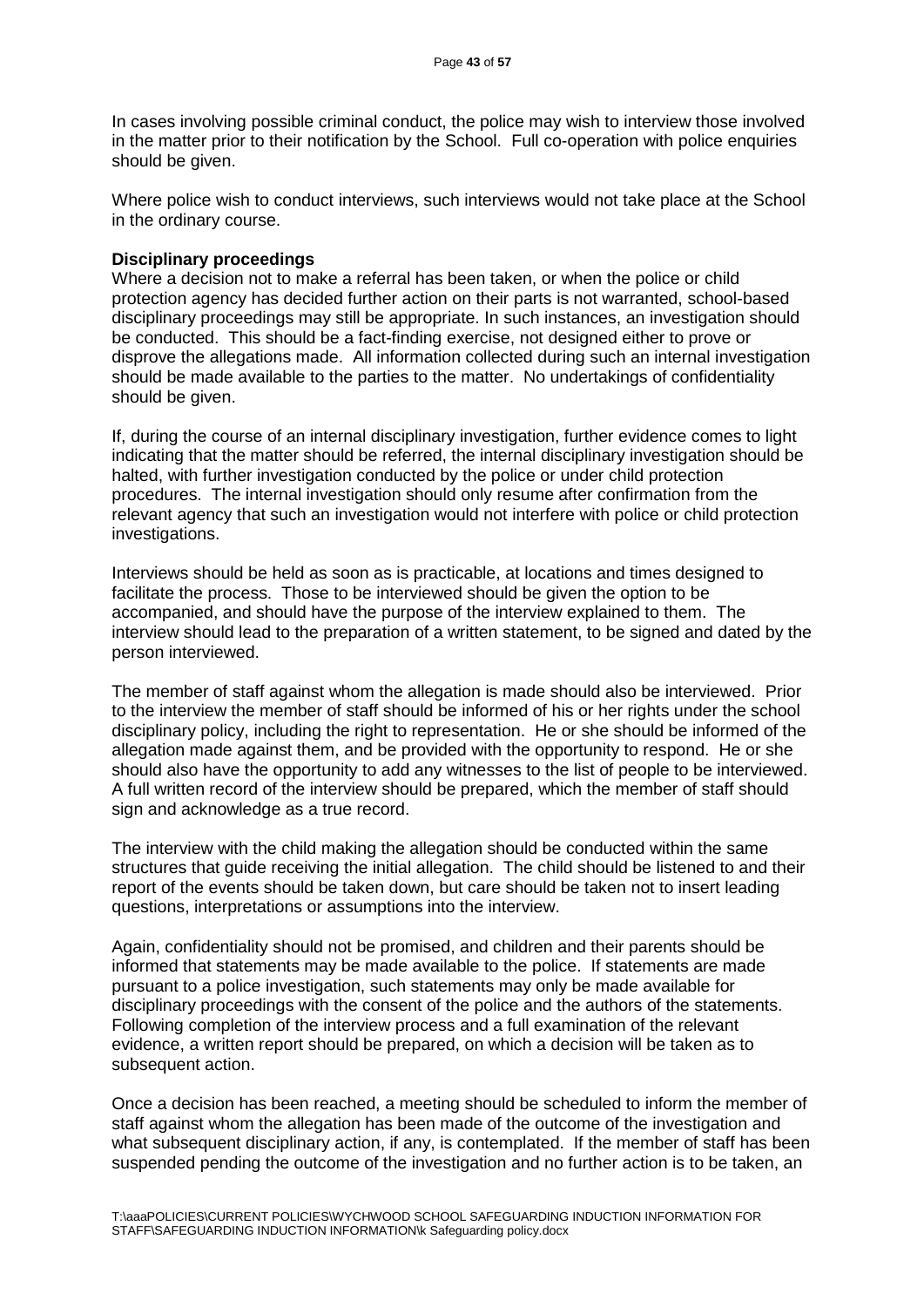In cases involving possible criminal conduct, the police may wish to interview those involved in the matter prior to their notification by the School. Full co-operation with police enquiries should be given.

Where police wish to conduct interviews, such interviews would not take place at the School in the ordinary course.

#### **Disciplinary proceedings**

Where a decision not to make a referral has been taken, or when the police or child protection agency has decided further action on their parts is not warranted, school-based disciplinary proceedings may still be appropriate. In such instances, an investigation should be conducted. This should be a fact-finding exercise, not designed either to prove or disprove the allegations made. All information collected during such an internal investigation should be made available to the parties to the matter. No undertakings of confidentiality should be given.

If, during the course of an internal disciplinary investigation, further evidence comes to light indicating that the matter should be referred, the internal disciplinary investigation should be halted, with further investigation conducted by the police or under child protection procedures. The internal investigation should only resume after confirmation from the relevant agency that such an investigation would not interfere with police or child protection investigations.

Interviews should be held as soon as is practicable, at locations and times designed to facilitate the process. Those to be interviewed should be given the option to be accompanied, and should have the purpose of the interview explained to them. The interview should lead to the preparation of a written statement, to be signed and dated by the person interviewed.

The member of staff against whom the allegation is made should also be interviewed. Prior to the interview the member of staff should be informed of his or her rights under the school disciplinary policy, including the right to representation. He or she should be informed of the allegation made against them, and be provided with the opportunity to respond. He or she should also have the opportunity to add any witnesses to the list of people to be interviewed. A full written record of the interview should be prepared, which the member of staff should sign and acknowledge as a true record.

The interview with the child making the allegation should be conducted within the same structures that guide receiving the initial allegation. The child should be listened to and their report of the events should be taken down, but care should be taken not to insert leading questions, interpretations or assumptions into the interview.

Again, confidentiality should not be promised, and children and their parents should be informed that statements may be made available to the police. If statements are made pursuant to a police investigation, such statements may only be made available for disciplinary proceedings with the consent of the police and the authors of the statements. Following completion of the interview process and a full examination of the relevant evidence, a written report should be prepared, on which a decision will be taken as to subsequent action.

Once a decision has been reached, a meeting should be scheduled to inform the member of staff against whom the allegation has been made of the outcome of the investigation and what subsequent disciplinary action, if any, is contemplated. If the member of staff has been suspended pending the outcome of the investigation and no further action is to be taken, an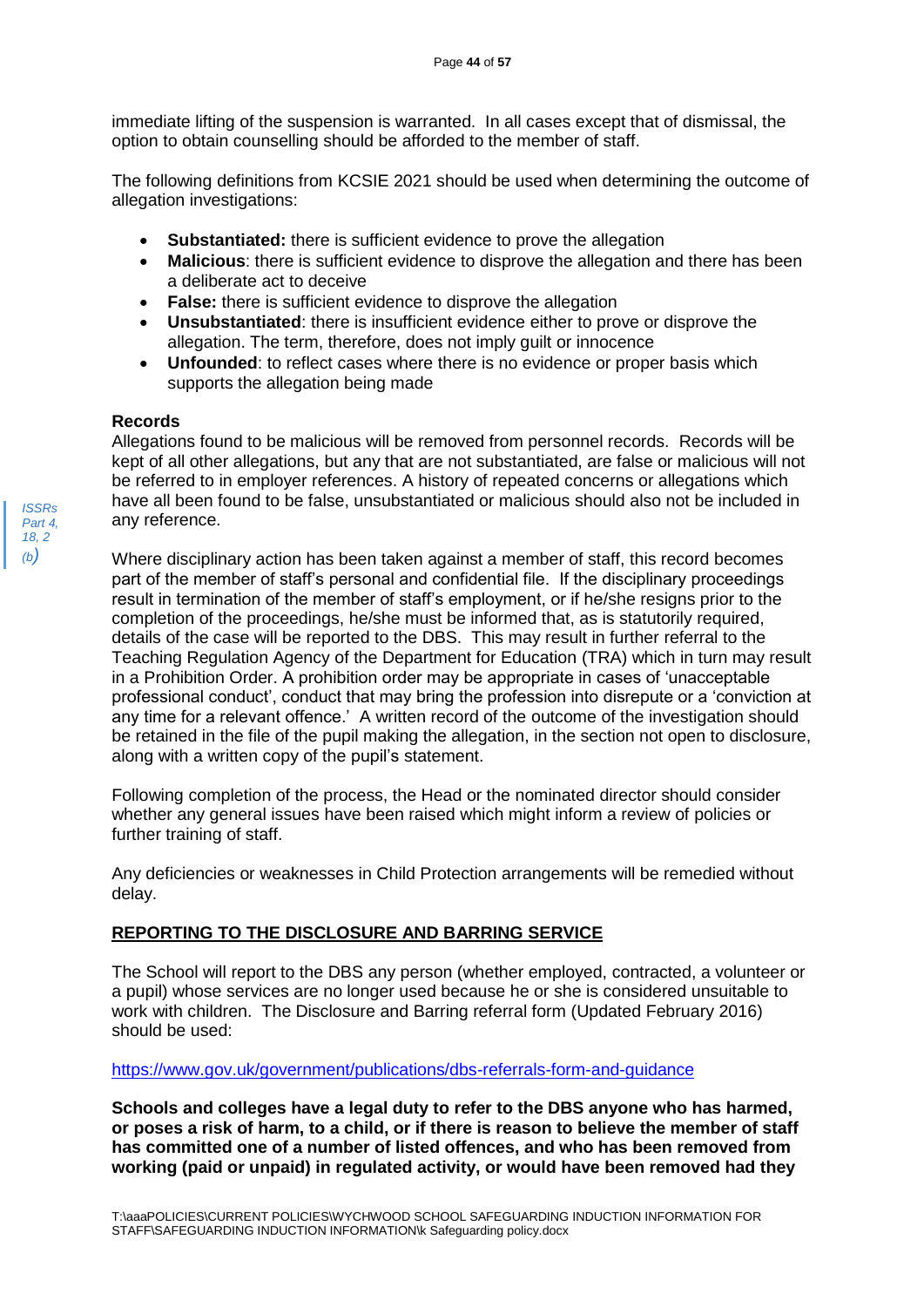immediate lifting of the suspension is warranted. In all cases except that of dismissal, the option to obtain counselling should be afforded to the member of staff.

The following definitions from KCSIE 2021 should be used when determining the outcome of allegation investigations:

- **Substantiated:** there is sufficient evidence to prove the allegation
- **Malicious**: there is sufficient evidence to disprove the allegation and there has been a deliberate act to deceive
- **False:** there is sufficient evidence to disprove the allegation
- **Unsubstantiated**: there is insufficient evidence either to prove or disprove the allegation. The term, therefore, does not imply guilt or innocence
- **Unfounded**: to reflect cases where there is no evidence or proper basis which supports the allegation being made

#### **Records**

Allegations found to be malicious will be removed from personnel records. Records will be kept of all other allegations, but any that are not substantiated, are false or malicious will not be referred to in employer references. A history of repeated concerns or allegations which have all been found to be false, unsubstantiated or malicious should also not be included in any reference.

Where disciplinary action has been taken against a member of staff, this record becomes part of the member of staff's personal and confidential file. If the disciplinary proceedings result in termination of the member of staff's employment, or if he/she resigns prior to the completion of the proceedings, he/she must be informed that, as is statutorily required, details of the case will be reported to the DBS. This may result in further referral to the Teaching Regulation Agency of the Department for Education (TRA) which in turn may result in a Prohibition Order. A prohibition order may be appropriate in cases of 'unacceptable professional conduct', conduct that may bring the profession into disrepute or a 'conviction at any time for a relevant offence.' A written record of the outcome of the investigation should be retained in the file of the pupil making the allegation, in the section not open to disclosure, along with a written copy of the pupil's statement.

Following completion of the process, the Head or the nominated director should consider whether any general issues have been raised which might inform a review of policies or further training of staff.

Any deficiencies or weaknesses in Child Protection arrangements will be remedied without delay.

## **REPORTING TO THE DISCLOSURE AND BARRING SERVICE**

The School will report to the DBS any person (whether employed, contracted, a volunteer or a pupil) whose services are no longer used because he or she is considered unsuitable to work with children. The Disclosure and Barring referral form (Updated February 2016) should be used:

#### <https://www.gov.uk/government/publications/dbs-referrals-form-and-guidance>

**Schools and colleges have a legal duty to refer to the DBS anyone who has harmed, or poses a risk of harm, to a child, or if there is reason to believe the member of staff has committed one of a number of listed offences, and who has been removed from working (paid or unpaid) in regulated activity, or would have been removed had they** 

*ISSRs Part 4, 18, 2 (b)*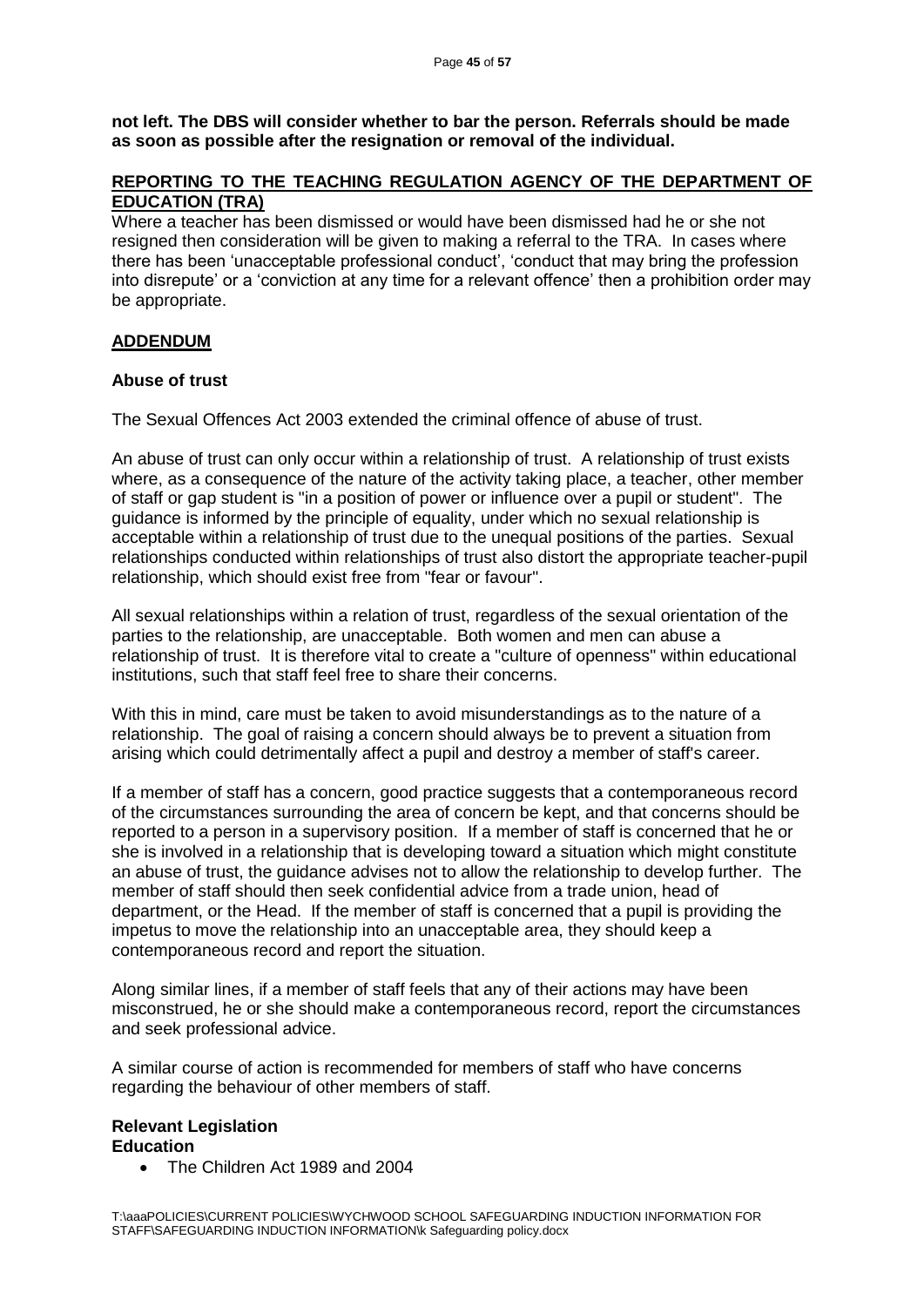**not left. The DBS will consider whether to bar the person. Referrals should be made as soon as possible after the resignation or removal of the individual.** 

#### **REPORTING TO THE TEACHING REGULATION AGENCY OF THE DEPARTMENT OF EDUCATION (TRA)**

Where a teacher has been dismissed or would have been dismissed had he or she not resigned then consideration will be given to making a referral to the TRA. In cases where there has been 'unacceptable professional conduct', 'conduct that may bring the profession into disrepute' or a 'conviction at any time for a relevant offence' then a prohibition order may be appropriate.

## **ADDENDUM**

#### **Abuse of trust**

The Sexual Offences Act 2003 extended the criminal offence of abuse of trust.

An abuse of trust can only occur within a relationship of trust. A relationship of trust exists where, as a consequence of the nature of the activity taking place, a teacher, other member of staff or gap student is "in a position of power or influence over a pupil or student". The guidance is informed by the principle of equality, under which no sexual relationship is acceptable within a relationship of trust due to the unequal positions of the parties. Sexual relationships conducted within relationships of trust also distort the appropriate teacher-pupil relationship, which should exist free from "fear or favour".

All sexual relationships within a relation of trust, regardless of the sexual orientation of the parties to the relationship, are unacceptable. Both women and men can abuse a relationship of trust. It is therefore vital to create a "culture of openness" within educational institutions, such that staff feel free to share their concerns.

With this in mind, care must be taken to avoid misunderstandings as to the nature of a relationship. The goal of raising a concern should always be to prevent a situation from arising which could detrimentally affect a pupil and destroy a member of staff's career.

If a member of staff has a concern, good practice suggests that a contemporaneous record of the circumstances surrounding the area of concern be kept, and that concerns should be reported to a person in a supervisory position. If a member of staff is concerned that he or she is involved in a relationship that is developing toward a situation which might constitute an abuse of trust, the guidance advises not to allow the relationship to develop further. The member of staff should then seek confidential advice from a trade union, head of department, or the Head. If the member of staff is concerned that a pupil is providing the impetus to move the relationship into an unacceptable area, they should keep a contemporaneous record and report the situation.

Along similar lines, if a member of staff feels that any of their actions may have been misconstrued, he or she should make a contemporaneous record, report the circumstances and seek professional advice.

A similar course of action is recommended for members of staff who have concerns regarding the behaviour of other members of staff.

#### **Relevant Legislation Education**

The Children Act 1989 and 2004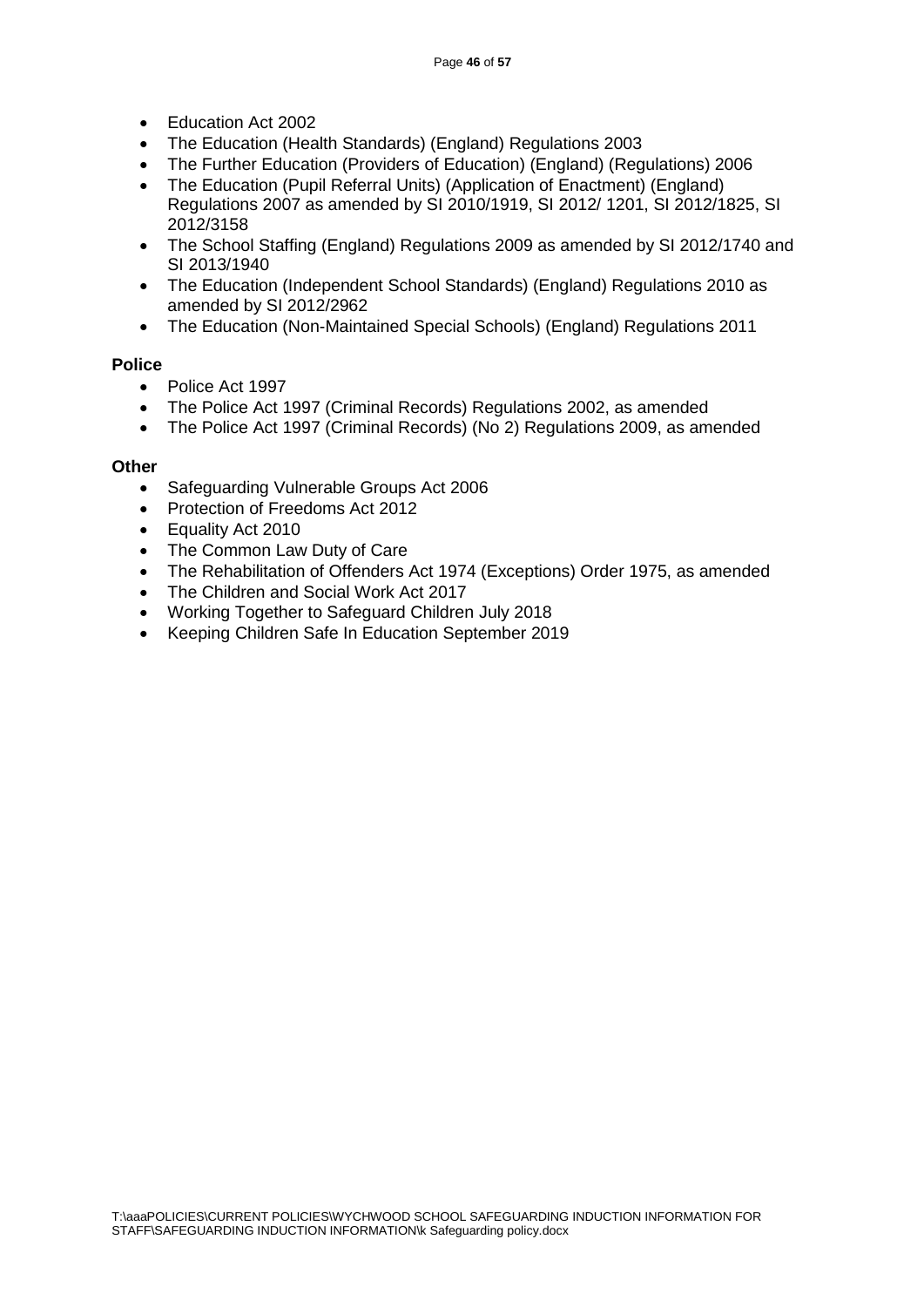- Education Act 2002
- The Education (Health Standards) (England) Regulations 2003
- The Further Education (Providers of Education) (England) (Regulations) 2006
- The Education (Pupil Referral Units) (Application of Enactment) (England) Regulations 2007 as amended by SI 2010/1919, SI 2012/ 1201, SI 2012/1825, SI 2012/3158
- The School Staffing (England) Regulations 2009 as amended by SI 2012/1740 and SI 2013/1940
- The Education (Independent School Standards) (England) Regulations 2010 as amended by SI 2012/2962
- The Education (Non-Maintained Special Schools) (England) Regulations 2011

#### **Police**

- Police Act 1997
- The Police Act 1997 (Criminal Records) Regulations 2002, as amended
- The Police Act 1997 (Criminal Records) (No 2) Regulations 2009, as amended

#### **Other**

- Safeguarding Vulnerable Groups Act 2006
- Protection of Freedoms Act 2012
- Equality Act 2010
- The Common Law Duty of Care
- The Rehabilitation of Offenders Act 1974 (Exceptions) Order 1975, as amended
- The Children and Social Work Act 2017
- Working Together to Safeguard Children July 2018
- Keeping Children Safe In Education September 2019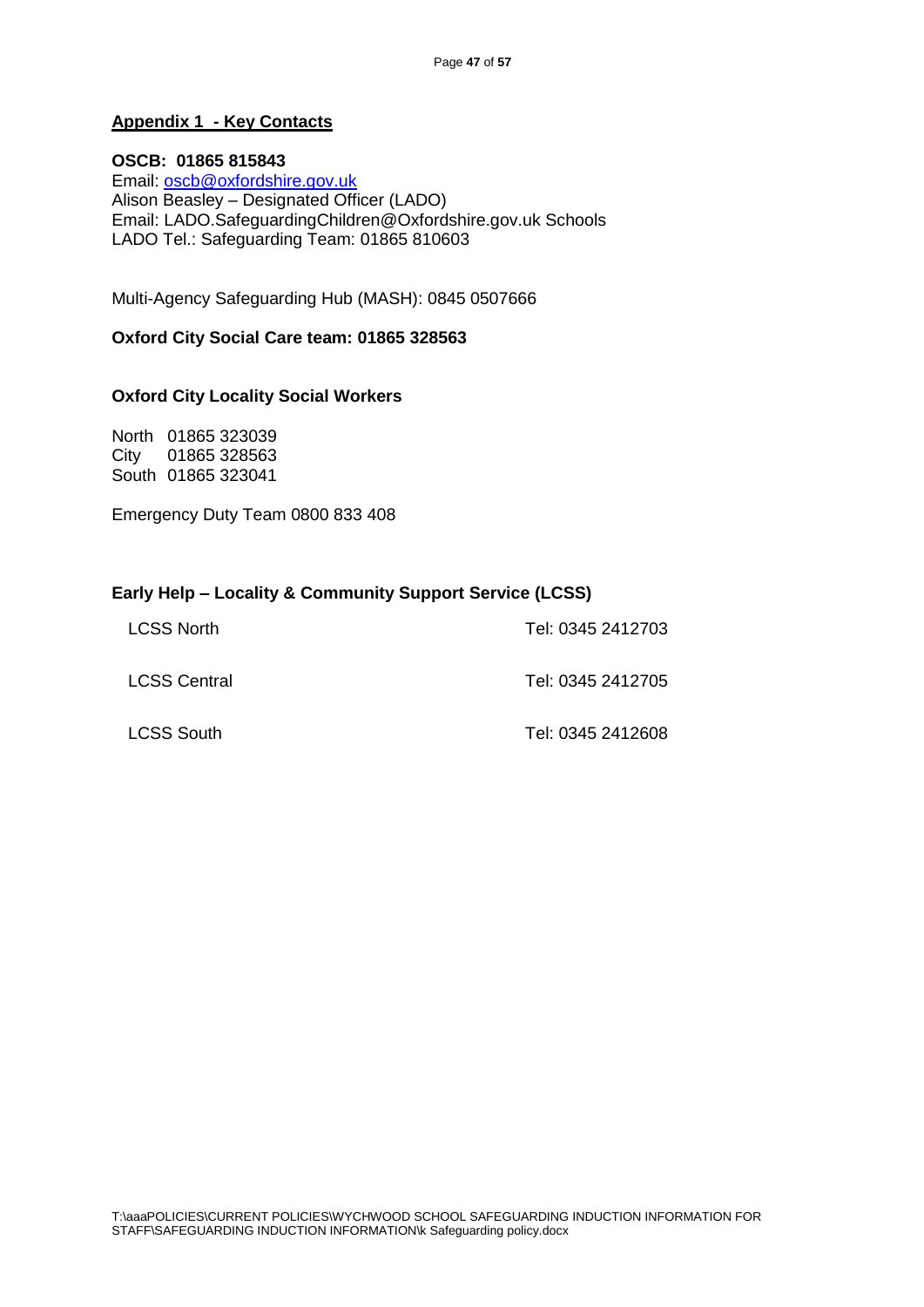## **Appendix 1 - Key Contacts**

**OSCB: 01865 815843** Email: [oscb@oxfordshire.gov.uk](mailto:oscb@oxfordshire.gov.uk) Alison Beasley – Designated Officer (LADO) Email: LADO.SafeguardingChildren@Oxfordshire.gov.uk Schools LADO Tel.: Safeguarding Team: 01865 810603

Multi-Agency Safeguarding Hub (MASH): 0845 0507666

#### **Oxford City Social Care team: 01865 328563**

#### **Oxford City Locality Social Workers**

North 01865 323039 City 01865 328563 South 01865 323041

Emergency Duty Team 0800 833 408

#### **Early Help – Locality & Community Support Service (LCSS)**

| <b>LCSS North</b>   | Tel: 0345 2412703 |
|---------------------|-------------------|
| <b>LCSS Central</b> | Tel: 0345 2412705 |
| <b>LCSS South</b>   | Tel: 0345 2412608 |

T:\aaaPOLICIES\CURRENT POLICIES\WYCHWOOD SCHOOL SAFEGUARDING INDUCTION INFORMATION FOR STAFF\SAFEGUARDING INDUCTION INFORMATION\k Safeguarding policy.docx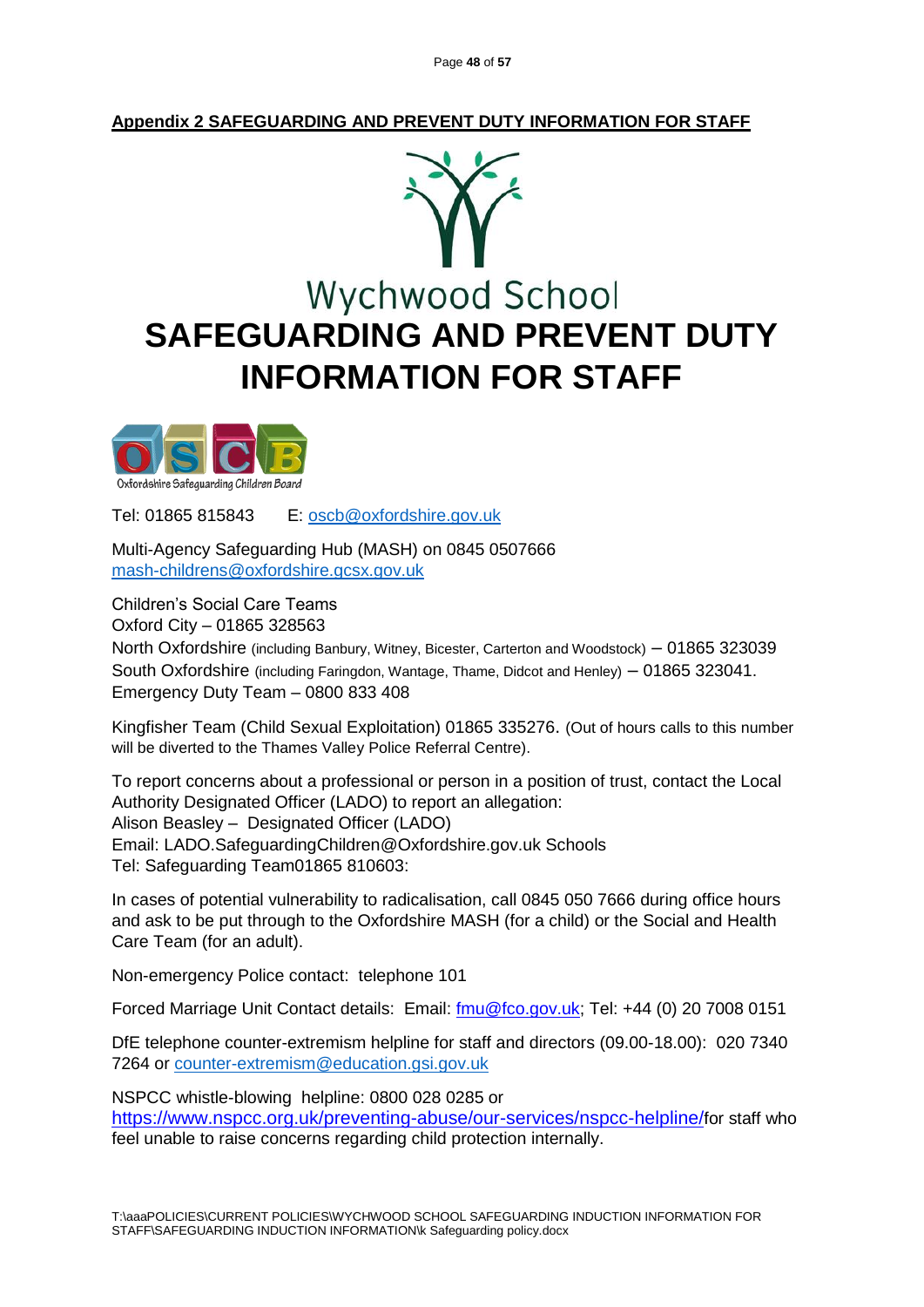## **Appendix 2 SAFEGUARDING AND PREVENT DUTY INFORMATION FOR STAFF**

# **Wychwood School SAFEGUARDING AND PREVENT DUTY INFORMATION FOR STAFF**



Tel: 01865 815843 E: [oscb@oxfordshire.gov.uk](mailto:oscb@oxfordshire.gov.uk)

Multi-Agency Safeguarding Hub (MASH) on 0845 0507666 [mash-childrens@oxfordshire.gcsx.gov.uk](mailto:mash-childrens@oxfordshire.gcsx.gov.uk)

Children's Social Care Teams Oxford City – 01865 328563

North Oxfordshire (including Banbury, Witney, Bicester, Carterton and Woodstock) – 01865 323039 South Oxfordshire (including Faringdon, Wantage, Thame, Didcot and Henley) – 01865 323041. Emergency Duty Team – 0800 833 408

Kingfisher Team (Child Sexual Exploitation) 01865 335276. (Out of hours calls to this number will be diverted to the Thames Valley Police Referral Centre).

To report concerns about a professional or person in a position of trust, contact the Local Authority Designated Officer (LADO) to report an allegation: Alison Beasley – Designated Officer (LADO) Email: LADO.SafeguardingChildren@Oxfordshire.gov.uk Schools Tel: Safeguarding Team01865 810603:

In cases of potential vulnerability to radicalisation, call 0845 050 7666 during office hours and ask to be put through to the Oxfordshire MASH (for a child) or the Social and Health Care Team (for an adult).

Non-emergency Police contact: telephone 101

Forced Marriage Unit Contact details: Email: [fmu@fco.gov.uk;](mailto:fmu@fco.gov.uk) Tel: +44 (0) 20 7008 0151

DfE telephone counter-extremism helpline for staff and directors (09.00-18.00): 020 7340 7264 or [counter-extremism@education.gsi.gov.uk](mailto:counter-extremism@education.gsi.gov.uk)

NSPCC whistle-blowing helpline: 0800 028 0285 or <https://www.nspcc.org.uk/preventing-abuse/our-services/nspcc-helpline/>for staff who feel unable to raise concerns regarding child protection internally.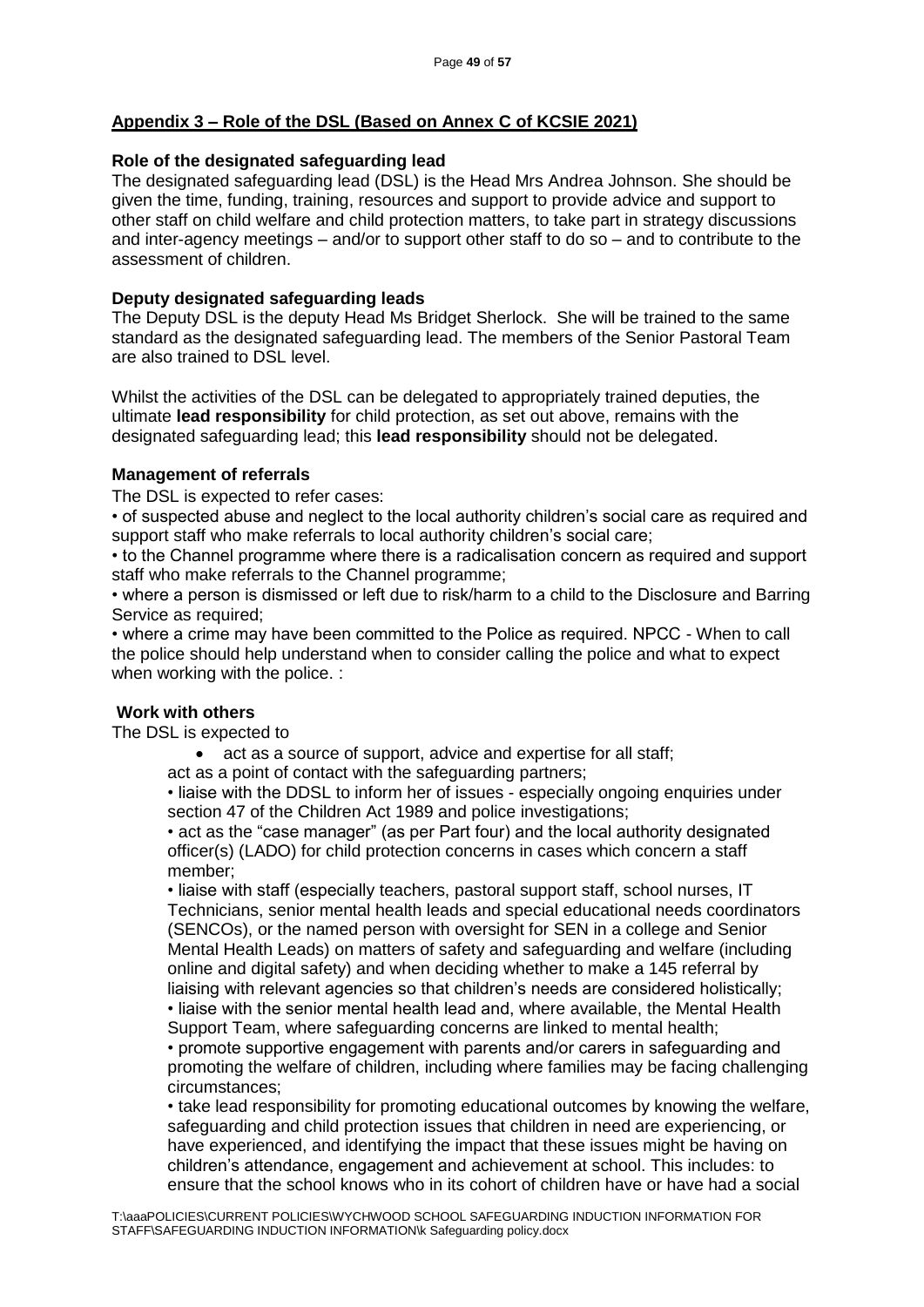## **Appendix 3 – Role of the DSL (Based on Annex C of KCSIE 2021)**

## **Role of the designated safeguarding lead**

The designated safeguarding lead (DSL) is the Head Mrs Andrea Johnson. She should be given the time, funding, training, resources and support to provide advice and support to other staff on child welfare and child protection matters, to take part in strategy discussions and inter-agency meetings – and/or to support other staff to do so – and to contribute to the assessment of children.

## **Deputy designated safeguarding leads**

The Deputy DSL is the deputy Head Ms Bridget Sherlock. She will be trained to the same standard as the designated safeguarding lead. The members of the Senior Pastoral Team are also trained to DSL level.

Whilst the activities of the DSL can be delegated to appropriately trained deputies, the ultimate **lead responsibility** for child protection, as set out above, remains with the designated safeguarding lead; this **lead responsibility** should not be delegated.

## **Management of referrals**

The DSL is expected to refer cases:

• of suspected abuse and neglect to the local authority children's social care as required and support staff who make referrals to local authority children's social care;

• to the Channel programme where there is a radicalisation concern as required and support staff who make referrals to the Channel programme;

• where a person is dismissed or left due to risk/harm to a child to the Disclosure and Barring Service as required:

• where a crime may have been committed to the Police as required. NPCC - When to call the police should help understand when to consider calling the police and what to expect when working with the police. :

#### **Work with others**

The DSL is expected to

- act as a source of support, advice and expertise for all staff;
- act as a point of contact with the safeguarding partners;

• liaise with the DDSL to inform her of issues - especially ongoing enquiries under section 47 of the Children Act 1989 and police investigations;

• act as the "case manager" (as per Part four) and the local authority designated officer(s) (LADO) for child protection concerns in cases which concern a staff member;

• liaise with staff (especially teachers, pastoral support staff, school nurses, IT Technicians, senior mental health leads and special educational needs coordinators (SENCOs), or the named person with oversight for SEN in a college and Senior Mental Health Leads) on matters of safety and safeguarding and welfare (including online and digital safety) and when deciding whether to make a 145 referral by liaising with relevant agencies so that children's needs are considered holistically; • liaise with the senior mental health lead and, where available, the Mental Health Support Team, where safeguarding concerns are linked to mental health;

• promote supportive engagement with parents and/or carers in safeguarding and promoting the welfare of children, including where families may be facing challenging circumstances;

• take lead responsibility for promoting educational outcomes by knowing the welfare, safeguarding and child protection issues that children in need are experiencing, or have experienced, and identifying the impact that these issues might be having on children's attendance, engagement and achievement at school. This includes: to ensure that the school knows who in its cohort of children have or have had a social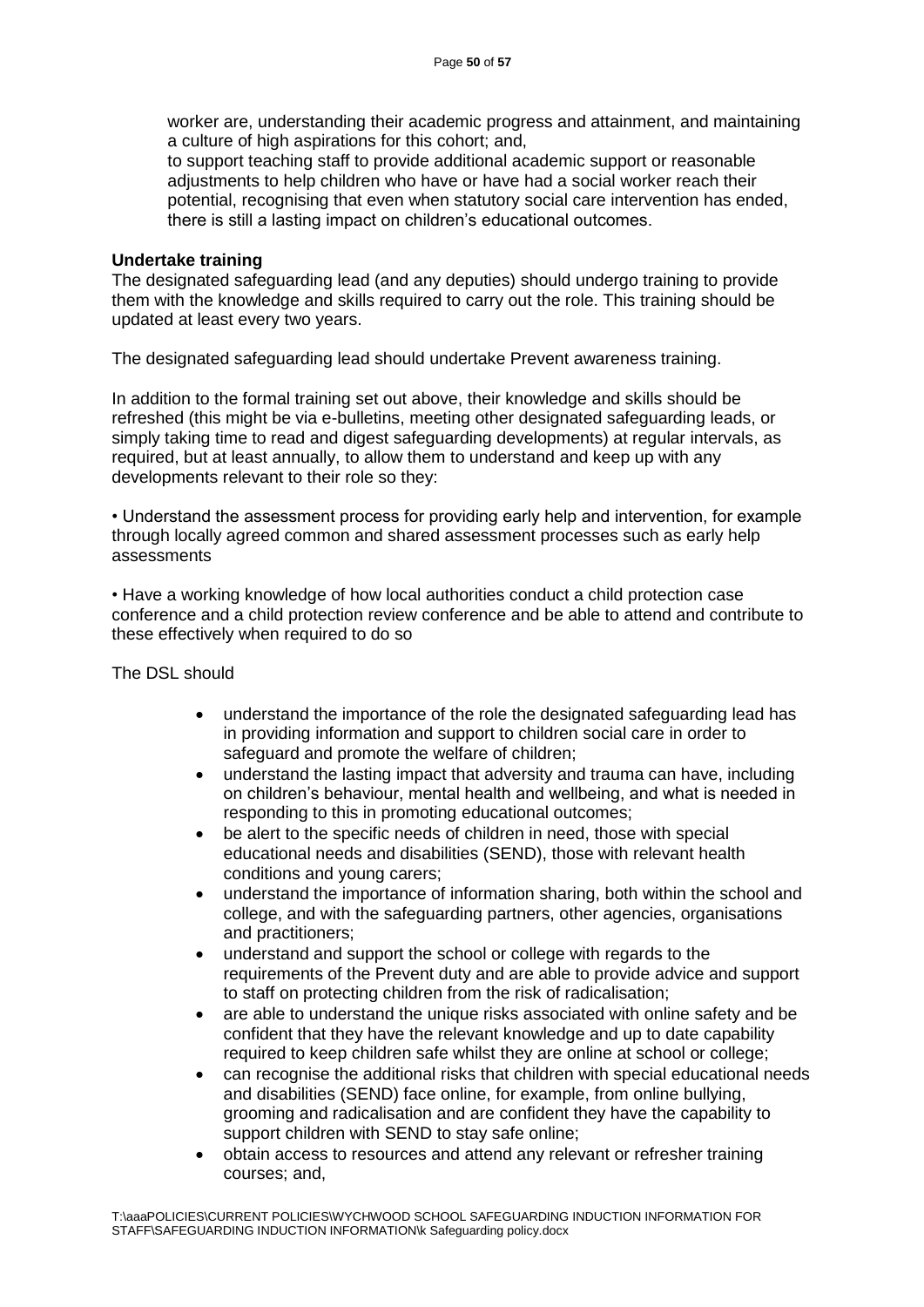worker are, understanding their academic progress and attainment, and maintaining a culture of high aspirations for this cohort; and,

to support teaching staff to provide additional academic support or reasonable adjustments to help children who have or have had a social worker reach their potential, recognising that even when statutory social care intervention has ended, there is still a lasting impact on children's educational outcomes.

#### **Undertake training**

The designated safeguarding lead (and any deputies) should undergo training to provide them with the knowledge and skills required to carry out the role. This training should be updated at least every two years.

The designated safeguarding lead should undertake Prevent awareness training.

In addition to the formal training set out above, their knowledge and skills should be refreshed (this might be via e-bulletins, meeting other designated safeguarding leads, or simply taking time to read and digest safeguarding developments) at regular intervals, as required, but at least annually, to allow them to understand and keep up with any developments relevant to their role so they:

• Understand the assessment process for providing early help and intervention, for example through locally agreed common and shared assessment processes such as early help assessments

• Have a working knowledge of how local authorities conduct a child protection case conference and a child protection review conference and be able to attend and contribute to these effectively when required to do so

The DSL should

- understand the importance of the role the designated safeguarding lead has in providing information and support to children social care in order to safeguard and promote the welfare of children;
- understand the lasting impact that adversity and trauma can have, including on children's behaviour, mental health and wellbeing, and what is needed in responding to this in promoting educational outcomes;
- be alert to the specific needs of children in need, those with special educational needs and disabilities (SEND), those with relevant health conditions and young carers;
- understand the importance of information sharing, both within the school and college, and with the safeguarding partners, other agencies, organisations and practitioners;
- understand and support the school or college with regards to the requirements of the Prevent duty and are able to provide advice and support to staff on protecting children from the risk of radicalisation;
- are able to understand the unique risks associated with online safety and be confident that they have the relevant knowledge and up to date capability required to keep children safe whilst they are online at school or college;
- can recognise the additional risks that children with special educational needs and disabilities (SEND) face online, for example, from online bullying, grooming and radicalisation and are confident they have the capability to support children with SEND to stay safe online;
- obtain access to resources and attend any relevant or refresher training courses; and,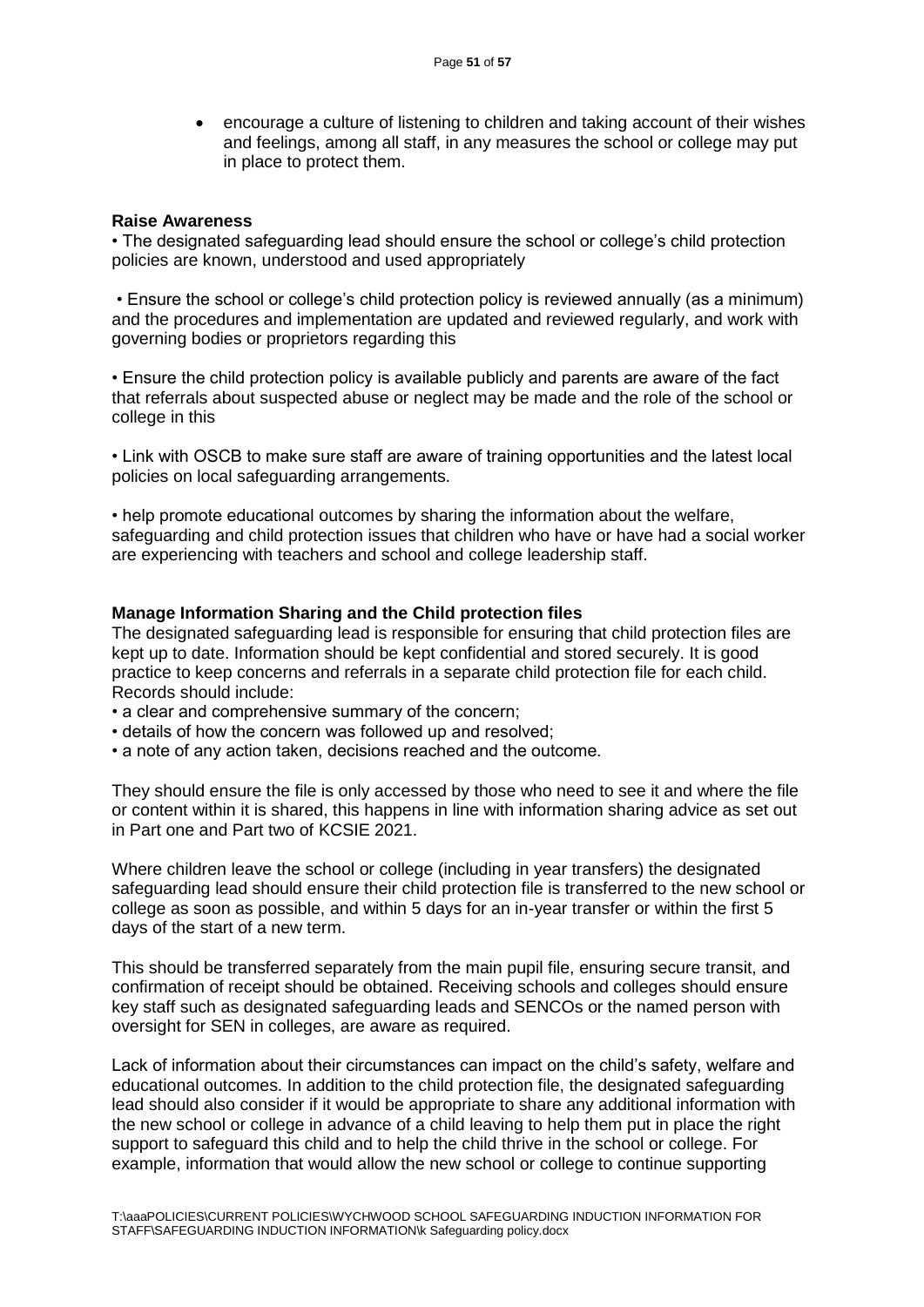encourage a culture of listening to children and taking account of their wishes and feelings, among all staff, in any measures the school or college may put in place to protect them.

#### **Raise Awareness**

• The designated safeguarding lead should ensure the school or college's child protection policies are known, understood and used appropriately

• Ensure the school or college's child protection policy is reviewed annually (as a minimum) and the procedures and implementation are updated and reviewed regularly, and work with governing bodies or proprietors regarding this

• Ensure the child protection policy is available publicly and parents are aware of the fact that referrals about suspected abuse or neglect may be made and the role of the school or college in this

• Link with OSCB to make sure staff are aware of training opportunities and the latest local policies on local safeguarding arrangements.

• help promote educational outcomes by sharing the information about the welfare, safeguarding and child protection issues that children who have or have had a social worker are experiencing with teachers and school and college leadership staff.

#### **Manage Information Sharing and the Child protection files**

The designated safeguarding lead is responsible for ensuring that child protection files are kept up to date. Information should be kept confidential and stored securely. It is good practice to keep concerns and referrals in a separate child protection file for each child. Records should include:

- a clear and comprehensive summary of the concern;
- details of how the concern was followed up and resolved;
- a note of any action taken, decisions reached and the outcome.

They should ensure the file is only accessed by those who need to see it and where the file or content within it is shared, this happens in line with information sharing advice as set out in Part one and Part two of KCSIE 2021.

Where children leave the school or college (including in year transfers) the designated safeguarding lead should ensure their child protection file is transferred to the new school or college as soon as possible, and within 5 days for an in-year transfer or within the first 5 days of the start of a new term.

This should be transferred separately from the main pupil file, ensuring secure transit, and confirmation of receipt should be obtained. Receiving schools and colleges should ensure key staff such as designated safeguarding leads and SENCOs or the named person with oversight for SEN in colleges, are aware as required.

Lack of information about their circumstances can impact on the child's safety, welfare and educational outcomes. In addition to the child protection file, the designated safeguarding lead should also consider if it would be appropriate to share any additional information with the new school or college in advance of a child leaving to help them put in place the right support to safeguard this child and to help the child thrive in the school or college. For example, information that would allow the new school or college to continue supporting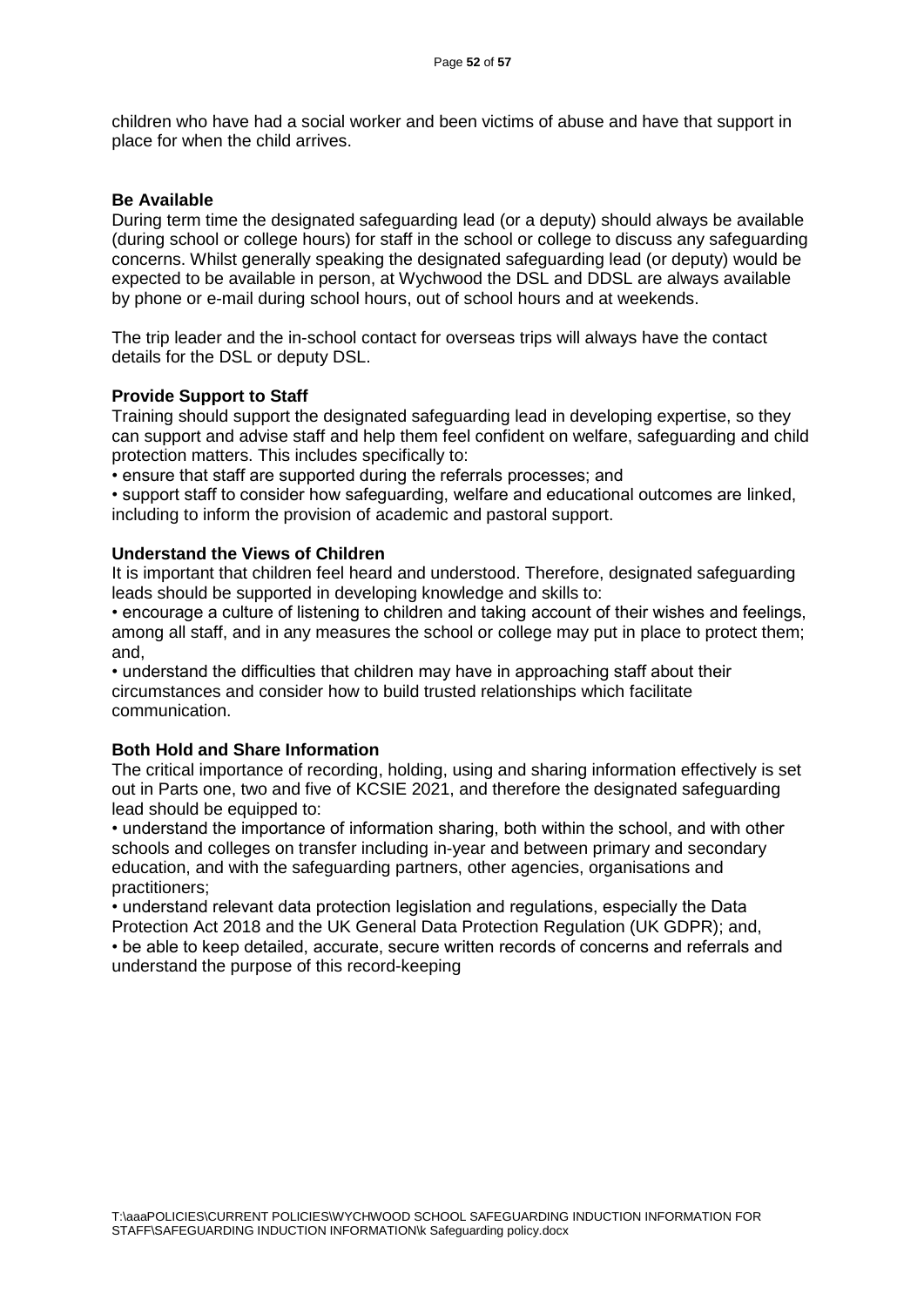children who have had a social worker and been victims of abuse and have that support in place for when the child arrives.

#### **Be Available**

During term time the designated safeguarding lead (or a deputy) should always be available (during school or college hours) for staff in the school or college to discuss any safeguarding concerns. Whilst generally speaking the designated safeguarding lead (or deputy) would be expected to be available in person, at Wychwood the DSL and DDSL are always available by phone or e-mail during school hours, out of school hours and at weekends.

The trip leader and the in-school contact for overseas trips will always have the contact details for the DSL or deputy DSL.

#### **Provide Support to Staff**

Training should support the designated safeguarding lead in developing expertise, so they can support and advise staff and help them feel confident on welfare, safeguarding and child protection matters. This includes specifically to:

• ensure that staff are supported during the referrals processes; and

• support staff to consider how safeguarding, welfare and educational outcomes are linked, including to inform the provision of academic and pastoral support.

#### **Understand the Views of Children**

It is important that children feel heard and understood. Therefore, designated safeguarding leads should be supported in developing knowledge and skills to:

• encourage a culture of listening to children and taking account of their wishes and feelings, among all staff, and in any measures the school or college may put in place to protect them; and,

• understand the difficulties that children may have in approaching staff about their circumstances and consider how to build trusted relationships which facilitate communication.

#### **Both Hold and Share Information**

The critical importance of recording, holding, using and sharing information effectively is set out in Parts one, two and five of KCSIE 2021, and therefore the designated safeguarding lead should be equipped to:

• understand the importance of information sharing, both within the school, and with other schools and colleges on transfer including in-year and between primary and secondary education, and with the safeguarding partners, other agencies, organisations and practitioners;

• understand relevant data protection legislation and regulations, especially the Data Protection Act 2018 and the UK General Data Protection Regulation (UK GDPR); and, • be able to keep detailed, accurate, secure written records of concerns and referrals and understand the purpose of this record-keeping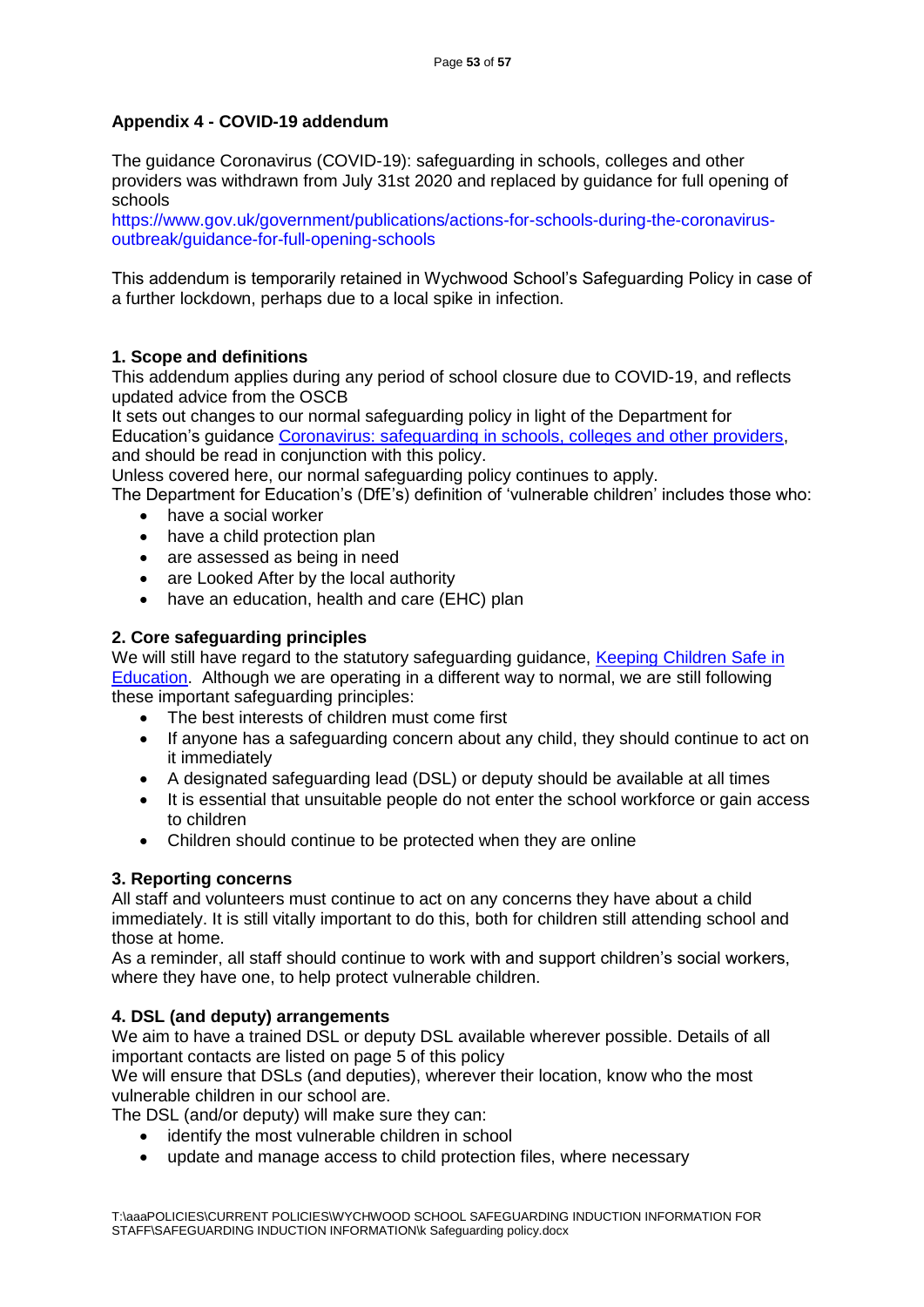## **Appendix 4 - COVID-19 addendum**

The guidance Coronavirus (COVID-19): safeguarding in schools, colleges and other providers was withdrawn from July 31st 2020 and replaced by guidance for full opening of schools

[https://www.gov.uk/government/publications/actions-for-schools-during-the-coronavirus](https://www.gov.uk/government/publications/actions-for-schools-during-the-coronavirus-outbreak/guidance-for-full-opening-schools)[outbreak/guidance-for-full-opening-schools](https://www.gov.uk/government/publications/actions-for-schools-during-the-coronavirus-outbreak/guidance-for-full-opening-schools)

This addendum is temporarily retained in Wychwood School's Safeguarding Policy in case of a further lockdown, perhaps due to a local spike in infection.

## **1. Scope and definitions**

This addendum applies during any period of school closure due to COVID-19, and reflects updated advice from the OSCB

It sets out changes to our normal safeguarding policy in light of the Department for Education's guidance [Coronavirus: safeguarding in schools, colleges and other providers,](https://www.gov.uk/government/publications/covid-19-safeguarding-in-schools-colleges-and-other-providers) and should be read in conjunction with this policy.

Unless covered here, our normal safeguarding policy continues to apply.

The Department for Education's (DfE's) definition of 'vulnerable children' includes those who:

- have a social worker
- have a child protection plan
- are assessed as being in need
- are Looked After by the local authority
- have an education, health and care (EHC) plan

## **2. Core safeguarding principles**

We will still have regard to the statutory safeguarding guidance, Keeping Children Safe in [Education.](https://www.gov.uk/government/publications/keeping-children-safe-in-education--2) Although we are operating in a different way to normal, we are still following these important safeguarding principles:

- The best interests of children must come first
- If anyone has a safeguarding concern about any child, they should continue to act on it immediately
- A designated safeguarding lead (DSL) or deputy should be available at all times
- It is essential that unsuitable people do not enter the school workforce or gain access to children
- Children should continue to be protected when they are online

## **3. Reporting concerns**

All staff and volunteers must continue to act on any concerns they have about a child immediately. It is still vitally important to do this, both for children still attending school and those at home.

As a reminder, all staff should continue to work with and support children's social workers, where they have one, to help protect vulnerable children.

## **4. DSL (and deputy) arrangements**

We aim to have a trained DSL or deputy DSL available wherever possible. Details of all important contacts are listed on page 5 of this policy

We will ensure that DSLs (and deputies), wherever their location, know who the most vulnerable children in our school are.

The DSL (and/or deputy) will make sure they can:

- identify the most vulnerable children in school
- update and manage access to child protection files, where necessary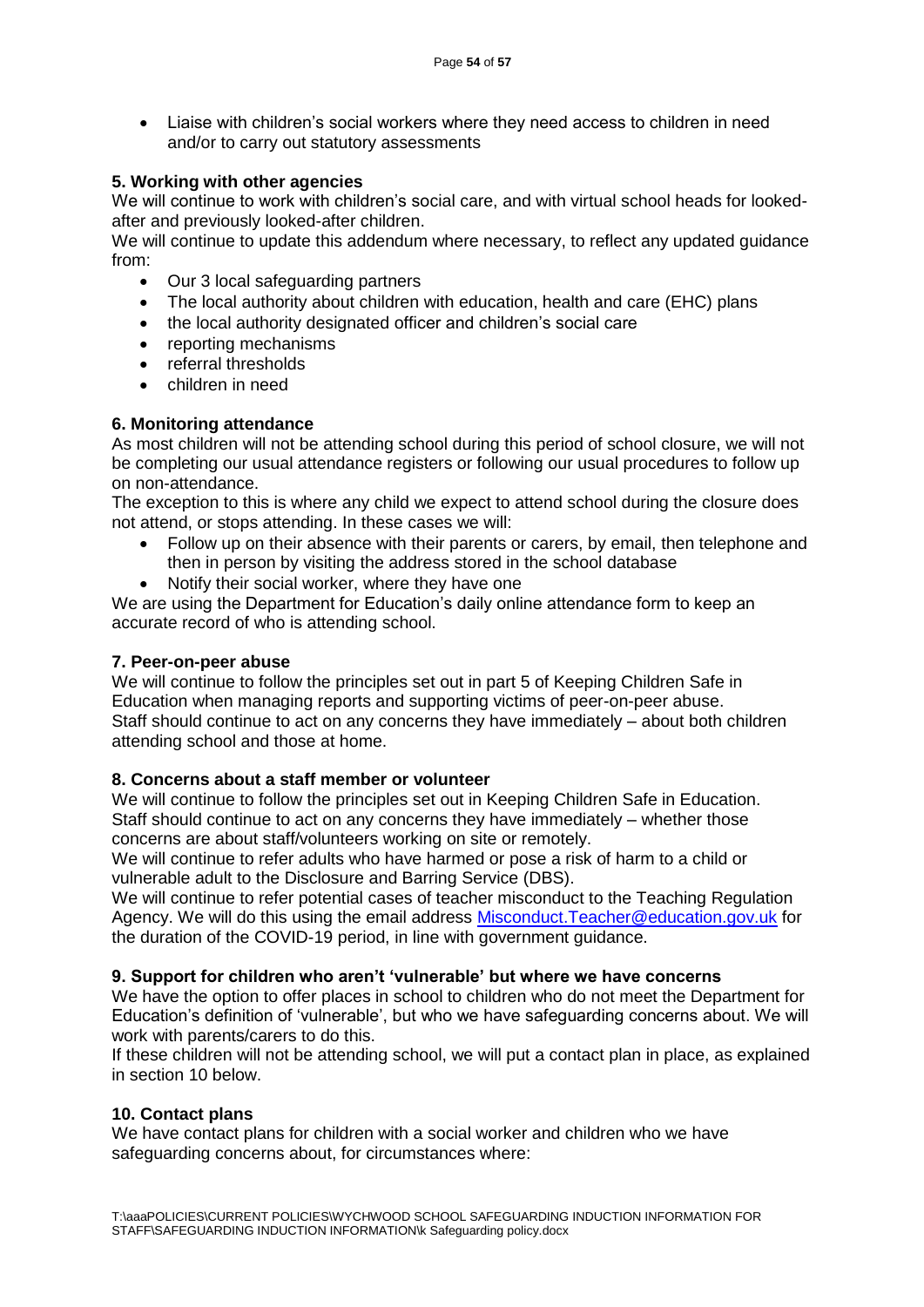Liaise with children's social workers where they need access to children in need and/or to carry out statutory assessments

## **5. Working with other agencies**

We will continue to work with children's social care, and with virtual school heads for lookedafter and previously looked-after children.

We will continue to update this addendum where necessary, to reflect any updated guidance from:

- Our 3 local safeguarding partners
- The local authority about children with education, health and care (EHC) plans
- the local authority designated officer and children's social care
- reporting mechanisms
- referral thresholds
- children in need

## **6. Monitoring attendance**

As most children will not be attending school during this period of school closure, we will not be completing our usual attendance registers or following our usual procedures to follow up on non-attendance.

The exception to this is where any child we expect to attend school during the closure does not attend, or stops attending. In these cases we will:

- Follow up on their absence with their parents or carers, by email, then telephone and then in person by visiting the address stored in the school database
- Notify their social worker, where they have one

We are using the Department for Education's daily online attendance form to keep an accurate record of who is attending school.

#### **7. Peer-on-peer abuse**

We will continue to follow the principles set out in part 5 of Keeping Children Safe in Education when managing reports and supporting victims of peer-on-peer abuse. Staff should continue to act on any concerns they have immediately – about both children attending school and those at home.

#### **8. Concerns about a staff member or volunteer**

We will continue to follow the principles set out in Keeping Children Safe in Education. Staff should continue to act on any concerns they have immediately – whether those concerns are about staff/volunteers working on site or remotely.

We will continue to refer adults who have harmed or pose a risk of harm to a child or vulnerable adult to the Disclosure and Barring Service (DBS).

We will continue to refer potential cases of teacher misconduct to the Teaching Regulation Agency. We will do this using the email address Misconduct. Teacher@education.gov.uk for the duration of the COVID-19 period, in line with government guidance.

#### **9. Support for children who aren't 'vulnerable' but where we have concerns**

We have the option to offer places in school to children who do not meet the Department for Education's definition of 'vulnerable', but who we have safeguarding concerns about. We will work with parents/carers to do this.

If these children will not be attending school, we will put a contact plan in place, as explained in section 10 below.

#### **10. Contact plans**

We have contact plans for children with a social worker and children who we have safeguarding concerns about, for circumstances where: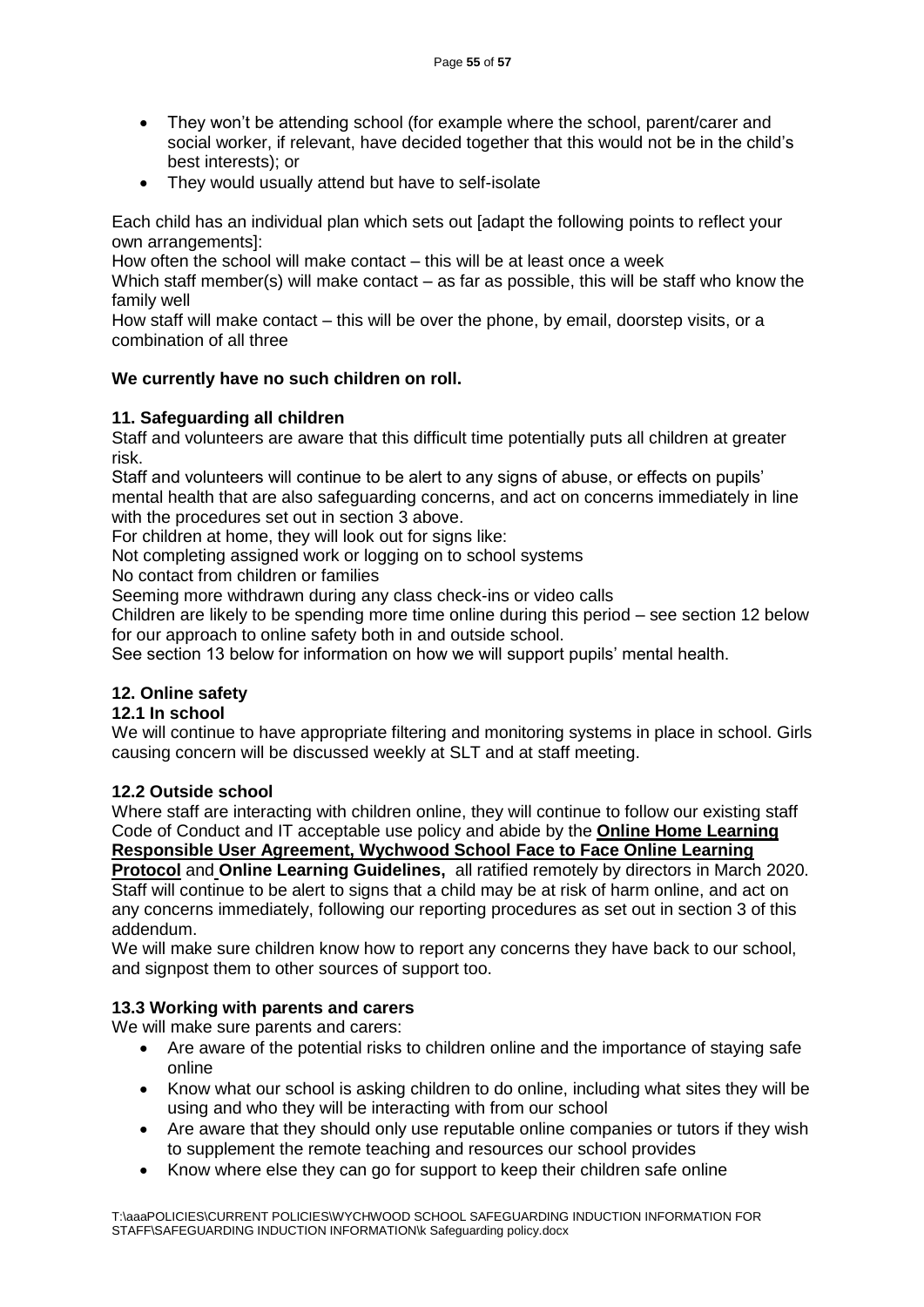- They won't be attending school (for example where the school, parent/carer and social worker, if relevant, have decided together that this would not be in the child's best interests); or
- They would usually attend but have to self-isolate

Each child has an individual plan which sets out [adapt the following points to reflect your own arrangements]:

How often the school will make contact – this will be at least once a week

Which staff member(s) will make contact – as far as possible, this will be staff who know the family well

How staff will make contact – this will be over the phone, by email, doorstep visits, or a combination of all three

#### **We currently have no such children on roll.**

#### **11. Safeguarding all children**

Staff and volunteers are aware that this difficult time potentially puts all children at greater risk.

Staff and volunteers will continue to be alert to any signs of abuse, or effects on pupils' mental health that are also safeguarding concerns, and act on concerns immediately in line with the procedures set out in section 3 above.

For children at home, they will look out for signs like:

Not completing assigned work or logging on to school systems

No contact from children or families

Seeming more withdrawn during any class check-ins or video calls

Children are likely to be spending more time online during this period – see section 12 below for our approach to online safety both in and outside school.

See section 13 below for information on how we will support pupils' mental health.

## **12. Online safety**

#### **12.1 In school**

We will continue to have appropriate filtering and monitoring systems in place in school. Girls causing concern will be discussed weekly at SLT and at staff meeting.

#### **12.2 Outside school**

Where staff are interacting with children online, they will continue to follow our existing staff Code of Conduct and IT acceptable use policy and abide by the **Online Home Learning Responsible User Agreement, Wychwood School Face to Face Online Learning** 

**Protocol** and **Online Learning Guidelines,** all ratified remotely by directors in March 2020. Staff will continue to be alert to signs that a child may be at risk of harm online, and act on any concerns immediately, following our reporting procedures as set out in section 3 of this addendum.

We will make sure children know how to report any concerns they have back to our school, and signpost them to other sources of support too.

#### **13.3 Working with parents and carers**

We will make sure parents and carers:

- Are aware of the potential risks to children online and the importance of staying safe online
- Know what our school is asking children to do online, including what sites they will be using and who they will be interacting with from our school
- Are aware that they should only use reputable online companies or tutors if they wish to supplement the remote teaching and resources our school provides
- Know where else they can go for support to keep their children safe online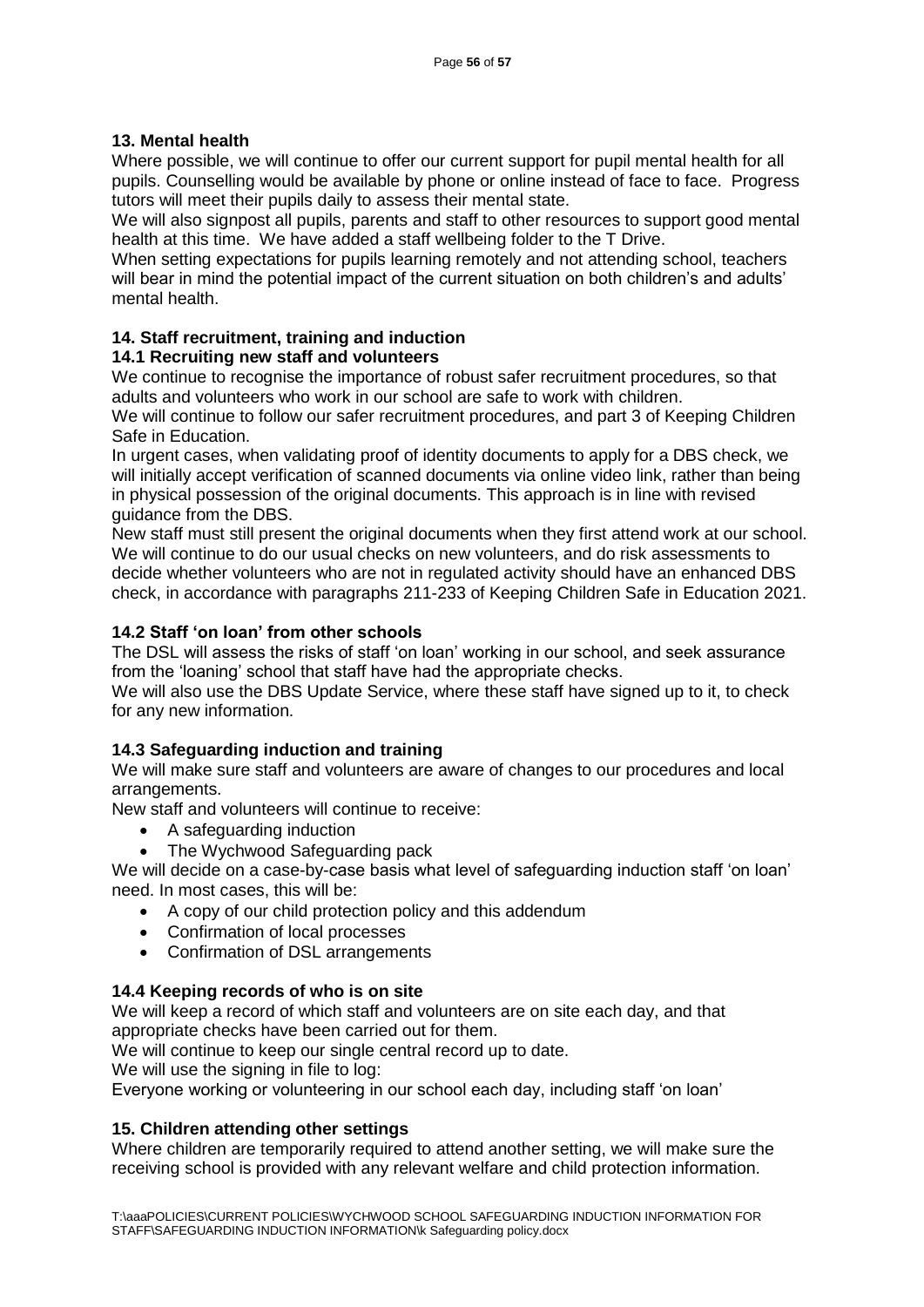## **13. Mental health**

Where possible, we will continue to offer our current support for pupil mental health for all pupils. Counselling would be available by phone or online instead of face to face. Progress tutors will meet their pupils daily to assess their mental state.

We will also signpost all pupils, parents and staff to other resources to support good mental health at this time. We have added a staff wellbeing folder to the T Drive.

When setting expectations for pupils learning remotely and not attending school, teachers will bear in mind the potential impact of the current situation on both children's and adults' mental health.

## **14. Staff recruitment, training and induction**

## **14.1 Recruiting new staff and volunteers**

We continue to recognise the importance of robust safer recruitment procedures, so that adults and volunteers who work in our school are safe to work with children.

We will continue to follow our safer recruitment procedures, and part 3 of Keeping Children Safe in Education.

In urgent cases, when validating proof of identity documents to apply for a DBS check, we will initially accept verification of scanned documents via online video link, rather than being in physical possession of the original documents. This approach is in line with revised guidance from the DBS.

New staff must still present the original documents when they first attend work at our school. We will continue to do our usual checks on new volunteers, and do risk assessments to decide whether volunteers who are not in regulated activity should have an enhanced DBS check, in accordance with paragraphs 211-233 of Keeping Children Safe in Education 2021.

## **14.2 Staff 'on loan' from other schools**

The DSL will assess the risks of staff 'on loan' working in our school, and seek assurance from the 'loaning' school that staff have had the appropriate checks.

We will also use the DBS Update Service, where these staff have signed up to it, to check for any new information.

## **14.3 Safeguarding induction and training**

We will make sure staff and volunteers are aware of changes to our procedures and local arrangements.

New staff and volunteers will continue to receive:

- A safeguarding induction
- The Wychwood Safeguarding pack

We will decide on a case-by-case basis what level of safeguarding induction staff 'on loan' need. In most cases, this will be:

- A copy of our child protection policy and this addendum
- Confirmation of local processes
- Confirmation of DSL arrangements

## **14.4 Keeping records of who is on site**

We will keep a record of which staff and volunteers are on site each day, and that appropriate checks have been carried out for them.

We will continue to keep our single central record up to date.

We will use the signing in file to log:

Everyone working or volunteering in our school each day, including staff 'on loan'

## **15. Children attending other settings**

Where children are temporarily required to attend another setting, we will make sure the receiving school is provided with any relevant welfare and child protection information.